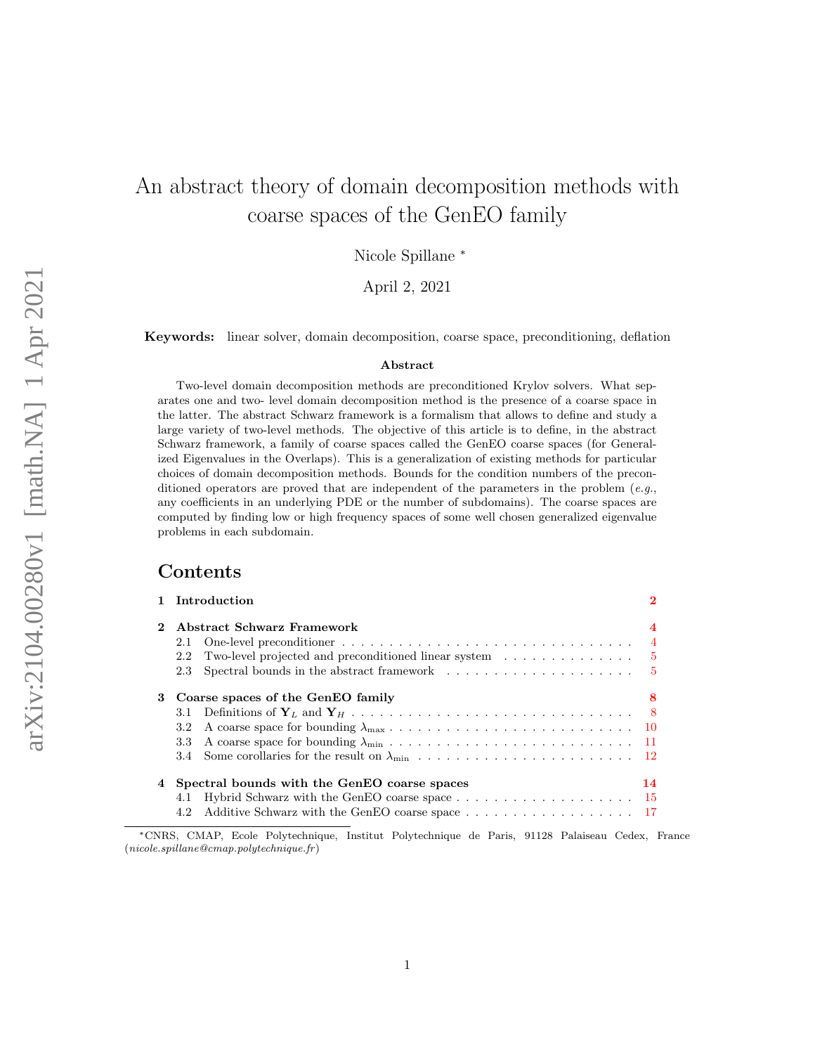# An abstract theory of domain decomposition methods with coarse spaces of the GenEO family

Nicole Spillane <sup>∗</sup>

April 2, 2021

Keywords: linear solver, domain decomposition, coarse space, preconditioning, deflation

#### Abstract

Two-level domain decomposition methods are preconditioned Krylov solvers. What separates one and two- level domain decomposition method is the presence of a coarse space in the latter. The abstract Schwarz framework is a formalism that allows to define and study a large variety of two-level methods. The objective of this article is to define, in the abstract Schwarz framework, a family of coarse spaces called the GenEO coarse spaces (for Generalized Eigenvalues in the Overlaps). This is a generalization of existing methods for particular choices of domain decomposition methods. Bounds for the condition numbers of the preconditioned operators are proved that are independent of the parameters in the problem  $(e,q,$ any coefficients in an underlying PDE or the number of subdomains). The coarse spaces are computed by finding low or high frequency spaces of some well chosen generalized eigenvalue problems in each subdomain.

## Contents

|              | 1 Introduction                                                                               |                |
|--------------|----------------------------------------------------------------------------------------------|----------------|
| $\mathbf{2}$ | Abstract Schwarz Framework                                                                   |                |
|              | 2.1                                                                                          | $\overline{4}$ |
|              | Two-level projected and preconditioned linear system $\dots \dots \dots \dots$ 5<br>2.2      |                |
|              | Spectral bounds in the abstract framework $\dots \dots \dots \dots \dots \dots \dots$<br>2.3 |                |
| 3            | Coarse spaces of the GenEO family                                                            | 8              |
|              | 3.1                                                                                          |                |
|              | 3.2 <sub>1</sub>                                                                             |                |
|              | 3.3                                                                                          |                |
|              |                                                                                              |                |
|              | Spectral bounds with the GenEO coarse spaces                                                 | 14             |
|              | 4.1                                                                                          |                |
|              | 4.2 Additive Schwarz with the GenEO coarse space 17                                          |                |

<sup>∗</sup>CNRS, CMAP, Ecole Polytechnique, Institut Polytechnique de Paris, 91128 Palaiseau Cedex, France  $(nicole.splitane@cmap.polytechnique.fr)$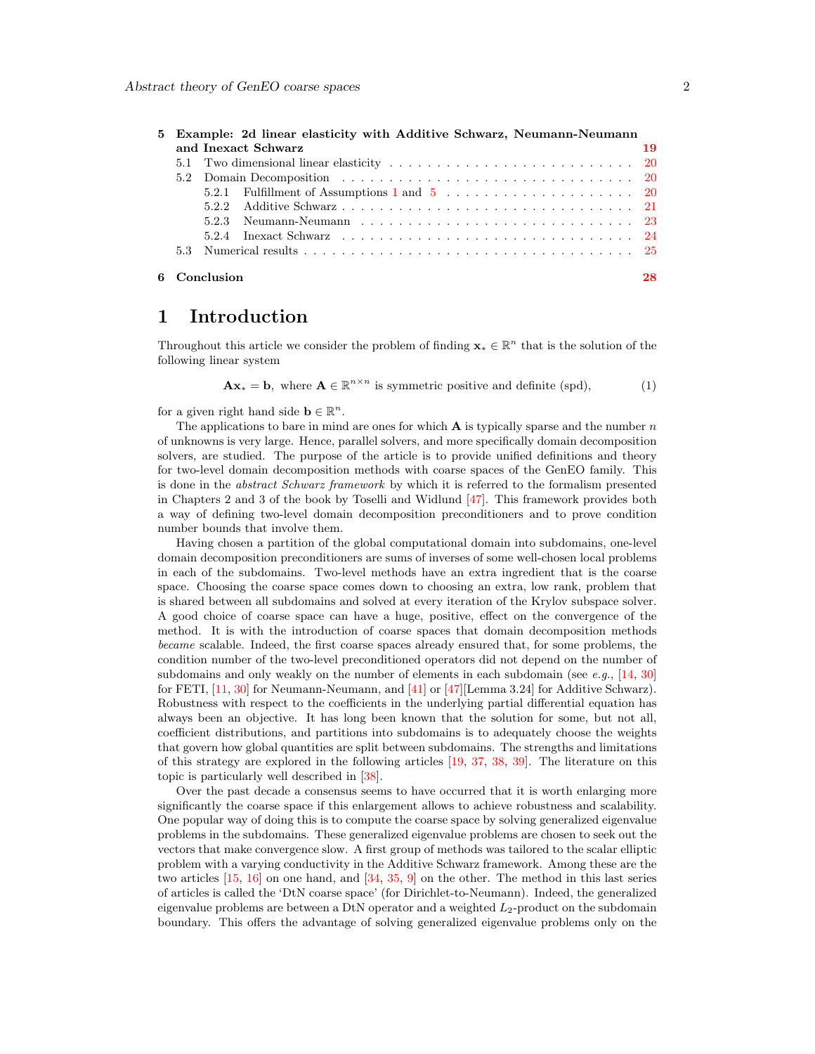|  |              | 5 Example: 2d linear elasticity with Additive Schwarz, Neumann-Neumann                                                |    |
|--|--------------|-----------------------------------------------------------------------------------------------------------------------|----|
|  |              | and Inexact Schwarz                                                                                                   | 19 |
|  |              |                                                                                                                       |    |
|  |              |                                                                                                                       |    |
|  |              | 5.2.1 Fulfillment of Assumptions 1 and $5 \ldots \ldots \ldots \ldots \ldots \ldots \ldots 20$                        |    |
|  |              |                                                                                                                       |    |
|  |              |                                                                                                                       |    |
|  |              | 5.2.4 Inexact Schwarz $\ldots \ldots \ldots \ldots \ldots \ldots \ldots \ldots \ldots \ldots \ldots \ldots \ldots 24$ |    |
|  |              |                                                                                                                       |    |
|  | 6 Conclusion |                                                                                                                       | 28 |

## <span id="page-1-0"></span>1 Introduction

Throughout this article we consider the problem of finding  $\mathbf{x}_* \in \mathbb{R}^n$  that is the solution of the following linear system

<span id="page-1-1"></span>
$$
\mathbf{A}\mathbf{x}_{*} = \mathbf{b}, \text{ where } \mathbf{A} \in \mathbb{R}^{n \times n} \text{ is symmetric positive and definite (spd),}
$$
 (1)

for a given right hand side  $\mathbf{b} \in \mathbb{R}^n$ .

The applications to bare in mind are ones for which  $\bf{A}$  is typically sparse and the number n of unknowns is very large. Hence, parallel solvers, and more specifically domain decomposition solvers, are studied. The purpose of the article is to provide unified definitions and theory for two-level domain decomposition methods with coarse spaces of the GenEO family. This is done in the *abstract Schwarz framework* by which it is referred to the formalism presented in Chapters 2 and 3 of the book by Toselli and Widlund [\[47\]](#page-31-0). This framework provides both a way of defining two-level domain decomposition preconditioners and to prove condition number bounds that involve them.

Having chosen a partition of the global computational domain into subdomains, one-level domain decomposition preconditioners are sums of inverses of some well-chosen local problems in each of the subdomains. Two-level methods have an extra ingredient that is the coarse space. Choosing the coarse space comes down to choosing an extra, low rank, problem that is shared between all subdomains and solved at every iteration of the Krylov subspace solver. A good choice of coarse space can have a huge, positive, effect on the convergence of the method. It is with the introduction of coarse spaces that domain decomposition methods became scalable. Indeed, the first coarse spaces already ensured that, for some problems, the condition number of the two-level preconditioned operators did not depend on the number of subdomains and only weakly on the number of elements in each subdomain (see e.g.,  $[14, 30]$  $[14, 30]$ ) for FETI, [\[11,](#page-29-0) [30\]](#page-30-1) for Neumann-Neumann, and [\[41\]](#page-31-1) or [\[47\]](#page-31-0)[Lemma 3.24] for Additive Schwarz). Robustness with respect to the coefficients in the underlying partial differential equation has always been an objective. It has long been known that the solution for some, but not all, coefficient distributions, and partitions into subdomains is to adequately choose the weights that govern how global quantities are split between subdomains. The strengths and limitations of this strategy are explored in the following articles [\[19,](#page-30-2) [37,](#page-31-2) [38,](#page-31-3) [39\]](#page-31-4). The literature on this topic is particularly well described in [\[38\]](#page-31-3).

Over the past decade a consensus seems to have occurred that it is worth enlarging more significantly the coarse space if this enlargement allows to achieve robustness and scalability. One popular way of doing this is to compute the coarse space by solving generalized eigenvalue problems in the subdomains. These generalized eigenvalue problems are chosen to seek out the vectors that make convergence slow. A first group of methods was tailored to the scalar elliptic problem with a varying conductivity in the Additive Schwarz framework. Among these are the two articles [\[15,](#page-30-3) [16\]](#page-30-4) on one hand, and [\[34,](#page-31-5) [35,](#page-31-6) [9\]](#page-29-1) on the other. The method in this last series of articles is called the 'DtN coarse space' (for Dirichlet-to-Neumann). Indeed, the generalized eigenvalue problems are between a DtN operator and a weighted  $L_2$ -product on the subdomain boundary. This offers the advantage of solving generalized eigenvalue problems only on the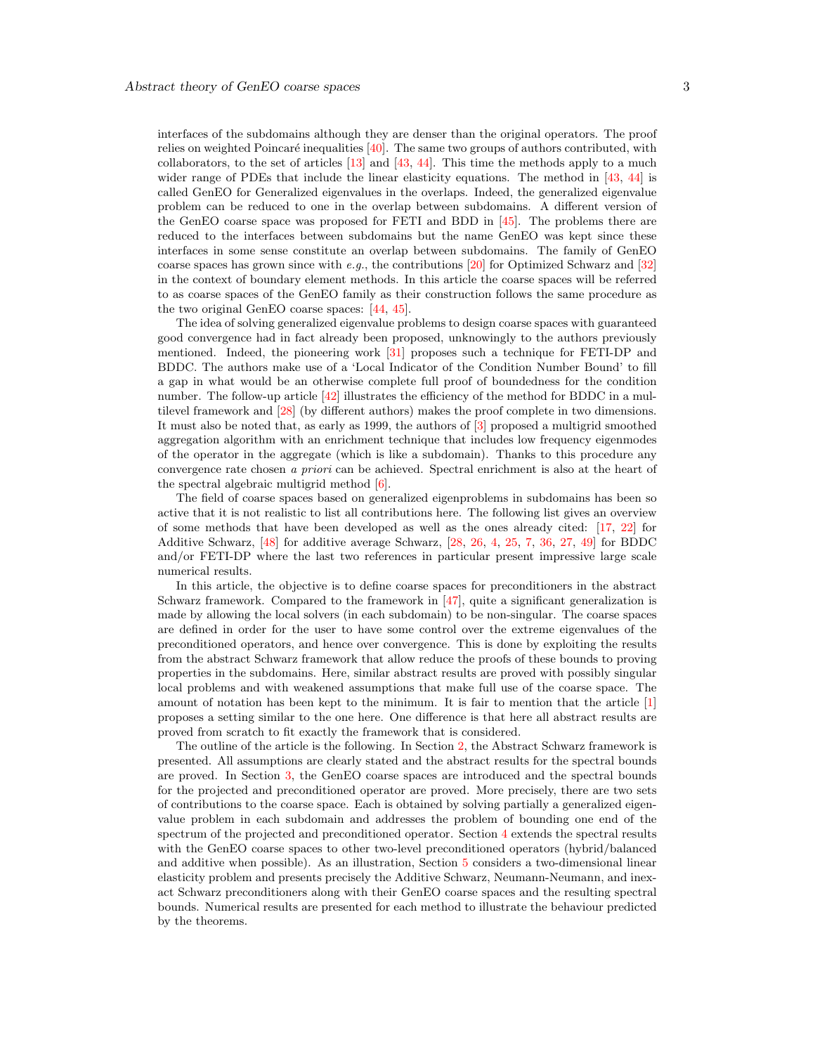interfaces of the subdomains although they are denser than the original operators. The proof relies on weighted Poincaré inequalities  $[40]$ . The same two groups of authors contributed, with collaborators, to the set of articles  $[13]$  and  $[43, 44]$  $[43, 44]$ . This time the methods apply to a much wider range of PDEs that include the linear elasticity equations. The method in [\[43,](#page-31-8) [44\]](#page-31-9) is called GenEO for Generalized eigenvalues in the overlaps. Indeed, the generalized eigenvalue problem can be reduced to one in the overlap between subdomains. A different version of the GenEO coarse space was proposed for FETI and BDD in [\[45\]](#page-31-10). The problems there are reduced to the interfaces between subdomains but the name GenEO was kept since these interfaces in some sense constitute an overlap between subdomains. The family of GenEO coarse spaces has grown since with e.g., the contributions  $[20]$  for Optimized Schwarz and  $[32]$ in the context of boundary element methods. In this article the coarse spaces will be referred to as coarse spaces of the GenEO family as their construction follows the same procedure as the two original GenEO coarse spaces: [\[44,](#page-31-9) [45\]](#page-31-10).

The idea of solving generalized eigenvalue problems to design coarse spaces with guaranteed good convergence had in fact already been proposed, unknowingly to the authors previously mentioned. Indeed, the pioneering work [\[31\]](#page-30-7) proposes such a technique for FETI-DP and BDDC. The authors make use of a 'Local Indicator of the Condition Number Bound' to fill a gap in what would be an otherwise complete full proof of boundedness for the condition number. The follow-up article  $[42]$  illustrates the efficiency of the method for BDDC in a multilevel framework and [\[28\]](#page-30-8) (by different authors) makes the proof complete in two dimensions. It must also be noted that, as early as 1999, the authors of [\[3\]](#page-29-2) proposed a multigrid smoothed aggregation algorithm with an enrichment technique that includes low frequency eigenmodes of the operator in the aggregate (which is like a subdomain). Thanks to this procedure any convergence rate chosen a priori can be achieved. Spectral enrichment is also at the heart of the spectral algebraic multigrid method  $[6]$ .

The field of coarse spaces based on generalized eigenproblems in subdomains has been so active that it is not realistic to list all contributions here. The following list gives an overview of some methods that have been developed as well as the ones already cited: [\[17,](#page-30-9) [22\]](#page-30-10) for Additive Schwarz, [\[48\]](#page-31-13) for additive average Schwarz, [\[28,](#page-30-8) [26,](#page-30-11) [4,](#page-29-4) [25,](#page-30-12) [7,](#page-29-5) [36,](#page-31-14) [27,](#page-30-13) [49\]](#page-31-15) for BDDC and/or FETI-DP where the last two references in particular present impressive large scale numerical results.

In this article, the objective is to define coarse spaces for preconditioners in the abstract Schwarz framework. Compared to the framework in [\[47\]](#page-31-0), quite a significant generalization is made by allowing the local solvers (in each subdomain) to be non-singular. The coarse spaces are defined in order for the user to have some control over the extreme eigenvalues of the preconditioned operators, and hence over convergence. This is done by exploiting the results from the abstract Schwarz framework that allow reduce the proofs of these bounds to proving properties in the subdomains. Here, similar abstract results are proved with possibly singular local problems and with weakened assumptions that make full use of the coarse space. The amount of notation has been kept to the minimum. It is fair to mention that the article [\[1\]](#page-29-6) proposes a setting similar to the one here. One difference is that here all abstract results are proved from scratch to fit exactly the framework that is considered.

The outline of the article is the following. In Section [2,](#page-3-0) the Abstract Schwarz framework is presented. All assumptions are clearly stated and the abstract results for the spectral bounds are proved. In Section [3,](#page-7-0) the GenEO coarse spaces are introduced and the spectral bounds for the projected and preconditioned operator are proved. More precisely, there are two sets of contributions to the coarse space. Each is obtained by solving partially a generalized eigenvalue problem in each subdomain and addresses the problem of bounding one end of the spectrum of the projected and preconditioned operator. Section [4](#page-13-0) extends the spectral results with the GenEO coarse spaces to other two-level preconditioned operators (hybrid/balanced and additive when possible). As an illustration, Section [5](#page-18-0) considers a two-dimensional linear elasticity problem and presents precisely the Additive Schwarz, Neumann-Neumann, and inexact Schwarz preconditioners along with their GenEO coarse spaces and the resulting spectral bounds. Numerical results are presented for each method to illustrate the behaviour predicted by the theorems.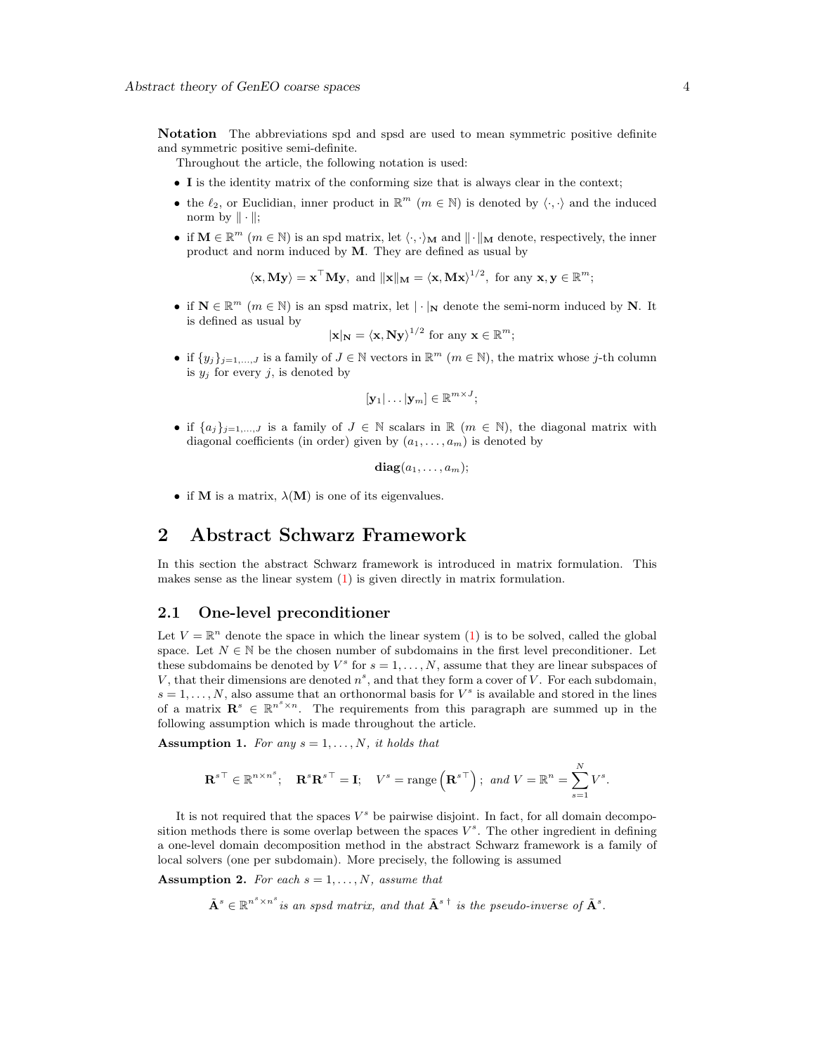Notation The abbreviations spd and spsd are used to mean symmetric positive definite and symmetric positive semi-definite.

- Throughout the article, the following notation is used:
- I is the identity matrix of the conforming size that is always clear in the context;
- the  $\ell_2$ , or Euclidian, inner product in  $\mathbb{R}^m$   $(m \in \mathbb{N})$  is denoted by  $\langle \cdot, \cdot \rangle$  and the induced norm by  $\|\cdot\|$ ;
- if  $M \in \mathbb{R}^m$   $(m \in \mathbb{N})$  is an spd matrix, let  $\langle \cdot, \cdot \rangle_M$  and  $\|\cdot\|_M$  denote, respectively, the inner product and norm induced by M. They are defined as usual by

 $\langle \mathbf{x}, \mathbf{M} \mathbf{y} \rangle = \mathbf{x}^{\top} \mathbf{M} \mathbf{y}$ , and  $\|\mathbf{x}\|_{\mathbf{M}} = \langle \mathbf{x}, \mathbf{M} \mathbf{x} \rangle^{1/2}$ , for any  $\mathbf{x}, \mathbf{y} \in \mathbb{R}^{m}$ ;

• if  $N \in \mathbb{R}^m$   $(m \in \mathbb{N})$  is an spsd matrix, let  $|\cdot|_N$  denote the semi-norm induced by N. It is defined as usual by

$$
|\mathbf{x}|_{\mathbf{N}} = \langle \mathbf{x}, \mathbf{N} \mathbf{y} \rangle^{1/2}
$$
 for any  $\mathbf{x} \in \mathbb{R}^m$ ;

• if  $\{y_j\}_{j=1,\ldots,J}$  is a family of  $J \in \mathbb{N}$  vectors in  $\mathbb{R}^m$   $(m \in \mathbb{N})$ , the matrix whose j-th column is  $y_j$  for every j, is denoted by

$$
[\mathbf{y}_1|\dots|\mathbf{y}_m]\in\mathbb{R}^{m\times J};
$$

• if  $\{a_j\}_{j=1,\dots,J}$  is a family of  $J \in \mathbb{N}$  scalars in  $\mathbb{R}$   $(m \in \mathbb{N})$ , the diagonal matrix with diagonal coefficients (in order) given by  $(a_1, \ldots, a_m)$  is denoted by

$$
\mathbf{diag}(a_1,\ldots,a_m);
$$

• if M is a matrix,  $\lambda(M)$  is one of its eigenvalues.

# <span id="page-3-0"></span>2 Abstract Schwarz Framework

In this section the abstract Schwarz framework is introduced in matrix formulation. This makes sense as the linear system  $(1)$  is given directly in matrix formulation.

#### <span id="page-3-1"></span>2.1 One-level preconditioner

Let  $V = \mathbb{R}^n$  denote the space in which the linear system [\(1\)](#page-1-1) is to be solved, called the global space. Let  $N \in \mathbb{N}$  be the chosen number of subdomains in the first level preconditioner. Let these subdomains be denoted by  $V^s$  for  $s = 1, ..., N$ , assume that they are linear subspaces of V, that their dimensions are denoted  $n^s$ , and that they form a cover of V. For each subdomain,  $s = 1, \ldots, N$ , also assume that an orthonormal basis for  $V^s$  is available and stored in the lines of a matrix  $\mathbf{R}^s \in \mathbb{R}^{n^s \times n}$ . The requirements from this paragraph are summed up in the following assumption which is made throughout the article.

<span id="page-3-2"></span>Assumption 1. For any  $s = 1, \ldots, N$ , it holds that

$$
\mathbf{R}^{s\top} \in \mathbb{R}^{n \times n^s}; \quad \mathbf{R}^s \mathbf{R}^{s\top} = \mathbf{I}; \quad V^s = \text{range}\left(\mathbf{R}^{s\top}\right); \text{ and } V = \mathbb{R}^n = \sum_{s=1}^N V^s.
$$

It is not required that the spaces  $V^s$  be pairwise disjoint. In fact, for all domain decomposition methods there is some overlap between the spaces  $V^s$ . The other ingredient in defining a one-level domain decomposition method in the abstract Schwarz framework is a family of local solvers (one per subdomain). More precisely, the following is assumed

<span id="page-3-3"></span>Assumption 2. For each  $s = 1, \ldots, N$ , assume that

 $\tilde{\mathbf{A}}^s \in \mathbb{R}^{n^s \times n^s}$  is an spsd matrix, and that  $\tilde{\mathbf{A}}^{s \dagger}$  is the pseudo-inverse of  $\tilde{\mathbf{A}}^s$ .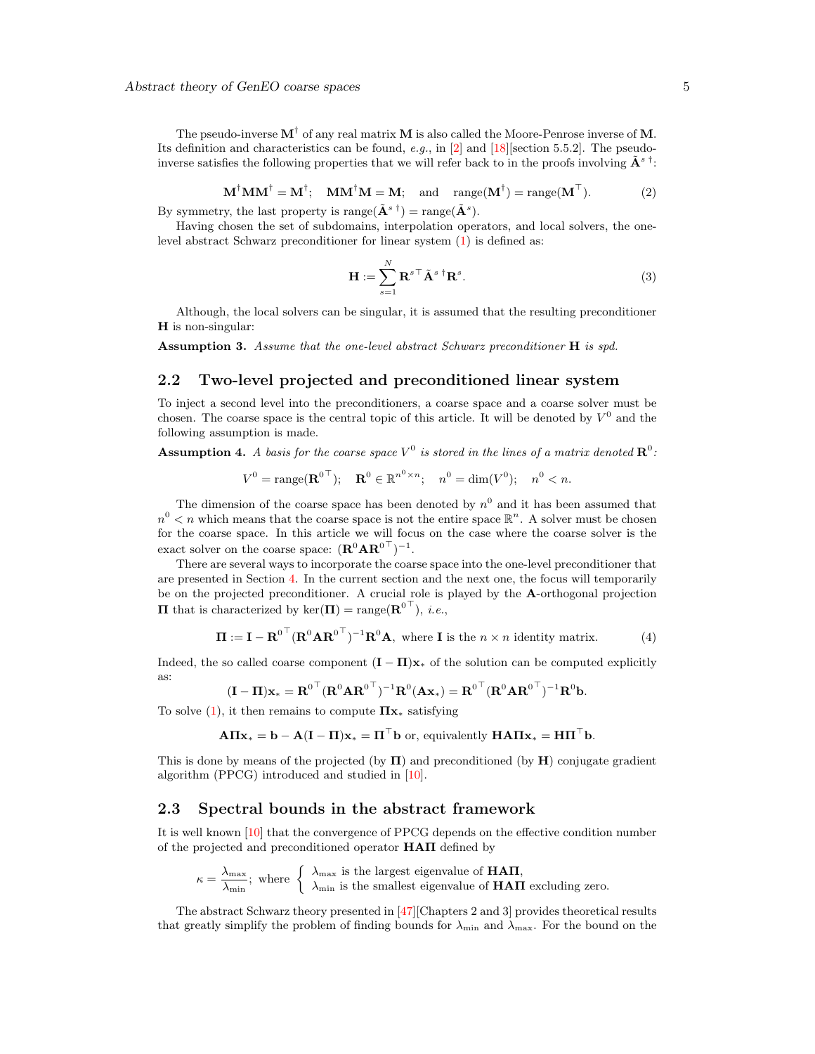The pseudo-inverse  $M^{\dagger}$  of any real matrix M is also called the Moore-Penrose inverse of M. Its definition and characteristics can be found, e.g., in [\[2\]](#page-29-7) and [\[18\]](#page-30-14) [section 5.5.2]. The pseudoinverse satisfies the following properties that we will refer back to in the proofs involving  $\tilde{\mathbf{A}}^{s \, \dagger}$ :

$$
\mathbf{M}^{\dagger} \mathbf{M} \mathbf{M}^{\dagger} = \mathbf{M}^{\dagger}; \quad \mathbf{M} \mathbf{M}^{\dagger} \mathbf{M} = \mathbf{M}; \quad \text{and} \quad \text{range}(\mathbf{M}^{\dagger}) = \text{range}(\mathbf{M}^{\top}). \tag{2}
$$

<span id="page-4-3"></span>By symmetry, the last property is range( $\tilde{\mathbf{A}}^{s \dagger}$ ) = range( $\tilde{\mathbf{A}}^{s}$ ).

Having chosen the set of subdomains, interpolation operators, and local solvers, the onelevel abstract Schwarz preconditioner for linear system [\(1\)](#page-1-1) is defined as:

<span id="page-4-5"></span>
$$
\mathbf{H} := \sum_{s=1}^{N} \mathbf{R}^{s \top} \tilde{\mathbf{A}}^{s \top} \mathbf{R}^{s}.
$$
 (3)

Although, the local solvers can be singular, it is assumed that the resulting preconditioner  **is non-singular:** 

<span id="page-4-4"></span>Assumption 3. Assume that the one-level abstract Schwarz preconditioner H is spd.

## <span id="page-4-0"></span>2.2 Two-level projected and preconditioned linear system

To inject a second level into the preconditioners, a coarse space and a coarse solver must be chosen. The coarse space is the central topic of this article. It will be denoted by  $V^0$  and the following assumption is made.

<span id="page-4-2"></span>**Assumption 4.** A basis for the coarse space  $V^0$  is stored in the lines of a matrix denoted  $\mathbb{R}^0$ :

$$
V^0 = \text{range}(\mathbf{R}^{0\top}); \quad \mathbf{R}^0 \in \mathbb{R}^{n^0 \times n}; \quad n^0 = \dim(V^0); \quad n^0 < n.
$$

The dimension of the coarse space has been denoted by  $n^0$  and it has been assumed that  $n^0 < n$  which means that the coarse space is not the entire space  $\mathbb{R}^n$ . A solver must be chosen for the coarse space. In this article we will focus on the case where the coarse solver is the exact solver on the coarse space:  $(\mathbf{R}^0 \mathbf{A} \mathbf{R}^{0\top})^{-1}$ .

There are several ways to incorporate the coarse space into the one-level preconditioner that are presented in Section [4.](#page-13-0) In the current section and the next one, the focus will temporarily be on the projected preconditioner. A crucial role is played by the A-orthogonal projection **Π** that is characterized by ker $(\mathbf{\Pi}) = \text{range}(\mathbf{R}^{0\top})$ , *i.e.*,

<span id="page-4-6"></span>
$$
\Pi := \mathbf{I} - \mathbf{R}^{0\top} (\mathbf{R}^0 \mathbf{A} \mathbf{R}^{0\top})^{-1} \mathbf{R}^0 \mathbf{A}, \text{ where } \mathbf{I} \text{ is the } n \times n \text{ identity matrix.} \tag{4}
$$

Indeed, the so called coarse component  $(I - \Pi)x_*$  of the solution can be computed explicitly as:

$$
(\mathbf{I} - \mathbf{\Pi})\mathbf{x}_{*} = \mathbf{R}^{0\top} (\mathbf{R}^{0} \mathbf{A} \mathbf{R}^{0\top})^{-1} \mathbf{R}^{0} (\mathbf{A} \mathbf{x}_{*}) = \mathbf{R}^{0\top} (\mathbf{R}^{0} \mathbf{A} \mathbf{R}^{0\top})^{-1} \mathbf{R}^{0} \mathbf{b}.
$$

To solve  $(1)$ , it then remains to compute  $\Pi x_*$  satisfying

$$
\mathbf{A}\mathbf{\Pi}\mathbf{x}_{*}=\mathbf{b}-\mathbf{A}(\mathbf{I}-\mathbf{\Pi})\mathbf{x}_{*}=\mathbf{\Pi}^{\top}\mathbf{b} \text{ or, equivalently } \mathbf{H}\mathbf{A}\mathbf{\Pi}\mathbf{x}_{*}=\mathbf{H}\mathbf{\Pi}^{\top}\mathbf{b}.
$$

This is done by means of the projected (by  $\Pi$ ) and preconditioned (by  $H$ ) conjugate gradient algorithm (PPCG) introduced and studied in [\[10\]](#page-29-8).

#### <span id="page-4-1"></span>2.3 Spectral bounds in the abstract framework

It is well known [\[10\]](#page-29-8) that the convergence of PPCG depends on the effective condition number of the projected and preconditioned operator  $HAT$  defined by

$$
\kappa = \frac{\lambda_{\max}}{\lambda_{\min}};
$$
 where  $\begin{cases} \lambda_{\max} \text{ is the largest eigenvalue of } HATI, \\ \lambda_{\min} \text{ is the smallest eigenvalue of } HATI \text{ excluding zero.} \end{cases}$ 

The abstract Schwarz theory presented in [\[47\]](#page-31-0)[Chapters 2 and 3] provides theoretical results that greatly simplify the problem of finding bounds for  $\lambda_{\min}$  and  $\lambda_{\max}$ . For the bound on the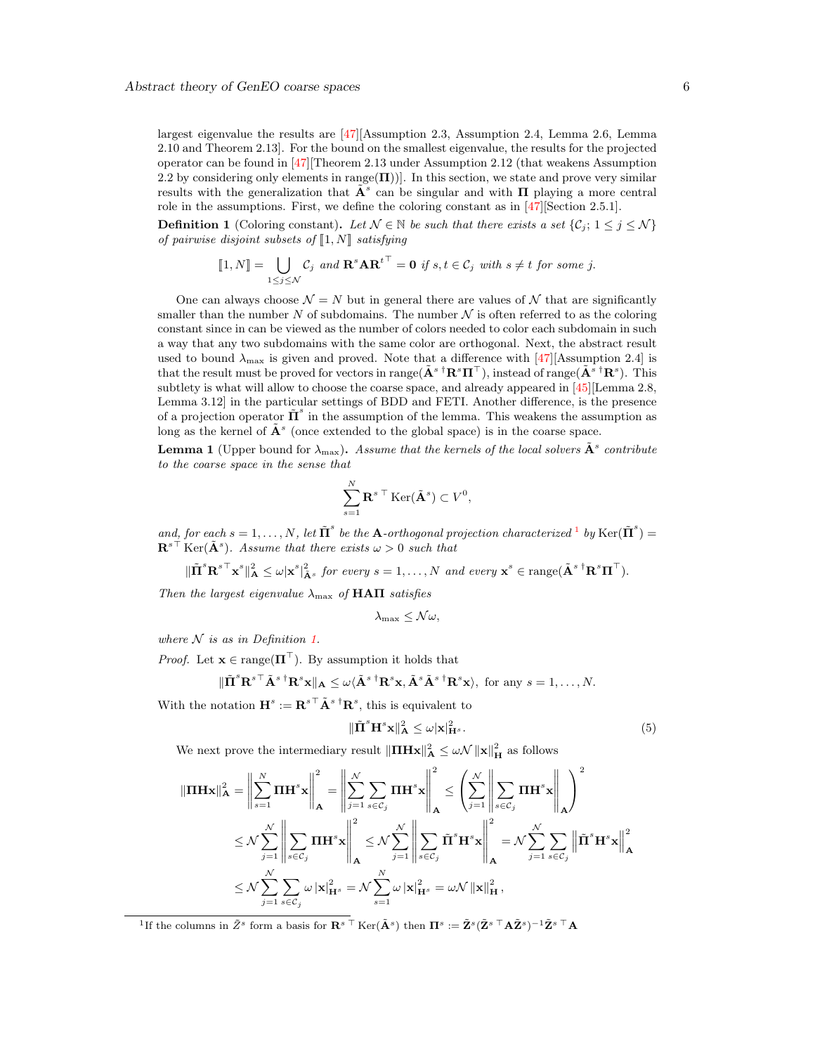largest eigenvalue the results are [\[47\]](#page-31-0)[Assumption 2.3, Assumption 2.4, Lemma 2.6, Lemma 2.10 and Theorem 2.13]. For the bound on the smallest eigenvalue, the results for the projected operator can be found in [\[47\]](#page-31-0)[Theorem 2.13 under Assumption 2.12 (that weakens Assumption 2.2 by considering only elements in range $(\Pi)$ ). In this section, we state and prove very similar results with the generalization that  $\tilde{A}^s$  can be singular and with  $\Pi$  playing a more central role in the assumptions. First, we define the coloring constant as in [\[47\]](#page-31-0)[Section 2.5.1].

<span id="page-5-1"></span>**Definition 1** (Coloring constant). Let  $\mathcal{N} \in \mathbb{N}$  be such that there exists a set  $\{C_i; 1 \leq j \leq \mathcal{N}\}\$ of pairwise disjoint subsets of  $\llbracket 1,N \rrbracket$  satisfying

$$
[\![1,N]\!]=\bigcup_{1\leq j\leq \mathcal{N}}\mathcal{C}_j \text{ and } \mathbf{R}^s\mathbf{AR}^{t\top}=\mathbf{0} \text{ if } s,t\in \mathcal{C}_j \text{ with } s\neq t \text{ for some } j.
$$

One can always choose  $\mathcal{N} = N$  but in general there are values of  $\mathcal{N}$  that are significantly smaller than the number N of subdomains. The number  $N$  is often referred to as the coloring constant since in can be viewed as the number of colors needed to color each subdomain in such a way that any two subdomains with the same color are orthogonal. Next, the abstract result used to bound  $\lambda_{\text{max}}$  is given and proved. Note that a difference with [\[47\]](#page-31-0)[Assumption 2.4] is that the result must be proved for vectors in range( $\tilde{\mathbf{A}}^{s}$ <sup>†</sup> $\mathbf{R}^{s}\mathbf{\Pi}^{\top}$ ), instead of range( $\tilde{\mathbf{A}}^{s}$ <sup>†</sup> $\mathbf{R}^{s}$ ). This subtlety is what will allow to choose the coarse space, and already appeared in [\[45\]](#page-31-10)[Lemma 2.8, Lemma 3.12] in the particular settings of BDD and FETI. Another difference, is the presence of a projection operator  $\tilde{\mathbf{\Pi}}^s$  in the assumption of the lemma. This weakens the assumption as long as the kernel of  $\tilde{A}^s$  (once extended to the global space) is in the coarse space.

<span id="page-5-3"></span>**Lemma 1** (Upper bound for  $\lambda_{\text{max}}$ ). Assume that the kernels of the local solvers  $\tilde{A}^s$  contribute to the coarse space in the sense that

$$
\sum_{s=1}^N \mathbf{R}^{s \top} \text{Ker}(\tilde{\mathbf{A}}^s) \subset V^0,
$$

and, for each  $s = 1, ..., N$  $s = 1, ..., N$  $s = 1, ..., N$ , let  $\tilde{\Pi}^s$  be the **A**-orthogonal projection characterized <sup>1</sup> by Ker $(\tilde{\Pi}^s)$  =  $\mathbf{R}^{s\top}$ Ker $(\tilde{\mathbf{A}}^s)$ . Assume that there exists  $\omega > 0$  such that

$$
\|\tilde{\Pi}^s {\mathbf{R}^s}^{\top} {\mathbf{x}^s}\|_{{\mathbf{A}}}^2 \leq \omega |{\mathbf{x}^s}|_{\tilde{\mathbf{A}}^s}^2 \text{ for every } s = 1,\ldots,N \text{ and every } {\mathbf{x}^s} \in \text{range}(\tilde{\mathbf{A}}^{s}{}^{\dagger} {\mathbf{R}^s} {\mathbf{\Pi}}^{\top}).
$$

Then the largest eigenvalue  $\lambda_{\text{max}}$  of **HAN** satisfies

$$
\lambda_{\max} \leq \mathcal{N}\omega,
$$

where  $N$  is as in Definition [1.](#page-5-1)

 $\mathbb{I}$ 

*Proof.* Let  $\mathbf{x} \in \text{range}(\Pi^{\top})$ . By assumption it holds that

$$
\tilde{\mathbf{\Pi}}^s \mathbf{R}^{s\top} \tilde{\mathbf{A}}^{s\; \dagger} \mathbf{R}^s \mathbf{x} \|_{\mathbf{A}} \leq \omega \langle \tilde{\mathbf{A}}^{s\; \dagger} \mathbf{R}^s \mathbf{x}, \tilde{\mathbf{A}}^s \tilde{\mathbf{A}}^{s\; \dagger} \mathbf{R}^s \mathbf{x} \rangle, \text{ for any } s = 1, \dots, N.
$$

With the notation  $\mathbf{H}^s := \mathbf{R}^{s\top} \tilde{\mathbf{A}}^{s\dagger} \mathbf{R}^s$ , this is equivalent to

<span id="page-5-2"></span>
$$
\|\tilde{\mathbf{\Pi}}^s \mathbf{H}^s \mathbf{x}\|_{\mathbf{A}}^2 \le \omega |\mathbf{x}|_{\mathbf{H}^s}^2.
$$
 (5)

We next prove the intermediary result  $\|\Pi H\mathbf{x}\|_{\mathbf{A}}^2 \leq \omega \mathcal{N} \|\mathbf{x}\|_{\mathbf{H}}^2$  as follows

$$
\|\Pi \mathbf{H} \mathbf{x}\|_{\mathbf{A}}^{2} = \left\| \sum_{s=1}^{N} \Pi \mathbf{H}^{s} \mathbf{x} \right\|_{\mathbf{A}}^{2} = \left\| \sum_{j=1}^{N} \sum_{s \in C_{j}} \Pi \mathbf{H}^{s} \mathbf{x} \right\|_{\mathbf{A}}^{2} \le \left( \sum_{j=1}^{N} \left\| \sum_{s \in C_{j}} \Pi \mathbf{H}^{s} \mathbf{x} \right\|_{\mathbf{A}}^{2} \right)^{2}
$$
  

$$
\le \mathcal{N} \sum_{j=1}^{N} \left\| \sum_{s \in C_{j}} \Pi \mathbf{H}^{s} \mathbf{x} \right\|_{\mathbf{A}}^{2} \le \mathcal{N} \sum_{j=1}^{N} \left\| \sum_{s \in C_{j}} \tilde{\Pi}^{s} \mathbf{H}^{s} \mathbf{x} \right\|_{\mathbf{A}}^{2} = \mathcal{N} \sum_{j=1}^{N} \sum_{s \in C_{j}} \left\| \tilde{\Pi}^{s} \mathbf{H}^{s} \mathbf{x} \right\|_{\mathbf{A}}^{2}
$$
  

$$
\le \mathcal{N} \sum_{j=1}^{N} \sum_{s \in C_{j}} \omega \left| \mathbf{x} \right|_{\mathbf{H}^{s}}^{2} = \mathcal{N} \sum_{s=1}^{N} \omega \left| \mathbf{x} \right|_{\mathbf{H}^{s}}^{2} = \omega \mathcal{N} \left\| \mathbf{x} \right\|_{\mathbf{H}}^{2},
$$

<span id="page-5-0"></span><sup>1</sup>If the columns in  $\tilde{Z}^s$  form a basis for  $\mathbf{R}^{s\top}$ Ker $(\tilde{\mathbf{A}}^s)$  then  $\mathbf{\Pi}^s := \tilde{\mathbf{Z}}^s (\tilde{\mathbf{Z}}^{s\top} \mathbf{A} \tilde{\mathbf{Z}}^s)^{-1} \tilde{\mathbf{Z}}^{s\top} \mathbf{A}$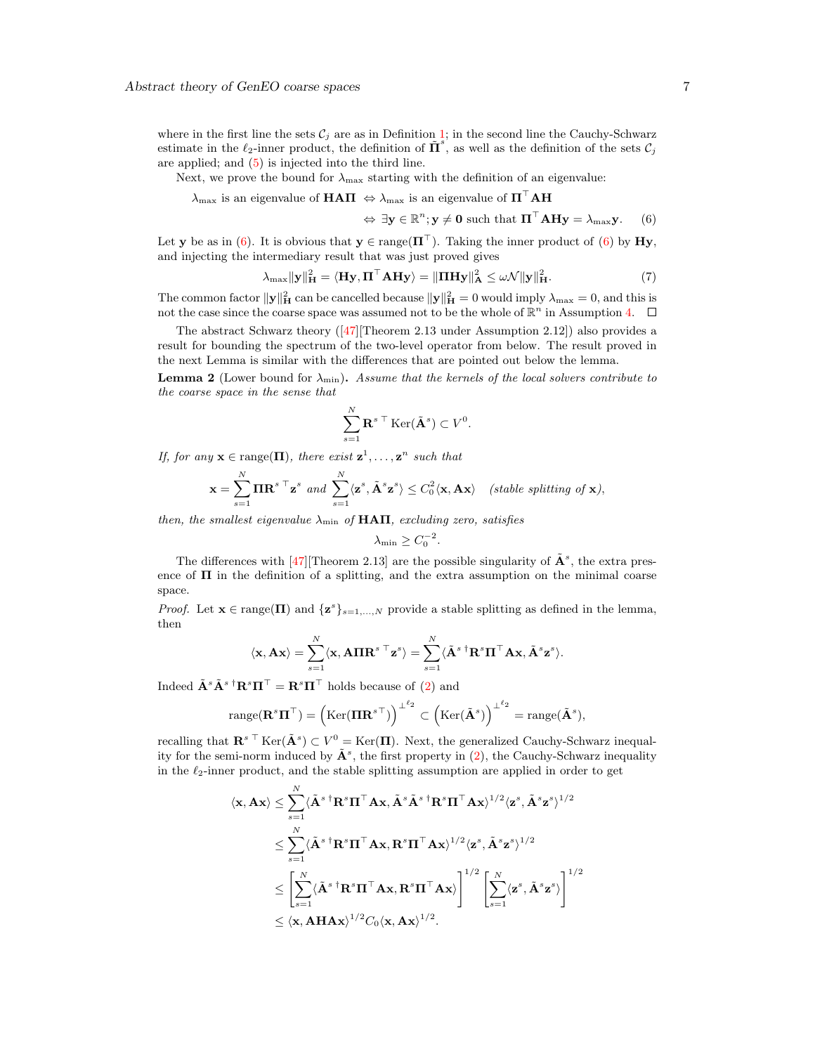where in the first line the sets  $\mathcal{C}_i$  are as in Definition [1;](#page-5-1) in the second line the Cauchy-Schwarz estimate in the  $\ell_2$ -inner product, the definition of  $\tilde{\mathbf{\Pi}}^s$ , as well as the definition of the sets  $\mathcal{C}_j$ are applied; and [\(5\)](#page-5-2) is injected into the third line.

Next, we prove the bound for  $\lambda_{\text{max}}$  starting with the definition of an eigenvalue:

$$
\lambda_{\max} \text{ is an eigenvalue of } \mathbf{HATI} \iff \lambda_{\max} \text{ is an eigenvalue of } \mathbf{H}^{\top} \mathbf{A} \mathbf{H}
$$

 $\Leftrightarrow \exists y \in \mathbb{R}^n; y \neq 0 \text{ such that } \Pi^\top \mathbf{A} \mathbf{H} y = \lambda_{\max} y.$  (6)

Let y be as in [\(6\)](#page-6-0). It is obvious that  $y \in \text{range}(\Pi^{\top})$ . Taking the inner product of (6) by Hy, and injecting the intermediary result that was just proved gives

$$
\lambda_{\max} \|\mathbf{y}\|_{\mathbf{H}}^2 = \langle \mathbf{H}\mathbf{y}, \mathbf{\Pi}^\top \mathbf{A} \mathbf{H}\mathbf{y} \rangle = \|\mathbf{\Pi} \mathbf{H}\mathbf{y}\|_{\mathbf{A}}^2 \le \omega \mathcal{N} \|\mathbf{y}\|_{\mathbf{H}}^2. \tag{7}
$$

<span id="page-6-0"></span>.

The common factor  $\|\mathbf{y}\|_{\mathbf{H}}^2$  can be cancelled because  $\|\mathbf{y}\|_{\mathbf{H}}^2 = 0$  would imply  $\lambda_{\max} = 0$ , and this is not the case since the coarse space was assumed not to be the whole of  $\mathbb{R}^n$  in Assumption [4.](#page-4-2)

The abstract Schwarz theory([\[47\]](#page-31-0)[Theorem 2.13 under Assumption 2.12]) also provides a result for bounding the spectrum of the two-level operator from below. The result proved in the next Lemma is similar with the differences that are pointed out below the lemma.

<span id="page-6-1"></span>**Lemma 2** (Lower bound for  $\lambda_{\min}$ ). Assume that the kernels of the local solvers contribute to the coarse space in the sense that

$$
\sum_{s=1}^{N} \mathbf{R}^{s \top} \text{Ker}(\tilde{\mathbf{A}}^{s}) \subset V^{0}
$$

If, for any  $\mathbf{x} \in \text{range}(\Pi)$ , there exist  $\mathbf{z}^1, \ldots, \mathbf{z}^n$  such that

$$
\mathbf{x} = \sum_{s=1}^N \mathbf{\Pi} \mathbf{R}^{s \top} \mathbf{z}^s \text{ and } \sum_{s=1}^N \langle \mathbf{z}^s, \tilde{\mathbf{A}}^s \mathbf{z}^s \rangle \le C_0^2 \langle \mathbf{x}, \mathbf{A} \mathbf{x} \rangle \text{ (stable splitting of } \mathbf{x}),
$$

then, the smallest eigenvalue  $\lambda_{\min}$  of HAH, excluding zero, satisfies

$$
\lambda_{\min} \geq C_0^{-2}.
$$

The differences with [\[47\]](#page-31-0) [Theorem 2.13] are the possible singularity of  $\tilde{\mathbf{A}}^s$ , the extra presence of  $\Pi$  in the definition of a splitting, and the extra assumption on the minimal coarse space.

*Proof.* Let  $\mathbf{x} \in \text{range}(\Pi)$  and  $\{z^s\}_{s=1,\dots,N}$  provide a stable splitting as defined in the lemma, then

$$
\langle \mathbf{x}, \mathbf{A} \mathbf{x} \rangle = \sum_{s=1}^{N} \langle \mathbf{x}, \mathbf{A} \mathbf{\Pi} \mathbf{R}^{s \top} \mathbf{z}^{s} \rangle = \sum_{s=1}^{N} \langle \tilde{\mathbf{A}}^{s \top} \mathbf{R}^{s} \mathbf{\Pi}^{\top} \mathbf{A} \mathbf{x}, \tilde{\mathbf{A}}^{s} \mathbf{z}^{s} \rangle.
$$

Indeed  $\tilde{\mathbf{A}}^s \tilde{\mathbf{A}}^s$ <sup>†</sup> $\mathbf{R}^s \mathbf{\Pi}^\top = \mathbf{R}^s \mathbf{\Pi}^\top$  holds because of [\(2\)](#page-4-3) and

$$
\operatorname{range}(\mathbf{R}^s\mathbf{\Pi}^\top)=\left(\operatorname{Ker}(\mathbf{\Pi}\mathbf{R}^{s\top})\right)^{\perp^{\ell_2}}\subset \left(\operatorname{Ker}(\tilde{\mathbf{A}}^s)\right)^{\perp^{\ell_2}}=\operatorname{range}(\tilde{\mathbf{A}}^s),
$$

recalling that  $\mathbf{R}^{s}$ <sup>T</sup> Ker $(\tilde{\mathbf{A}}^{s}) \subset V^{0} = \text{Ker}(\mathbf{\Pi})$ . Next, the generalized Cauchy-Schwarz inequality for the semi-norm induced by  $\tilde{\mathbf{A}}^s$ , the first property in [\(2\)](#page-4-3), the Cauchy-Schwarz inequality in the  $\ell_2$ -inner product, and the stable splitting assumption are applied in order to get

$$
\langle \mathbf{x}, \mathbf{A}\mathbf{x} \rangle \leq \sum_{s=1}^{N} \langle \tilde{\mathbf{A}}^{s \dagger} \mathbf{R}^{s} \Pi^{\top} \mathbf{A} \mathbf{x}, \tilde{\mathbf{A}}^{s} \tilde{\mathbf{A}}^{s \dagger} \mathbf{R}^{s} \Pi^{\top} \mathbf{A} \mathbf{x} \rangle^{1/2} \langle \mathbf{z}^{s}, \tilde{\mathbf{A}}^{s} \mathbf{z}^{s} \rangle^{1/2}
$$
  
\n
$$
\leq \sum_{s=1}^{N} \langle \tilde{\mathbf{A}}^{s \dagger} \mathbf{R}^{s} \Pi^{\top} \mathbf{A} \mathbf{x}, \mathbf{R}^{s} \Pi^{\top} \mathbf{A} \mathbf{x} \rangle^{1/2} \langle \mathbf{z}^{s}, \tilde{\mathbf{A}}^{s} \mathbf{z}^{s} \rangle^{1/2}
$$
  
\n
$$
\leq \left[ \sum_{s=1}^{N} \langle \tilde{\mathbf{A}}^{s \dagger} \mathbf{R}^{s} \Pi^{\top} \mathbf{A} \mathbf{x}, \mathbf{R}^{s} \Pi^{\top} \mathbf{A} \mathbf{x} \rangle \right]^{1/2} \left[ \sum_{s=1}^{N} \langle \mathbf{z}^{s}, \tilde{\mathbf{A}}^{s} \mathbf{z}^{s} \rangle \right]^{1/2}
$$
  
\n
$$
\leq \langle \mathbf{x}, \mathbf{A} \mathbf{H} \mathbf{A} \mathbf{x} \rangle^{1/2} C_{0} \langle \mathbf{x}, \mathbf{A} \mathbf{x} \rangle^{1/2}.
$$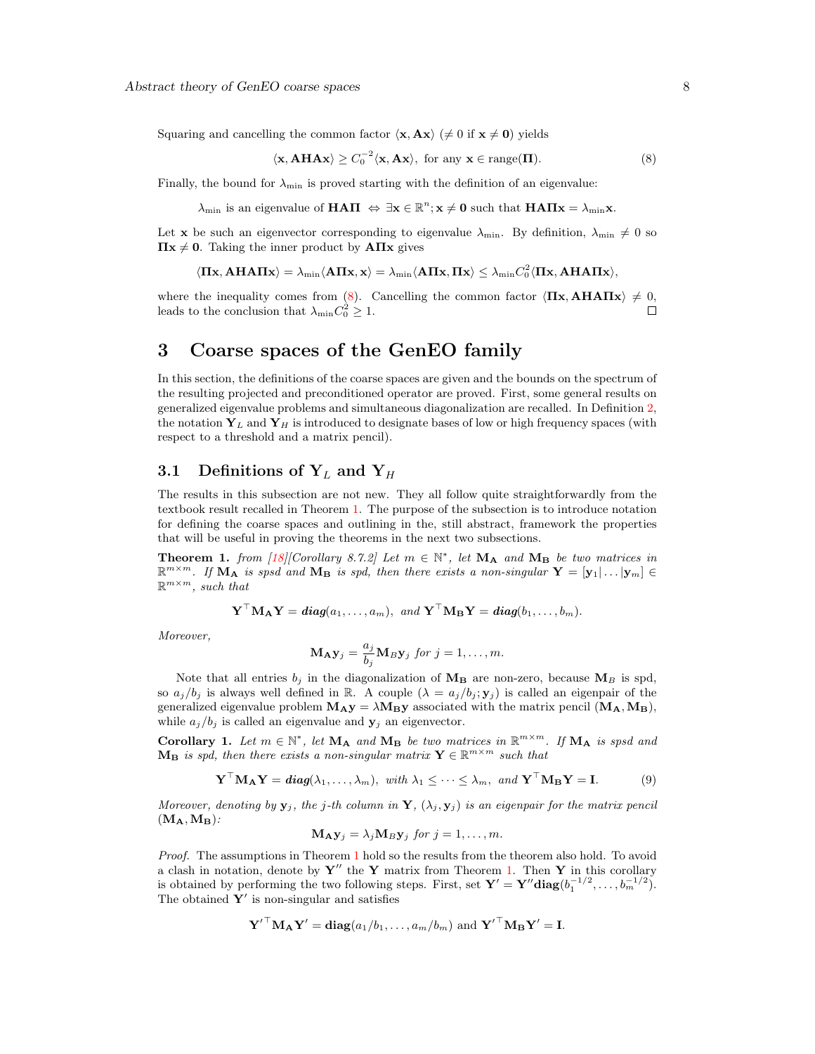Squaring and cancelling the common factor  $\langle x, Ax \rangle$  ( $\neq 0$  if  $x \neq 0$ ) yields

<span id="page-7-2"></span>
$$
\langle \mathbf{x}, \mathbf{A}\mathbf{H}\mathbf{A}\mathbf{x} \rangle \ge C_0^{-2} \langle \mathbf{x}, \mathbf{A}\mathbf{x} \rangle, \text{ for any } \mathbf{x} \in \text{range}(\mathbf{\Pi}). \tag{8}
$$

Finally, the bound for  $\lambda_{\min}$  is proved starting with the definition of an eigenvalue:

 $\lambda_{\min}$  is an eigenvalue of **HAII**  $\Leftrightarrow \exists x \in \mathbb{R}^n; x \neq 0$  such that **HAII** $x = \lambda_{\min} x$ .

Let **x** be such an eigenvector corresponding to eigenvalue  $\lambda_{\min}$ . By definition,  $\lambda_{\min} \neq 0$  so  $\Pi x \neq 0$ . Taking the inner product by  $A\Pi x$  gives

$$
\langle \Pi x, A H A \Pi x \rangle = \lambda_{\min} \langle A \Pi x, x \rangle = \lambda_{\min} \langle A \Pi x, \Pi x \rangle \leq \lambda_{\min} C_0^2 \langle \Pi x, A H A \Pi x \rangle,
$$

where the inequality comes from [\(8\)](#page-7-2). Cancelling the common factor  $\langle \Pi x, AHATx \rangle \neq 0$ , leads to the conclusion that  $\lambda_{\min} C_0^2 \geq 1$ .  $\Box$ 

## <span id="page-7-0"></span>3 Coarse spaces of the GenEO family

In this section, the definitions of the coarse spaces are given and the bounds on the spectrum of the resulting projected and preconditioned operator are proved. First, some general results on generalized eigenvalue problems and simultaneous diagonalization are recalled. In Definition [2,](#page-8-0) the notation  $Y_L$  and  $Y_H$  is introduced to designate bases of low or high frequency spaces (with respect to a threshold and a matrix pencil).

## <span id="page-7-1"></span>3.1 Definitions of  $Y_L$  and  $Y_H$

The results in this subsection are not new. They all follow quite straightforwardly from the textbook result recalled in Theorem [1.](#page-7-3) The purpose of the subsection is to introduce notation for defining the coarse spaces and outlining in the, still abstract, framework the properties that will be useful in proving the theorems in the next two subsections.

<span id="page-7-3"></span>**Theorem 1.** from [\[18\]](#page-30-14)[Corollary 8.7.2] Let  $m \in \mathbb{N}^*$ , let  $M_A$  and  $M_B$  be two matrices in  $\mathbb{R}^{m \times m}$ . If  $\mathbf{M}_{\mathbf{A}}$  is spsd and  $\mathbf{M}_{\mathbf{B}}$  is spd, then there exists a non-singular  $\mathbf{Y} = [\mathbf{y}_1 | \dots | \mathbf{y}_m] \in$  $\mathbb{R}^{m \times m}$ , such that

 $\mathbf{Y}^\top \mathbf{M}_{\mathbf{A}} \mathbf{Y} = \text{diag}(a_1, \dots, a_m), \text{ and } \mathbf{Y}^\top \mathbf{M}_{\mathbf{B}} \mathbf{Y} = \text{diag}(b_1, \dots, b_m).$ 

Moreover,

$$
\mathbf{M}_{\mathbf{A}}\mathbf{y}_{j}=\frac{a_{j}}{b_{j}}\mathbf{M}_{B}\mathbf{y}_{j} \text{ for } j=1,\ldots,m.
$$

Note that all entries  $b_j$  in the diagonalization of  $\mathbf{M}_{\mathbf{B}}$  are non-zero, because  $\mathbf{M}_B$  is spd, so  $a_j/b_j$  is always well defined in R. A couple  $(\lambda = a_j/b_j; y_j)$  is called an eigenpair of the generalized eigenvalue problem  $M_{\rm A}y = \lambda M_{\rm B}y$  associated with the matrix pencil  $(M_{\rm A},M_{\rm B})$ , while  $a_j/b_j$  is called an eigenvalue and  $y_j$  an eigenvector.

<span id="page-7-4"></span>Corollary 1. Let  $m \in \mathbb{N}^*$ , let  $M_A$  and  $M_B$  be two matrices in  $\mathbb{R}^{m \times m}$ . If  $M_A$  is spsd and  $\mathbf{M}_{\mathbf{B}}$  is spd, then there exists a non-singular matrix  $\mathbf{Y} \in \mathbb{R}^{m \times m}$  such that

$$
\mathbf{Y}^{\top} \mathbf{M}_{\mathbf{A}} \mathbf{Y} = \text{diag}(\lambda_1, \dots, \lambda_m), \text{ with } \lambda_1 \leq \dots \leq \lambda_m, \text{ and } \mathbf{Y}^{\top} \mathbf{M}_{\mathbf{B}} \mathbf{Y} = \mathbf{I}. \tag{9}
$$

Moreover, denoting by  $y_j$ , the j-th column in Y,  $(\lambda_j, y_j)$  is an eigenpair for the matrix pencil  $(M_A, M_B)$ :

<span id="page-7-5"></span>
$$
\mathbf{M}_{\mathbf{A}}\mathbf{y}_{j}=\lambda_{j}\mathbf{M}_{B}\mathbf{y}_{j} \text{ for } j=1,\ldots,m.
$$

Proof. The assumptions in Theorem [1](#page-7-3) hold so the results from the theorem also hold. To avoid a clash in notation, denote by  $Y''$  the Y matrix from Theorem [1.](#page-7-3) Then Y in this corollary is obtained by performing the two following steps. First, set  $\mathbf{Y}' = \mathbf{Y}'' \text{diag}(b_1^{-1/2}, \ldots, b_m^{-1/2}).$ The obtained  $Y'$  is non-singular and satisfies

$$
\mathbf{Y}'^{\top} \mathbf{M}_{\mathbf{A}} \mathbf{Y}' = \mathbf{diag}(a_1/b_1, \dots, a_m/b_m)
$$
 and  $\mathbf{Y}'^{\top} \mathbf{M}_{\mathbf{B}} \mathbf{Y}' = \mathbf{I}$ .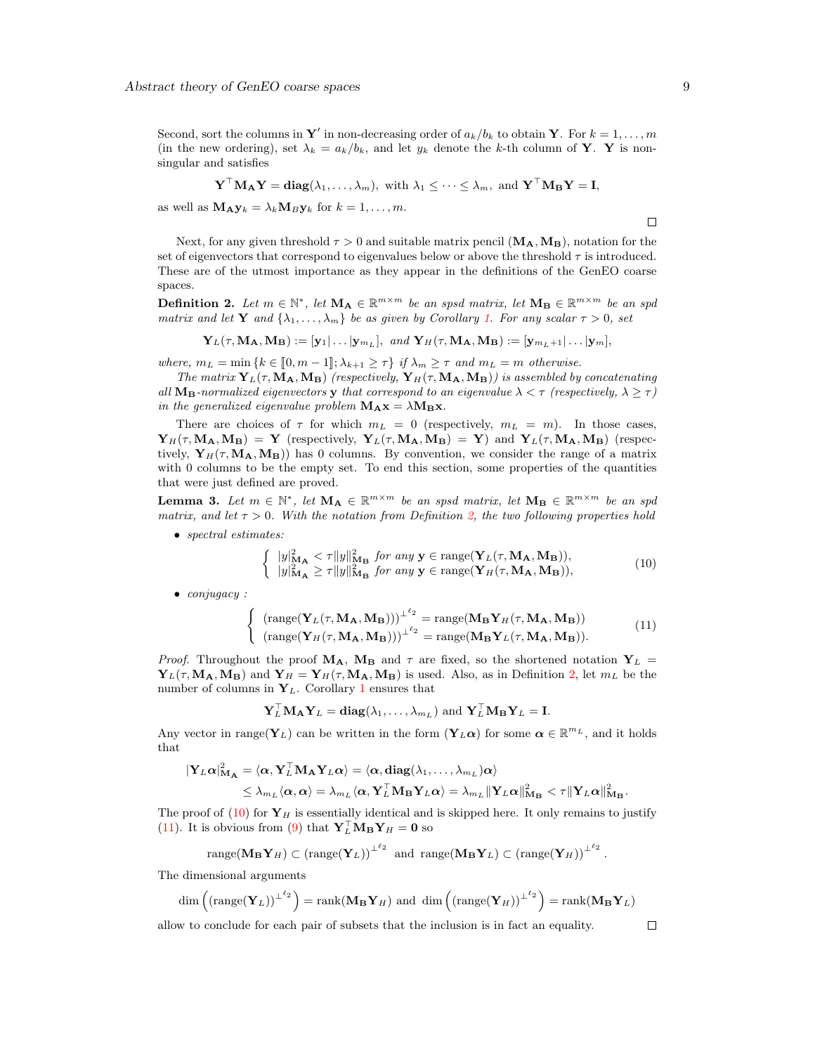Second, sort the columns in Y' in non-decreasing order of  $a_k/b_k$  to obtain Y. For  $k = 1, ..., m$ (in the new ordering), set  $\lambda_k = a_k/b_k$ , and let  $y_k$  denote the k-th column of **Y**. **Y** is nonsingular and satisfies

$$
\mathbf{Y}^{\top} \mathbf{M}_{\mathbf{A}} \mathbf{Y} = \mathbf{diag}(\lambda_1, \dots, \lambda_m), \text{ with } \lambda_1 \leq \cdots \leq \lambda_m, \text{ and } \mathbf{Y}^{\top} \mathbf{M}_{\mathbf{B}} \mathbf{Y} = \mathbf{I},
$$

as well as  $\mathbf{M}_{\mathbf{A}} \mathbf{y}_k = \lambda_k \mathbf{M}_{\mathbf{B}} \mathbf{y}_k$  for  $k = 1, \ldots, m$ .

Next, for any given threshold  $\tau > 0$  and suitable matrix pencil  $(M_A, M_B)$ , notation for the set of eigenvectors that correspond to eigenvalues below or above the threshold  $\tau$  is introduced. These are of the utmost importance as they appear in the definitions of the GenEO coarse spaces.

<span id="page-8-0"></span>**Definition 2.** Let  $m \in \mathbb{N}^*$ , let  $M_A \in \mathbb{R}^{m \times m}$  be an spsd matrix, let  $M_B \in \mathbb{R}^{m \times m}$  be an spd matrix and let **Y** and  $\{\lambda_1, \ldots, \lambda_m\}$  be as given by Corollary [1.](#page-7-4) For any scalar  $\tau > 0$ , set

$$
\mathbf{Y}_L(\tau,\mathbf{M_A},\mathbf{M_B}):=[\mathbf{y}_1|\dots|\mathbf{y}_{m_L}],\ \ and\ \mathbf{Y}_H(\tau,\mathbf{M_A},\mathbf{M_B}):=[\mathbf{y}_{m_L+1}|\dots|\mathbf{y}_m],
$$

where,  $m_L = \min \{k \in [0, m-1]; \lambda_{k+1} \geq \tau \}$  if  $\lambda_m \geq \tau$  and  $m_L = m$  otherwise.

The matrix  $Y_L(\tau, M_A, M_B)$  (respectively,  $Y_H(\tau, M_A, M_B)$ ) is assembled by concatenating all  $M_B$ -normalized eigenvectors y that correspond to an eigenvalue  $\lambda < \tau$  (respectively,  $\lambda \geq \tau$ ) in the generalized eigenvalue problem  $M_A x = \lambda M_B x$ .

There are choices of  $\tau$  for which  $m_L = 0$  (respectively,  $m_L = m$ ). In those cases,  ${\bf Y}_H(\tau, {\bf M_A}, {\bf M_B}) = {\bf Y}$  (respectively,  ${\bf Y}_L(\tau, {\bf M_A}, {\bf M_B}) = {\bf Y}$ ) and  ${\bf Y}_L(\tau, {\bf M_A}, {\bf M_B})$  (respectively,  $Y_H(\tau, M_A, M_B)$  has 0 columns. By convention, we consider the range of a matrix with 0 columns to be the empty set. To end this section, some properties of the quantities that were just defined are proved.

<span id="page-8-3"></span>**Lemma 3.** Let  $m \in \mathbb{N}^*$ , let  $M_A \in \mathbb{R}^{m \times m}$  be an spsd matrix, let  $M_B \in \mathbb{R}^{m \times m}$  be an spd matrix, and let  $\tau > 0$ . With the notation from Definition [2,](#page-8-0) the two following properties hold

• spectral estimates:

<span id="page-8-1"></span>
$$
\begin{cases} |y|_{\mathbf{M}_{\mathbf{A}}}^{2} \leq \tau \|y\|_{\mathbf{M}_{\mathbf{B}}}^{2} \text{ for any } \mathbf{y} \in \text{range}(\mathbf{Y}_{L}(\tau, \mathbf{M}_{\mathbf{A}}, \mathbf{M}_{\mathbf{B}})),\\ |y|_{\mathbf{M}_{\mathbf{A}}}^{2} \geq \tau \|y\|_{\mathbf{M}_{\mathbf{B}}}^{2} \text{ for any } \mathbf{y} \in \text{range}(\mathbf{Y}_{H}(\tau, \mathbf{M}_{\mathbf{A}}, \mathbf{M}_{\mathbf{B}})), \end{cases} \tag{10}
$$

• conjugacy :

<span id="page-8-2"></span>
$$
\begin{cases}\n(\text{range}(\mathbf{Y}_L(\tau, \mathbf{M_A}, \mathbf{M_B})))^{\perp \ell_2} = \text{range}(\mathbf{M_B}\mathbf{Y}_H(\tau, \mathbf{M_A}, \mathbf{M_B})) \\
(\text{range}(\mathbf{Y}_H(\tau, \mathbf{M_A}, \mathbf{M_B})))^{\perp \ell_2} = \text{range}(\mathbf{M_B}\mathbf{Y}_L(\tau, \mathbf{M_A}, \mathbf{M_B})).\n\end{cases} (11)
$$

Proof. Throughout the proof  $M_A$ ,  $M_B$  and  $\tau$  are fixed, so the shortened notation  $Y_L$  =  $\mathbf{Y}_L(\tau, \mathbf{M}_A, \mathbf{M}_B)$  and  $\mathbf{Y}_H = \mathbf{Y}_H(\tau, \mathbf{M}_A, \mathbf{M}_B)$  is used. Also, as in Definition [2,](#page-8-0) let  $m_L$  be the number of columns in  $Y_L$ . Corollary [1](#page-7-4) ensures that

$$
\mathbf{Y}_L^{\top} \mathbf{M}_{\mathbf{A}} \mathbf{Y}_L = \mathbf{diag}(\lambda_1, \dots, \lambda_{m_L})
$$
 and  $\mathbf{Y}_L^{\top} \mathbf{M}_{\mathbf{B}} \mathbf{Y}_L = \mathbf{I}$ .

Any vector in range( $Y_L$ ) can be written in the form  $(Y_L \alpha)$  for some  $\alpha \in \mathbb{R}^{m_L}$ , and it holds that

$$
\begin{aligned} |\mathbf{Y}_L\boldsymbol{\alpha}|^2_{\mathbf{M}_{\mathbf{A}}} &= \langle \boldsymbol{\alpha}, \mathbf{Y}_L^\top \mathbf{M}_{\mathbf{A}} \mathbf{Y}_L \boldsymbol{\alpha} \rangle = \langle \boldsymbol{\alpha}, \text{diag}(\lambda_1, \dots, \lambda_{m_L}) \boldsymbol{\alpha} \rangle \\ &\leq \lambda_{m_L} \langle \boldsymbol{\alpha}, \boldsymbol{\alpha} \rangle = \lambda_{m_L} \langle \boldsymbol{\alpha}, \mathbf{Y}_L^\top \mathbf{M}_{\mathbf{B}} \mathbf{Y}_L \boldsymbol{\alpha} \rangle = \lambda_{m_L} ||\mathbf{Y}_L \boldsymbol{\alpha}||^2_{\mathbf{M}_{\mathbf{B}}} < \tau ||\mathbf{Y}_L \boldsymbol{\alpha}||^2_{\mathbf{M}_{\mathbf{B}}} .\end{aligned}
$$

The proof of  $(10)$  for  $Y_H$  is essentially identical and is skipped here. It only remains to justify [\(11\)](#page-8-2). It is obvious from [\(9\)](#page-7-5) that  $\mathbf{Y}_L^\top \mathbf{M}_B \mathbf{Y}_H = \mathbf{0}$  so

range(
$$
\mathbf{M}_{\mathbf{B}} \mathbf{Y}_{H}
$$
)  $\subset$  (range( $\mathbf{Y}_{L}$ )) <sup>$\perp^{\ell_{2}}$</sup>  and range( $\mathbf{M}_{\mathbf{B}} \mathbf{Y}_{L}$ )  $\subset$  (range( $\mathbf{Y}_{H}$ )) <sup>$\perp^{\ell_{2}}$</sup> 

The dimensional arguments

$$
\dim\left(\left(\operatorname{range}(\mathbf{Y}_L)\right)^{\perp^{\ell_2}}\right) = \operatorname{rank}(\mathbf{M}_{\mathbf{B}}\mathbf{Y}_H) \text{ and } \dim\left(\left(\operatorname{range}(\mathbf{Y}_H)\right)^{\perp^{\ell_2}}\right) = \operatorname{rank}(\mathbf{M}_{\mathbf{B}}\mathbf{Y}_L)
$$

allow to conclude for each pair of subsets that the inclusion is in fact an equality.

 $\Box$ 

 $\Box$ 

.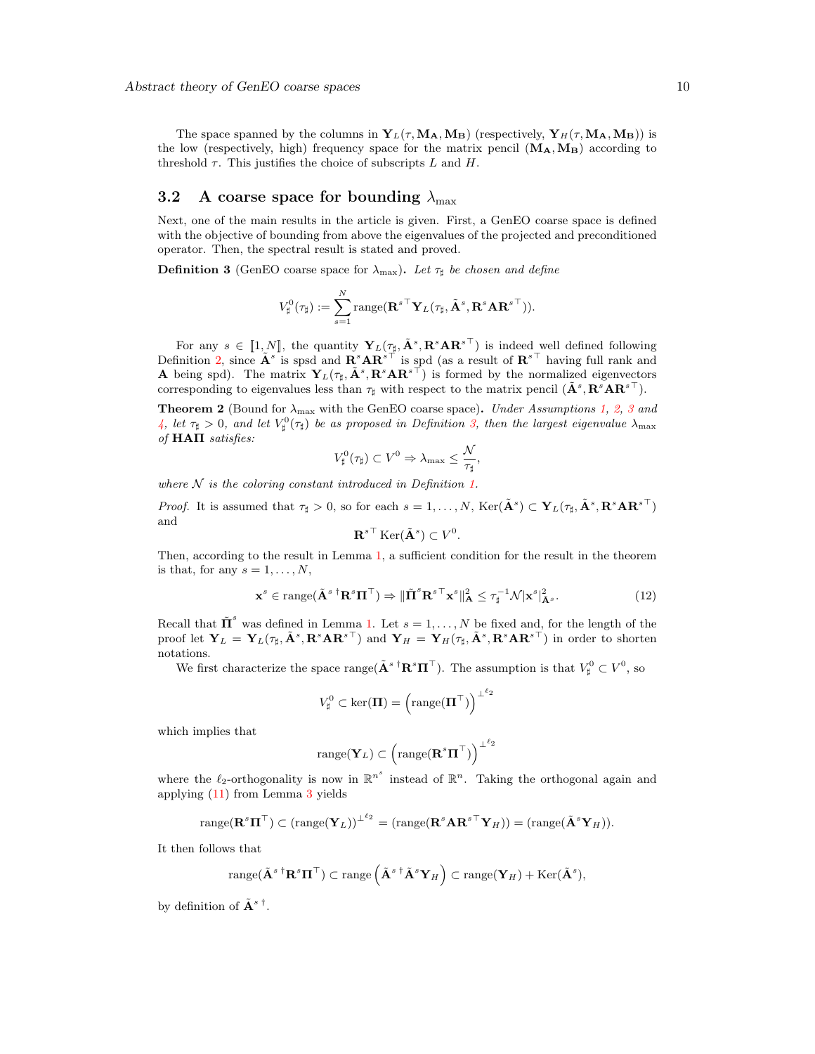The space spanned by the columns in  $Y_L(\tau, M_A, M_B)$  (respectively,  $Y_H(\tau, M_A, M_B)$ ) is the low (respectively, high) frequency space for the matrix pencil  $(M_A, M_B)$  according to threshold  $\tau$ . This justifies the choice of subscripts L and H.

## <span id="page-9-0"></span>3.2 A coarse space for bounding  $\lambda_{\text{max}}$

Next, one of the main results in the article is given. First, a GenEO coarse space is defined with the objective of bounding from above the eigenvalues of the projected and preconditioned operator. Then, the spectral result is stated and proved.

<span id="page-9-1"></span>**Definition 3** (GenEO coarse space for  $\lambda_{\text{max}}$ ). Let  $\tau_{\sharp}$  be chosen and define

$$
V^0_{\sharp}(\tau_{\sharp}):=\sum_{s=1}^N \text{range}(\mathbf{R}^{s\top}\mathbf{Y}_L(\tau_{\sharp}, \tilde{\mathbf{A}}^s,\mathbf{R}^s\mathbf{A}\mathbf{R}^{s\top})).
$$

For any  $s \in [\![1,N]\!]$ , the quantity  $\mathbf{Y}_L(\tau_{\sharp}, \tilde{\mathbf{A}}^s, \mathbf{R}^s \mathbf{A} \mathbf{R}^{s\top})$  is indeed well defined following<br>inition 2 gines  $\tilde{\mathbf{A}}^s$  is and and  $\mathbf{B}^s \mathbf{A} \mathbf{B}^{s\top}$  is and (see provided  $\mathbf{B}^{s\top$ Definition [2,](#page-8-0) since  $\mathbf{A}^s$  is spsd and  $\mathbf{R}^s \mathbf{A} \mathbf{R}^{s\top}$  is spd (as a result of  $\mathbf{R}^{s\top}$  having full rank and **A** being spd). The matrix  $Y_L(\tau_{\sharp}, \tilde{\mathbf{A}}^s, \mathbf{R}^s \mathbf{A} \mathbf{R}^{s\top})$  is formed by the normalized eigenvectors corresponding to eigenvalues less than  $\tau_{\sharp}$  with respect to the matrix pencil  $(\tilde{\mathbf{A}}^s, \mathbf{R}^s \mathbf{A} \mathbf{R}^{s\top})$ .

<span id="page-9-2"></span>**Theorem 2** (Bound for  $\lambda_{\text{max}}$  with the GenEO coarse space). Under Assumptions [1,](#page-3-2) [2,](#page-3-3) [3](#page-4-4) and [4,](#page-4-2) let  $\tau_{\sharp} > 0$ , and let  $V_{\sharp}^{0}(\tau_{\sharp})$  be as proposed in Definition [3,](#page-9-1) then the largest eigenvalue  $\lambda_{\max}$ of HAΠ satisfies:

$$
V^0_{\sharp}(\tau_{\sharp}) \subset V^0 \Rightarrow \lambda_{\max} \leq \frac{\mathcal{N}}{\tau_{\sharp}},
$$

where  $N$  is the coloring constant introduced in Definition [1.](#page-5-1)

*Proof.* It is assumed that  $\tau_{\sharp} > 0$ , so for each  $s = 1, ..., N$ , Ker $(\tilde{\mathbf{A}}^s) \subset \mathbf{Y}_L(\tau_{\sharp}, \tilde{\mathbf{A}}^s, \mathbf{R}^s \mathbf{A} \mathbf{R}^{s\top})$ and

<span id="page-9-3"></span>
$$
\mathbf{R}^{s\top} \operatorname{Ker}(\tilde{\mathbf{A}}^s) \subset V^0
$$

Then, according to the result in Lemma [1,](#page-5-3) a sufficient condition for the result in the theorem is that, for any  $s = 1, \ldots, N$ ,

$$
\mathbf{x}^s \in \text{range}(\tilde{\mathbf{A}}^{s \dagger} \mathbf{R}^s \mathbf{\Pi}^{\top}) \Rightarrow \|\tilde{\mathbf{\Pi}}^s \mathbf{R}^{s \top} \mathbf{x}^s\|_{\mathbf{A}}^2 \le \tau_{\sharp}^{-1} \mathcal{N} |\mathbf{x}^s|_{\tilde{\mathbf{A}}^s}^2. \tag{12}
$$

.

Recall that  $\tilde{\mathbf{\Pi}}^s$  was defined in Lemma [1.](#page-5-3) Let  $s = 1, ..., N$  be fixed and, for the length of the proof let  $\mathbf{Y}_L = \mathbf{Y}_L(\tau_{\sharp}, \tilde{\mathbf{A}}^s, \mathbf{R}^s \mathbf{A} \mathbf{R}^{s\top})$  and  $\mathbf{Y}_H = \mathbf{Y}_H(\tau_{\sharp}, \tilde{\mathbf{A}}^s, \mathbf{R}^s \mathbf{A} \mathbf{R}^{s\top})$  in order to shorten notations.

We first characterize the space range  $(\tilde{\mathbf{A}}^s$ <sup>†</sup> $\mathbf{R}^s \mathbf{\Pi}^{\top}$ ). The assumption is that  $V^0_{\sharp} \subset V^0$ , so

$$
V^0_\sharp \subset \ker(\boldsymbol{\Pi}) = \left(\text{range}(\boldsymbol{\Pi}^\top)\right)^{\perp^{\ell_2}}
$$

which implies that

$$
\text{range}(\mathbf{Y}_L) \subset \left(\text{range}(\mathbf{R}^s \mathbf{\Pi}^\top)\right)^{\perp^{\ell_2}}
$$

where the  $\ell_2$ -orthogonality is now in  $\mathbb{R}^{n^s}$  instead of  $\mathbb{R}^n$ . Taking the orthogonal again and applying [\(11\)](#page-8-2) from Lemma [3](#page-8-3) yields

range(
$$
\mathbf{R}^s \mathbf{\Pi}^{\top}
$$
)  $\subset$  (range( $\mathbf{Y}_L$ )) <sup>$\perp^{\ell_2}$</sup>  = (range( $\mathbf{R}^s \mathbf{A} \mathbf{R}^{s \top} \mathbf{Y}_H$ )) = (range( $\tilde{\mathbf{A}}^s \mathbf{Y}_H$ )).

It then follows that

$$
\operatorname{range}(\tilde{\mathbf{A}}^{s \, \dagger} \mathbf{R}^s \mathbf{\Pi}^{\top}) \subset \operatorname{range}\left(\tilde{\mathbf{A}}^{s \, \dagger} \tilde{\mathbf{A}}^s \mathbf{Y}_H\right) \subset \operatorname{range}(\mathbf{Y}_H) + \operatorname{Ker}(\tilde{\mathbf{A}}^s),
$$

by definition of  $\tilde{\mathbf{A}}^{s\dagger}$ .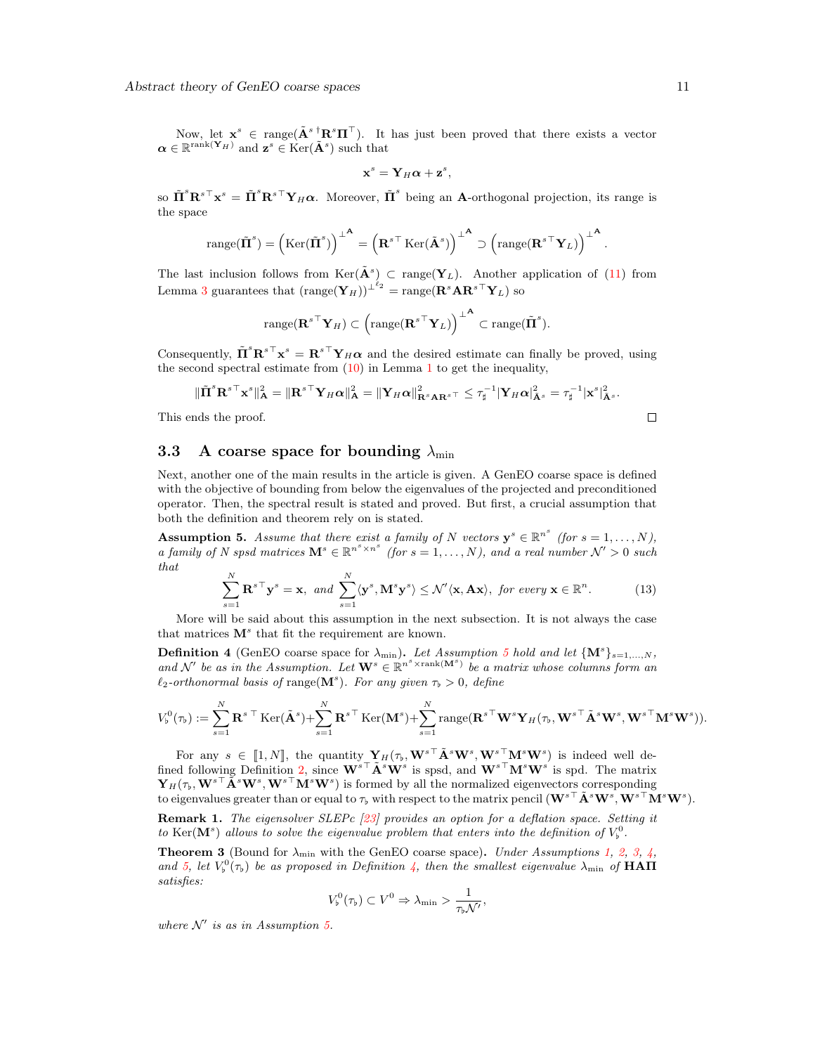Now, let  $\mathbf{x}^s \in \text{range}(\tilde{\mathbf{A}}^s \dagger \mathbf{R}^s \mathbf{\Pi}^{\top})$ . It has just been proved that there exists a vector  $\boldsymbol{\alpha} \in \mathbb{R}^{\text{rank}(\mathbf{Y}_H)}$  and  $\mathbf{z}^s \in \text{Ker}(\tilde{\mathbf{A}}^s)$  such that

$$
\mathbf{x}^s = \mathbf{Y}_H \boldsymbol{\alpha} + \mathbf{z}^s,
$$

so  $\tilde{\Pi}^s {\bf R}^{s\top} {\bf x}^s = \tilde{\Pi}^s {\bf R}^{s\top} {\bf Y}_H \alpha$ . Moreover,  $\tilde{\Pi}^s$  being an **A**-orthogonal projection, its range is the space

$$
\text{range}(\tilde{\Pi}^s) = (\text{Ker}(\tilde{\Pi}^s))^{T} = (\mathbf{R}^{s \top} \text{Ker}(\tilde{\mathbf{A}}^s))^{T} \supset (\text{range}(\mathbf{R}^{s \top} \mathbf{Y}_L))^{T}
$$

The last inclusion follows from  $\text{Ker}(\tilde{\mathbf{A}}^s) \subset \text{range}(\mathbf{Y}_L)$ . Another application of [\(11\)](#page-8-2) from Lemma [3](#page-8-3) guarantees that  $(\text{range}(\mathbf{Y}_H))^{\perp^{\ell_2}} = \text{range}(\mathbf{R}^s \mathbf{A} \mathbf{R}^{s \top} \mathbf{Y}_L)$  so

$$
\text{range}(\mathbf{R}^{s\top}\mathbf{Y}_H)\subset\left(\text{range}(\mathbf{R}^{s\top}\mathbf{Y}_L)\right)^{\perp^{\mathbf{A}}}\subset\text{range}(\tilde{\mathbf{\Pi}}^s).
$$

Consequently,  $\tilde{\Pi}^s {\bf R}^{s\top} {\bf x}^s = {\bf R}^{s\top} {\bf Y}_H {\boldsymbol{\alpha}}$  and the desired estimate can finally be proved, using the second spectral estimate from  $(10)$  $(10)$  $(10)$  in Lemma 1 to get the inequality,

$$
\|\tilde{\mathbf{\Pi}}^s \mathbf{R}^{s\top} \mathbf{x}^s\|_{\mathbf{A}}^2 = \|\mathbf{R}^{s\top} \mathbf{Y}_H \boldsymbol{\alpha}\|_{\mathbf{A}}^2 = \|\mathbf{Y}_H \boldsymbol{\alpha}\|_{\mathbf{R}^s \mathbf{A} \mathbf{R}^{s\top}}^2 \le \tau_{\sharp}^{-1} |\mathbf{Y}_H \boldsymbol{\alpha}|_{\mathbf{A}^s}^2 = \tau_{\sharp}^{-1} |\mathbf{x}^s|_{\mathbf{A}^s}^2.
$$
  
and the proof.

This ends the proof.

## <span id="page-10-0"></span>3.3 A coarse space for bounding  $\lambda_{\min}$

Next, another one of the main results in the article is given. A GenEO coarse space is defined with the objective of bounding from below the eigenvalues of the projected and preconditioned operator. Then, the spectral result is stated and proved. But first, a crucial assumption that both the definition and theorem rely on is stated.

<span id="page-10-1"></span>**Assumption 5.** Assume that there exist a family of N vectors  $y^s \in \mathbb{R}^{n^s}$  (for  $s = 1, ..., N$ ), a family of N spsd matrices  $\mathbf{M}^s \in \mathbb{R}^{n^s \times n^s}$  (for  $s = 1, ..., N$ ), and a real number  $\mathcal{N}' > 0$  such that

$$
\sum_{s=1}^{N} \mathbf{R}^{s \top} \mathbf{y}^{s} = \mathbf{x}, \ and \ \sum_{s=1}^{N} \langle \mathbf{y}^{s}, \mathbf{M}^{s} \mathbf{y}^{s} \rangle \leq \mathcal{N}' \langle \mathbf{x}, \mathbf{A} \mathbf{x} \rangle, \ for \ every \ \mathbf{x} \in \mathbb{R}^{n}.
$$
 (13)

More will be said about this assumption in the next subsection. It is not always the case that matrices  $M^s$  that fit the requirement are known.

<span id="page-10-2"></span>**Definition 4** (GenEO coarse space for  $\lambda_{\min}$ ). Let Assumption [5](#page-10-1) hold and let  $\{M^s\}_{s=1,\dots,N}$ , and N' be as in the Assumption. Let  $\mathbf{W}^s \in \mathbb{R}^{n^s \times \text{rank}(\mathbf{M}^s)}$  be a matrix whose columns form an  $\ell_2$ -orthonormal basis of range $(M^s)$ . For any given  $\tau_b > 0$ , define

$$
V_{\flat}^{0}(\tau_{\flat}) := \sum_{s=1}^{N} \mathbf{R}^{s \top} \operatorname{Ker}(\tilde{\mathbf{A}}^{s}) + \sum_{s=1}^{N} \mathbf{R}^{s \top} \operatorname{Ker}(\mathbf{M}^{s}) + \sum_{s=1}^{N} \operatorname{range}(\mathbf{R}^{s \top} \mathbf{W}^{s} \mathbf{Y}_{H}(\tau_{\flat}, \mathbf{W}^{s \top} \tilde{\mathbf{A}}^{s} \mathbf{W}^{s}, \mathbf{W}^{s \top} \mathbf{M}^{s} \mathbf{W}^{s})).
$$

For any  $s \in [1, N]$ , the quantity  $\mathbf{Y}_H(\tau_b, \mathbf{W}^{s\top} \tilde{\mathbf{A}}^s \mathbf{W}^s, \mathbf{W}^{s\top} \mathbf{M}^s \mathbf{W}^s)$  is indeed well deed following Definition 2, gines  $\mathbf{W}^{s\top} \tilde{\mathbf{A}}^s \mathbf{W}^s$  is and  $\mathbf{W}^{s\top} \mathbf{M}^s \mathbf{W$ fined following Definition [2,](#page-8-0) since  $\mathbf{W}^{s\top} \tilde{\mathbf{A}}^s \mathbf{W}^s$  is spsd, and  $\mathbf{W}^{s\top} \mathbf{M}^s \mathbf{W}^s$  is spd. The matrix  ${\bf Y}_H(\tau_\flat, \mathbf{W}^{s\top} \tilde{\mathbf{A}}^s \mathbf{W}^s, \mathbf{W}^{s\top} \mathbf{M}^s \mathbf{W}^s)$  is formed by all the normalized eigenvectors corresponding to eigenvalues greater than or equal to  $\tau_b$  with respect to the matrix pencil  $(\mathbf{W}^{s\top}\tilde{\mathbf{A}}^s\mathbf{W}^s,\mathbf{W}^{s\top}\mathbf{M}^s\mathbf{W}^s).$ 

**Remark 1.** The eigensolver SLEPc [\[23\]](#page-30-15) provides an option for a deflation space. Setting it to Ker(M<sup>s</sup>) allows to solve the eigenvalue problem that enters into the definition of  $V_{\flat}^0$ .

<span id="page-10-3"></span>**Theorem 3** (Bound for  $\lambda_{\min}$  with the GenEO coarse space). Under Assumptions [1,](#page-3-2) [2,](#page-3-3) [3,](#page-4-4) [4,](#page-4-2) and [5,](#page-10-1) let  $V_{\flat}^{0}(\tau_{\flat})$  be as proposed in Definition [4,](#page-10-2) then the smallest eigenvalue  $\lambda_{\min}$  of **HAII** satisfies:

$$
V_{\flat}^{0}(\tau_{\flat}) \subset V^{0} \Rightarrow \lambda_{\min} > \frac{1}{\tau_{\flat} \mathcal{N}'},
$$

where  $\mathcal{N}'$  is as in Assumption [5.](#page-10-1)

.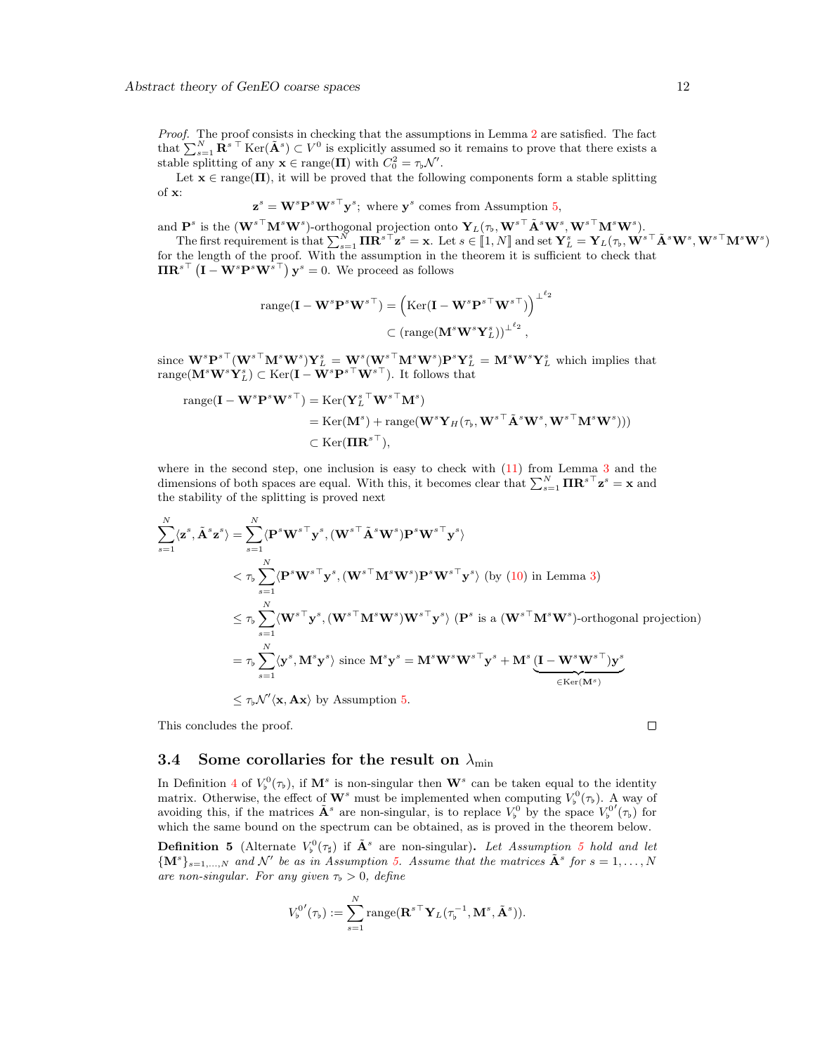Proof. The proof consists in checking that the assumptions in Lemma [2](#page-6-1) are satisfied. The fact that  $\sum_{s=1}^{N} \mathbf{R}^{s}$ <sup>T</sup> Ker $(\tilde{\mathbf{A}}^{s}) \subset V^{0}$  is explicitly assumed so it remains to prove that there exists a stable splitting of any  $\mathbf{x} \in \text{range}(\mathbf{\Pi})$  with  $C_0^2 = \tau_{\flat} \mathcal{N}'$ .

Let  $\mathbf{x} \in \text{range}(\mathbf{\Pi})$ , it will be proved that the following components form a stable splitting of x:

$$
\mathbf{z}^s = \mathbf{W}^s \mathbf{P}^s \mathbf{W}^{s \top} \mathbf{y}^s
$$
; where  $\mathbf{y}^s$  comes from Assumption 5,

and  $\mathbf{P}^s$  is the  $(\mathbf{W}^{s\top}\mathbf{M}^s\mathbf{W}^s)$ -orthogonal projection onto  $\mathbf{Y}_L(\tau_\flat, \mathbf{W}^{s\top}\tilde{\mathbf{A}}^s\mathbf{W}^s, \mathbf{W}^{s\top}\mathbf{M}^s\mathbf{W}^s)$ .

The first requirement is that  $\sum_{s=1}^{N} \mathbf{\Pi} \mathbf{R}^{s \top} \mathbf{z}^{s} = \mathbf{x}$ . Let  $s \in [1, N]$  and set  $\mathbf{Y}_{L}^{s} = \mathbf{Y}_{L}(\tau_{b}, \mathbf{W}^{s \top} \mathbf{A}^{s} \mathbf{W}^{s}, \mathbf{W}^{s \top} \mathbf{M}^{s} \mathbf{W}^{s})$ for the length of the proof. With the assumption in the theorem it is sufficient to check that  $\mathbf{\Pi} \mathbf{R}^{s\top} \left( \mathbf{I} - \mathbf{W}^s \mathbf{P}^s \mathbf{W}^{s\top} \right) \mathbf{y}^s = 0$ . We proceed as follows

$$
\begin{aligned} \text{range}(\mathbf{I} - \mathbf{W}^s \mathbf{P}^s \mathbf{W}^{s\top}) &= \left( \text{Ker}(\mathbf{I} - \mathbf{W}^s \mathbf{P}^{s\top} \mathbf{W}^{s\top}) \right)^{\perp^{\ell_2}} \\ &\subset \left( \text{range}(\mathbf{M}^s \mathbf{W}^s \mathbf{Y}_L^s) \right)^{\perp^{\ell_2}}, \end{aligned}
$$

since  $\mathbf{W}^s\mathbf{P}^{s\top}(\mathbf{W}^{s\top}\mathbf{M}^s\mathbf{W}^s)\mathbf{Y}_L^s = \mathbf{W}^s(\mathbf{W}^{s\top}\mathbf{M}^s\mathbf{W}^s)\mathbf{P}^s\mathbf{Y}_L^s = \mathbf{M}^s\mathbf{W}^s\mathbf{Y}_L^s$  which implies that range( $\mathbf{M}^s \mathbf{W}^s \mathbf{Y}_L^s$ )  $\subset \text{Ker}(\mathbf{I} - \mathbf{W}^s \mathbf{P}^{s\top} \mathbf{W}^{s\top})$ . It follows that

range(
$$
\mathbf{I} - \mathbf{W}^s \mathbf{P}^s \mathbf{W}^{s\top}
$$
) = Ker( $\mathbf{Y}_L^{s\top} \mathbf{W}^{s\top} \mathbf{M}^s$ )  
= Ker( $\mathbf{M}^s$ ) + range( $\mathbf{W}^s \mathbf{Y}_H(\tau_b, \mathbf{W}^{s\top} \tilde{\mathbf{A}}^s \mathbf{W}^s, \mathbf{W}^{s\top} \mathbf{M}^s \mathbf{W}^s$ )))  
 $\subset$  Ker( $\mathbf{I} \mathbf{IR}^{s\top}$ ),

where in the second step, one inclusion is easy to check with  $(11)$  from Lemma [3](#page-8-3) and the dimensions of both spaces are equal. With this, it becomes clear that  $\sum_{s=1}^{N} \Pi \mathbf{R}^{s \top} \mathbf{z}^{s} = \mathbf{x}$  and the stability of the splitting is proved next

$$
\sum_{s=1}^{N} \langle \mathbf{z}^{s}, \tilde{\mathbf{A}}^{s} \mathbf{z}^{s} \rangle = \sum_{s=1}^{N} \langle \mathbf{P}^{s} \mathbf{W}^{s \top} \mathbf{y}^{s}, (\mathbf{W}^{s \top} \tilde{\mathbf{A}}^{s} \mathbf{W}^{s}) \mathbf{P}^{s} \mathbf{W}^{s \top} \mathbf{y}^{s} \rangle
$$
  

$$
< \tau_{b} \sum_{s=1}^{N} \langle \mathbf{P}^{s} \mathbf{W}^{s \top} \mathbf{y}^{s}, (\mathbf{W}^{s \top} \mathbf{M}^{s} \mathbf{W}^{s}) \mathbf{P}^{s} \mathbf{W}^{s \top} \mathbf{y}^{s} \rangle \text{ (by (10) in Lemma 3)}
$$
  

$$
\leq \tau_{b} \sum_{s=1}^{N} \langle \mathbf{W}^{s \top} \mathbf{y}^{s}, (\mathbf{W}^{s \top} \mathbf{M}^{s} \mathbf{W}^{s}) \mathbf{W}^{s \top} \mathbf{y}^{s} \rangle \text{ (}\mathbf{P}^{s} \text{ is a } (\mathbf{W}^{s \top} \mathbf{M}^{s} \mathbf{W}^{s})\text{-orthogonal projection)}
$$
  

$$
= \tau_{b} \sum_{s=1}^{N} \langle \mathbf{y}^{s}, \mathbf{M}^{s} \mathbf{y}^{s} \rangle \text{ since } \mathbf{M}^{s} \mathbf{y}^{s} = \mathbf{M}^{s} \mathbf{W}^{s} \mathbf{W}^{s \top} \mathbf{y}^{s} + \mathbf{M}^{s} \underbrace{(\mathbf{I} - \mathbf{W}^{s} \mathbf{W}^{s \top}) \mathbf{y}^{s}}_{\in \text{Ker}(\mathbf{M}^{s})}
$$
  

$$
\leq \tau_{b} \mathcal{N}' \langle \mathbf{x}, \mathbf{A} \mathbf{x} \rangle \text{ by Assumption 5.}
$$

This concludes the proof.

### <span id="page-11-0"></span>3.4 Some corollaries for the result on  $\lambda_{\min}$

In Definition [4](#page-10-2) of  $V_{\flat}^{0}(\tau_{\flat})$ , if  $\mathbf{M}^{s}$  is non-singular then  $\mathbf{W}^{s}$  can be taken equal to the identity matrix. Otherwise, the effect of  $\mathbf{W}^s$  must be implemented when computing  $V_p^0(\tau_p)$ . A way of avoiding this, if the matrices  $\tilde{\mathbf{A}}^s$  are non-singular, is to replace  $V_b^0$  by the space  $V_b^{0'}(\tau_b)$  for which the same bound on the spectrum can be obtained, as is proved in the theorem below.

<span id="page-11-1"></span>**Definition [5](#page-10-1)** (Alternate  $V_b^0(\tau_\sharp)$  if  $\tilde{\mathbf{A}}^s$  are non-singular). Let Assumption 5 hold and let  ${ {\bf \left\{\bf M}^s \right\}}_{s=1,...,N}$  and N' be as in Assumption [5.](#page-10-1) Assume that the matrices  ${\tilde{\bf{A}}}^s$  for  $s=1,...,N$ are non-singular. For any given  $\tau_b > 0$ , define

$$
V_{\flat}^{0'}(\tau_{\flat}) := \sum_{s=1}^{N} \mathrm{range}(\mathbf{R}^{s\top} \mathbf{Y}_{L}(\tau_{\flat}^{-1}, \mathbf{M}^{s}, \tilde{\mathbf{A}}^{s})).
$$

 $\Box$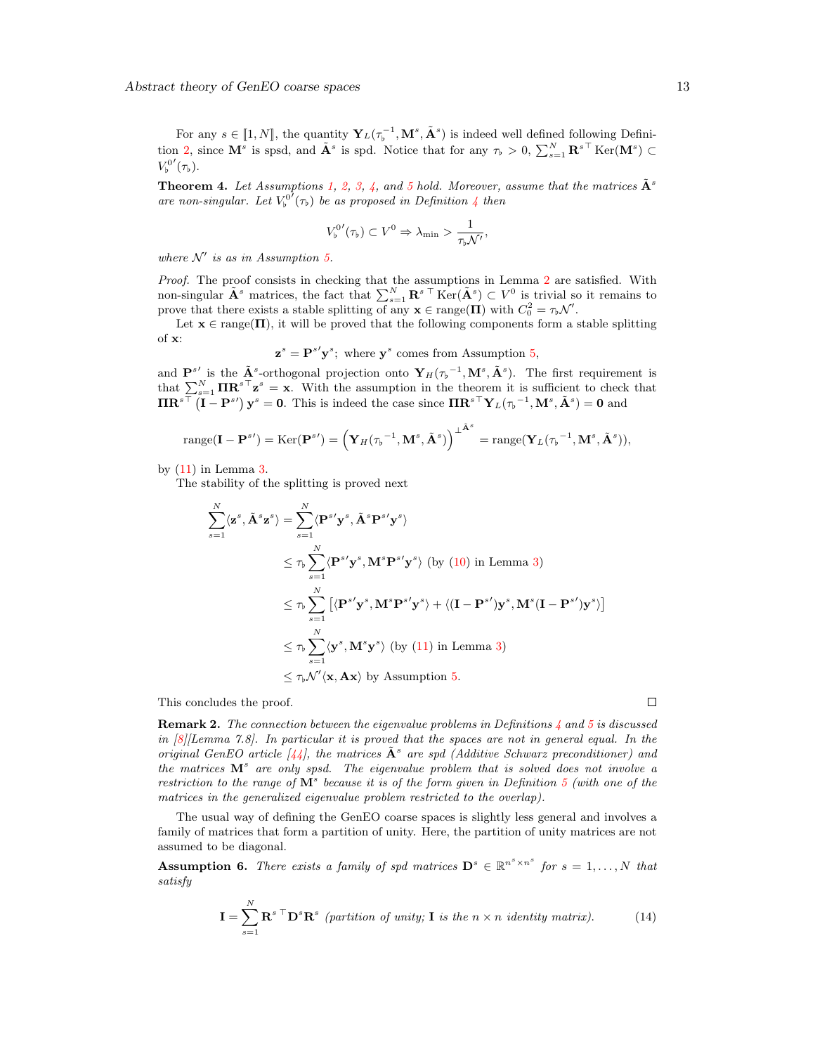For any  $s \in [1, N]$ , the quantity  $\mathbf{Y}_L(\tau_p^{-1}, \mathbf{M}^s, \tilde{\mathbf{A}}^s)$  is indeed well defined following Defini-tion [2,](#page-8-0) since  $\mathbf{M}^s$  is spsd, and  $\tilde{\mathbf{A}}^s$  is spd. Notice that for any  $\tau_b > 0$ ,  $\sum_{s=1}^N \mathbf{R}^{s\top}$  Ker $(\mathbf{M}^s) \subset$  $V_{\flat}^{0'}(\tau_{\flat}).$ 

<span id="page-12-1"></span>**Theorem 4.** Let Assumptions [1,](#page-3-2) [2,](#page-3-3) [3,](#page-4-4) [4,](#page-4-2) and [5](#page-10-1) hold. Moreover, assume that the matrices  $\tilde{A}^s$ are non-singular. Let  $V_p^{0'}(\tau_b)$  be as proposed in Definition [4](#page-10-2) then

$$
V_{\flat}^{0'}(\tau_{\flat}) \subset V^{0} \Rightarrow \lambda_{\min} > \frac{1}{\tau_{\flat} \mathcal{N}'},
$$

where  $\mathcal{N}'$  is as in Assumption [5.](#page-10-1)

Proof. The proof consists in checking that the assumptions in Lemma [2](#page-6-1) are satisfied. With non-singular  $\tilde{\mathbf{A}}^s$  matrices, the fact that  $\sum_{s=1}^N \mathbf{R}^{s\top} \text{Ker}(\tilde{\mathbf{A}}^s) \subset V^0$  is trivial so it remains to prove that there exists a stable splitting of any  $\mathbf{x} \in \text{range}(\mathbf{\Pi})$  with  $C_0^2 = \tau_{\flat} \mathcal{N}'$ .

Let  $\mathbf{x} \in \text{range}(\mathbf{\Pi})$ , it will be proved that the following components form a stable splitting of x:

$$
\mathbf{z}^s = \mathbf{P}^{s'} \mathbf{y}^s
$$
; where  $\mathbf{y}^s$  comes from Assumption 5,

and  $\mathbf{P}^{s}$  is the  $\tilde{\mathbf{A}}^s$ -orthogonal projection onto  $\mathbf{Y}_H(\tau_b^{-1}, \mathbf{M}^s, \tilde{\mathbf{A}}^s)$ . The first requirement is that  $\sum_{s=1}^{N} \Pi \mathbf{R}^{s \top} \mathbf{z}^{s} = \mathbf{x}$ . With the assumption in the theorem it is sufficient to check that  $\mathbf{\Pi} \mathbf{R}^{s\top} (\mathbf{I} - \mathbf{P}^{s\prime}) \mathbf{y}^s = \mathbf{0}$ . This is indeed the case since  $\mathbf{\Pi} \mathbf{R}^{s\top} \mathbf{Y}_L(\tau_p^{-1}, \mathbf{M}^s, \tilde{\mathbf{A}}^s) = \mathbf{0}$  and

$$
\text{range}(\mathbf{I} - \mathbf{P}^{s}) = \text{Ker}(\mathbf{P}^{s}) = \left(\mathbf{Y}_H(\tau_b^{-1}, \mathbf{M}^s, \tilde{\mathbf{A}}^s)\right)^{\perp^{\tilde{\mathbf{A}}^s}} = \text{range}(\mathbf{Y}_L(\tau_b^{-1}, \mathbf{M}^s, \tilde{\mathbf{A}}^s)),
$$

by [\(11\)](#page-8-2) in Lemma [3.](#page-8-3)

The stability of the splitting is proved next

$$
\sum_{s=1}^{N} \langle \mathbf{z}^{s}, \tilde{\mathbf{A}}^{s} \mathbf{z}^{s} \rangle = \sum_{s=1}^{N} \langle \mathbf{P}^{s'} \mathbf{y}^{s}, \tilde{\mathbf{A}}^{s} \mathbf{P}^{s'} \mathbf{y}^{s} \rangle
$$
\n
$$
\leq \tau_{\flat} \sum_{s=1}^{N} \langle \mathbf{P}^{s'} \mathbf{y}^{s}, \mathbf{M}^{s} \mathbf{P}^{s'} \mathbf{y}^{s} \rangle \text{ (by (10) in Lemma 3)}
$$
\n
$$
\leq \tau_{\flat} \sum_{s=1}^{N} \left[ \langle \mathbf{P}^{s'} \mathbf{y}^{s}, \mathbf{M}^{s} \mathbf{P}^{s'} \mathbf{y}^{s} \rangle + \langle (\mathbf{I} - \mathbf{P}^{s'}) \mathbf{y}^{s}, \mathbf{M}^{s} (\mathbf{I} - \mathbf{P}^{s'}) \mathbf{y}^{s} \rangle \right]
$$
\n
$$
\leq \tau_{\flat} \sum_{s=1}^{N} \langle \mathbf{y}^{s}, \mathbf{M}^{s} \mathbf{y}^{s} \rangle \text{ (by (11) in Lemma 3)}
$$
\n
$$
\leq \tau_{\flat} \mathcal{N}' \langle \mathbf{x}, \mathbf{A} \mathbf{x} \rangle \text{ by Assumption 5.}
$$

This concludes the proof.

**Remark 2.** The connection between the eigenvalue problems in Definitions  $\frac{1}{4}$  $\frac{1}{4}$  $\frac{1}{4}$  and  $\frac{1}{5}$  $\frac{1}{5}$  $\frac{1}{5}$  is discussed in  $\frac{8}{\lfloor n \rfloor}$  Eemma 7.8]. In particular it is proved that the spaces are not in general equal. In the original GenEO article  $\frac{1}{4}$ , the matrices  $\tilde{A}^s$  are spd (Additive Schwarz preconditioner) and the matrices  $M^s$  are only spsd. The eigenvalue problem that is solved does not involve a restriction to the range of  $M^s$  because it is of the form given in Definition [5](#page-11-1) (with one of the matrices in the generalized eigenvalue problem restricted to the overlap).

The usual way of defining the GenEO coarse spaces is slightly less general and involves a family of matrices that form a partition of unity. Here, the partition of unity matrices are not assumed to be diagonal.

<span id="page-12-0"></span>**Assumption 6.** There exists a family of spd matrices  $\mathbf{D}^s \in \mathbb{R}^{n^s \times n^s}$  for  $s = 1, ..., N$  that satisfy

$$
\mathbf{I} = \sum_{s=1}^{N} \mathbf{R}^{s}^{\top} \mathbf{D}^{s} \mathbf{R}^{s} \text{ (partition of unity; I is the } n \times n \text{ identity matrix).}
$$
 (14)

 $\Box$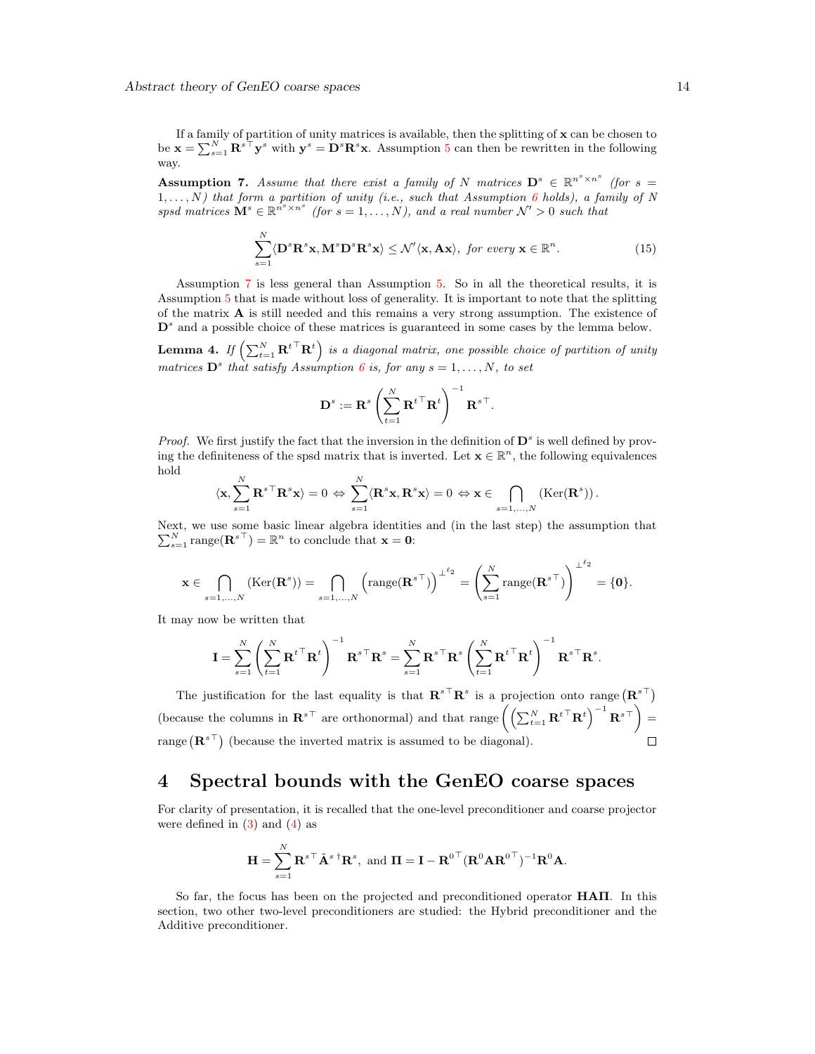If a family of partition of unity matrices is available, then the splitting of  $x$  can be chosen to be  $\mathbf{x} = \sum_{s=1}^{N} \mathbf{R}^{s\top} \mathbf{y}^s$  with  $\mathbf{y}^s = \mathbf{D}^s \mathbf{R}^s \mathbf{x}$ . Assumption [5](#page-10-1) can then be rewritten in the following way.

<span id="page-13-1"></span>**Assumption 7.** Assume that there exist a family of N matrices  $D^s \in \mathbb{R}^{n^s \times n^s}$  (for  $s =$  $1, \ldots, N$ ) that form a partition of unity (i.e., such that Assumption [6](#page-12-0) holds), a family of N spsd matrices  $\mathbf{M}^s \in \mathbb{R}^{n^s \times n^s}$  (for  $s = 1, ..., N$ ), and a real number  $\mathcal{N}' > 0$  such that

$$
\sum_{s=1}^{N} \langle \mathbf{D}^s \mathbf{R}^s \mathbf{x}, \mathbf{M}^s \mathbf{D}^s \mathbf{R}^s \mathbf{x} \rangle \le \mathcal{N}' \langle \mathbf{x}, \mathbf{A} \mathbf{x} \rangle, \text{ for every } \mathbf{x} \in \mathbb{R}^n.
$$
 (15)

Assumption [7](#page-13-1) is less general than Assumption [5.](#page-10-1) So in all the theoretical results, it is Assumption [5](#page-10-1) that is made without loss of generality. It is important to note that the splitting of the matrix A is still needed and this remains a very strong assumption. The existence of  $\mathbf{D}^s$  and a possible choice of these matrices is guaranteed in some cases by the lemma below.

<span id="page-13-2"></span>**Lemma 4.** If  $\left(\sum_{t=1}^{N} \mathbf{R}^{t}^{\top} \mathbf{R}^{t}\right)$  is a diagonal matrix, one possible choice of partition of unity matrices  $\mathbf{D}^s$  that satisfy Assumption [6](#page-12-0) is, for any  $s = 1, \ldots, N$ , to set

$$
\mathbf{D}^s := \mathbf{R}^s \left( \sum_{t=1}^N {\mathbf{R}^t}^{\top} \mathbf{R}^t \right)^{-1} {\mathbf{R}^s}^{\top}.
$$

*Proof.* We first justify the fact that the inversion in the definition of  $\mathbf{D}^s$  is well defined by proving the definiteness of the spsd matrix that is inverted. Let  $\mathbf{x} \in \mathbb{R}^n$ , the following equivalences hold

$$
\langle \mathbf{x}, \sum_{s=1}^N {\mathbf{R}^s}^{\top} \mathbf{R}^s \mathbf{x} \rangle = 0 \Leftrightarrow \sum_{s=1}^N \langle \mathbf{R}^s \mathbf{x}, \mathbf{R}^s \mathbf{x} \rangle = 0 \Leftrightarrow \mathbf{x} \in \bigcap_{s=1,...,N} (\mathrm{Ker}(\mathbf{R}^s)).
$$

Next, we use some basic linear algebra identities and (in the last step) the assumption that  $\sum_{s=1}^{N} \text{range}(\mathbf{R}^{s\top}) = \mathbb{R}^{n}$  to conclude that  $\mathbf{x} = \mathbf{0}$ :

$$
\mathbf{x} \in \bigcap_{s=1,\ldots,N} (\text{Ker}(\mathbf{R}^s)) = \bigcap_{s=1,\ldots,N} \left(\text{range}(\mathbf{R}^{s\top})\right)^{\perp^{\ell_2}} = \left(\sum_{s=1}^N \text{range}(\mathbf{R}^{s\top})\right)^{\perp^{\ell_2}} = \{\mathbf{0}\}.
$$

It may now be written that

$$
\mathbf{I} = \sum_{s=1}^N \left( \sum_{t=1}^N {\mathbf{R}^t}^{\top} {\mathbf{R}^t} \right)^{-1} {\mathbf{R}^s}^{\top} {\mathbf{R}^s} = \sum_{s=1}^N {\mathbf{R}^s}^{\top} {\mathbf{R}^s} \left( \sum_{t=1}^N {\mathbf{R}^t}^{\top} {\mathbf{R}^t} \right)^{-1} {\mathbf{R}^s}^{\top} {\mathbf{R}^s}
$$

The justification for the last equality is that  $\mathbf{R}^{s\top}\mathbf{R}^s$  is a projection onto range  $(\mathbf{R}^{s\top})$ (because the columns in  $\mathbf{R}^{s\top}$  are orthonormal) and that range  $\left(\left(\sum_{t=1}^N \mathbf{R}^{t\top} \mathbf{R}^t\right)^{-1} \mathbf{R}^{s\top}\right)$ range  $(\mathbb{R}^{s\top})$  (because the inverted matrix is assumed to be diagonal).  $\Box$ 

# <span id="page-13-0"></span>4 Spectral bounds with the GenEO coarse spaces

For clarity of presentation, it is recalled that the one-level preconditioner and coarse projector were defined in  $(3)$  and  $(4)$  as

$$
\mathbf{H} = \sum_{s=1}^{N} \mathbf{R}^{s\top} \tilde{\mathbf{A}}^{s\top} \mathbf{R}^{s}, \text{ and } \mathbf{\Pi} = \mathbf{I} - \mathbf{R}^{0\top} (\mathbf{R}^{0} \mathbf{A} \mathbf{R}^{0\top})^{-1} \mathbf{R}^{0} \mathbf{A}.
$$

So far, the focus has been on the projected and preconditioned operator HAΠ. In this section, two other two-level preconditioners are studied: the Hybrid preconditioner and the Additive preconditioner.

.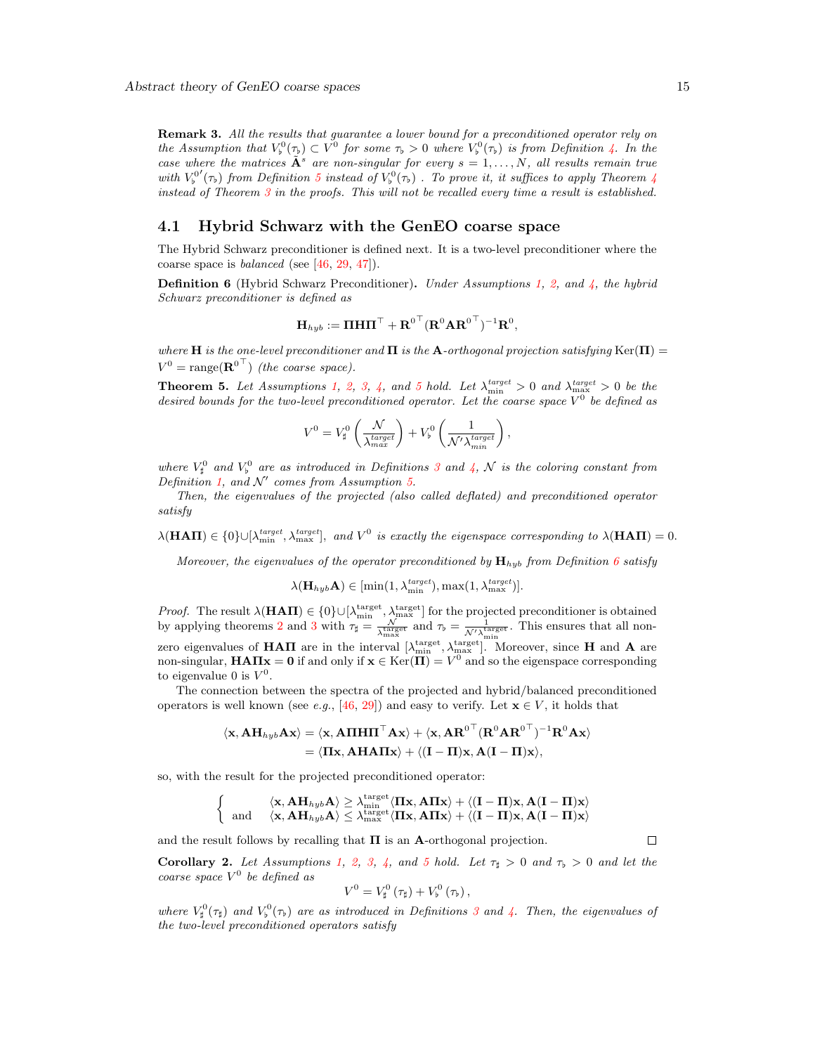**Remark 3.** All the results that quarantee a lower bound for a preconditioned operator rely on the Assumption that  $V_{\flat}^0(\tau_{\flat}) \subset V^0$  for some  $\tau_{\flat} > 0$  where  $V_{\flat}^0(\tau_{\flat})$  is from Definition [4.](#page-10-2) In the case where the matrices  $\tilde{A}^s$  are non-singular for every  $s = 1, ..., N$ , all results remain true with  $V^{0'}_b(\tau_b)$  from Definition [5](#page-11-1) instead of  $V^0_b(\tau_b)$ . To prove it, it suffices to apply Theorem [4](#page-12-1) instead of Theorem [3](#page-10-3) in the proofs. This will not be recalled every time a result is established.

#### <span id="page-14-0"></span>4.1 Hybrid Schwarz with the GenEO coarse space

The Hybrid Schwarz preconditioner is defined next. It is a two-level preconditioner where the coarse space is *balanced* (see  $[46, 29, 47]$  $[46, 29, 47]$  $[46, 29, 47]$  $[46, 29, 47]$ ).

<span id="page-14-1"></span>**Definition 6** (Hybrid Schwarz Preconditioner). Under Assumptions [1,](#page-3-2) [2,](#page-3-3) and  $\lambda$ , the hybrid Schwarz preconditioner is defined as

$$
\mathbf{H}_{hyb} := \boldsymbol{\Pi}\mathbf{H}\boldsymbol{\Pi}^\top + \mathbf{R}^{0\top} (\mathbf{R}^{0}\mathbf{A}\mathbf{R}^{0\top})^{-1}\mathbf{R}^{0},
$$

where H is the one-level preconditioner and  $\Pi$  is the A-orthogonal projection satisfying Ker( $\Pi$ ) =  $V^0 = \text{range}(\mathbf{R}^{0\top})$  (the coarse space).

**Theorem [5](#page-10-1).** Let Assumptions [1,](#page-3-2) [2,](#page-3-3) [3,](#page-4-4) [4,](#page-4-2) and 5 hold. Let  $\lambda_{\min}^{target} > 0$  and  $\lambda_{\max}^{target} > 0$  be the desired bounds for the two-level preconditioned operator. Let the coarse space  $V^0$  be defined as

$$
V^{0} = V_{\sharp}^{0} \left( \frac{\mathcal{N}}{\lambda_{max}^{target}} \right) + V_{\flat}^{0} \left( \frac{1}{\mathcal{N}' \lambda_{min}^{target}} \right),
$$

where  $V^0_\sharp$  and  $V^0_\flat$  are as introduced in Definitions [3](#page-9-1) and [4,](#page-10-2)  $\mathcal N$  is the coloring constant from Definition [1,](#page-5-1) and  $\mathcal{N}'$  comes from Assumption [5.](#page-10-1)

Then, the eigenvalues of the projected (also called deflated) and preconditioned operator satisfy

 $\lambda(\mathbf{H}\mathbf{A}\mathbf{\Pi}) \in \{0\} \cup [\lambda_{\min}^{target}, \lambda_{\max}^{target}],$  and  $V^0$  is exactly the eigenspace corresponding to  $\lambda(\mathbf{H}\mathbf{A}\mathbf{\Pi}) = 0$ .

Moreover, the eigenvalues of the operator preconditioned by  $\mathbf{H}_{hyb}$  from Definition [6](#page-14-1) satisfy

$$
\lambda(\mathbf{H}_{hyb}\mathbf{A}) \in [\min(1, \lambda_{\min}^{target}), \max(1, \lambda_{\max}^{target})].
$$

*Proof.* The result  $\lambda(\textbf{HAT}) \in \{0\} \cup [\lambda_{\min}^{\text{target}}, \lambda_{\max}^{\text{target}}]$  for the projected preconditioner is obtained by applying theorems [2](#page-9-2) and [3](#page-10-3) with  $\tau_{\sharp} = \frac{N}{\sqrt{\tan \xi}}$  $\frac{\mathcal{N}}{\lambda_{\text{max}}^{\text{target}}}$  and  $\tau_{\flat} = \frac{1}{\mathcal{N}'\lambda_{\text{min}}^{\text{target}}}$ . This ensures that all nonzero eigenvalues of **HAII** are in the interval  $[\lambda_{\min}^{\text{target}}, \lambda_{\max}^{\text{target}}]$ . Moreover, since **H** and **A** are non-singular,  $HATI_x = 0$  if and only if  $x \in \text{Ker}(\overline{\Pi}) = V^0$  and so the eigenspace corresponding to eigenvalue 0 is  $V^0$ .

The connection between the spectra of the projected and hybrid/balanced preconditioned operators is well known (see e.g., [\[46,](#page-31-16) [29\]](#page-30-16)) and easy to verify. Let  $\mathbf{x} \in V$ , it holds that

$$
\langle \mathbf{x}, \mathbf{A} \mathbf{H}_{hyb} \mathbf{A} \mathbf{x} \rangle = \langle \mathbf{x}, \mathbf{A} \Pi \mathbf{H} \Pi^{\top} \mathbf{A} \mathbf{x} \rangle + \langle \mathbf{x}, \mathbf{A} \mathbf{R}^{0 \top} (\mathbf{R}^{0} \mathbf{A} \mathbf{R}^{0 \top})^{-1} \mathbf{R}^{0} \mathbf{A} \mathbf{x} \rangle = \langle \Pi \mathbf{x}, \mathbf{A} \mathbf{H} \mathbf{A} \Pi \mathbf{x} \rangle + \langle (\mathbf{I} - \Pi) \mathbf{x}, \mathbf{A} (\mathbf{I} - \Pi) \mathbf{x} \rangle,
$$

so, with the result for the projected preconditioned operator:

$$
\left\{\begin{array}{cc} \langle \mathbf{x}, \mathbf{A}\mathbf{H}_{hyb}\mathbf{A}\rangle\geq \lambda_{\min}^{\mathrm{target}}\langle \Pi \mathbf{x}, \mathbf{A}\Pi \mathbf{x}\rangle+\langle (\mathbf{I}-\Pi) \mathbf{x}, \mathbf{A}(\mathbf{I}-\Pi) \mathbf{x}\rangle\\ \mathrm{and} & \langle \mathbf{x}, \mathbf{A}\mathbf{H}_{hyb}\mathbf{A}\rangle\leq \lambda_{\max}^{\mathrm{target}}\langle \Pi \mathbf{x}, \mathbf{A}\Pi \mathbf{x}\rangle+\langle (\mathbf{I}-\Pi) \mathbf{x}, \mathbf{A}(\mathbf{I}-\Pi) \mathbf{x}\rangle\end{array}\right.
$$

and the result follows by recalling that  $\Pi$  is an **A**-orthogonal projection.

<span id="page-14-2"></span>Corollary 2. Let Assumptions [1,](#page-3-2) [2,](#page-3-3) [3,](#page-4-4) [4,](#page-4-2) and [5](#page-10-1) hold. Let  $\tau_{\sharp} > 0$  and  $\tau_{\nu} > 0$  and let the coarse space  $V^0$  be defined as

$$
V^{0}=V_{\sharp}^{0}\left(\tau_{\sharp}\right)+V_{\flat}^{0}\left(\tau_{\flat}\right),\,
$$

where  $V^0_\sharp(\tau_\sharp)$  and  $V^0_\flat(\tau_\flat)$  are as introduced in Definitions [3](#page-9-1) and [4.](#page-10-2) Then, the eigenvalues of the two-level preconditioned operators satisfy

 $\Box$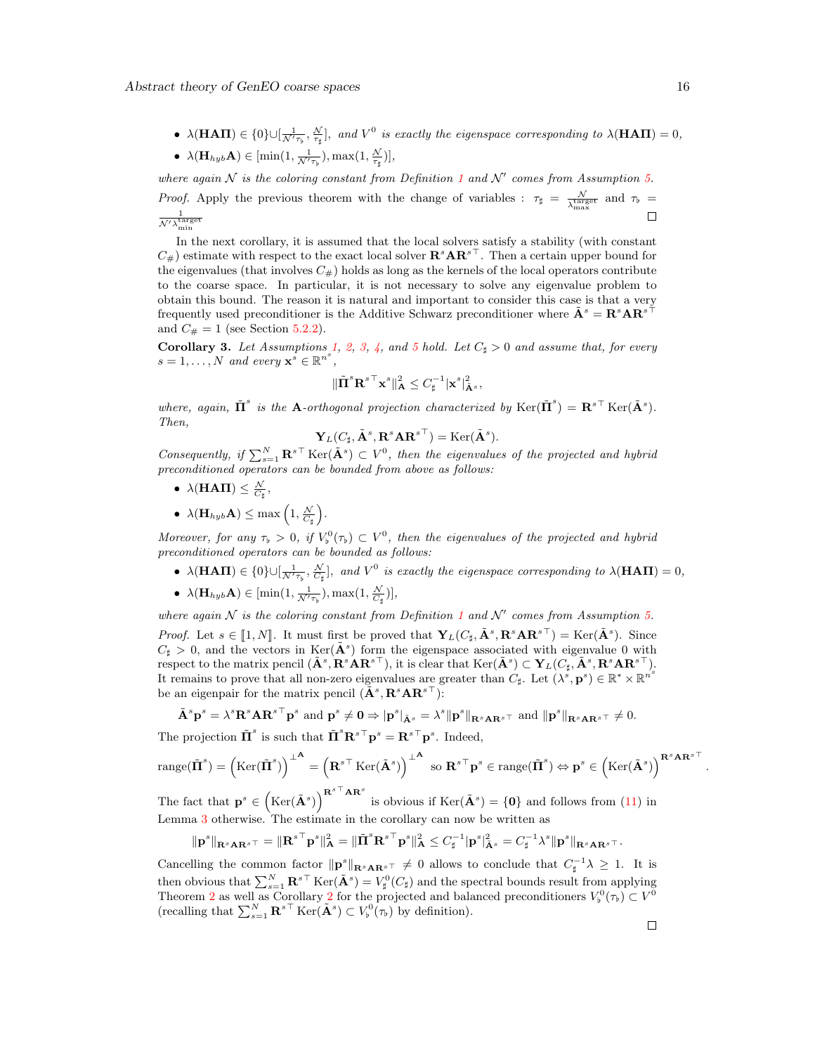•  $\lambda(HAT) \in \{0\} \cup [\frac{1}{\mathcal{N}'\tau_{\beta}}, \frac{\mathcal{N}}{\tau_{\sharp}}]$ , and  $V^0$  is exactly the eigenspace corresponding to  $\lambda(HAT) = 0$ , •  $\lambda(\mathbf{H}_{hyb} \mathbf{A}) \in [\min(1, \frac{1}{\mathcal{N}'\tau_{\flat}}), \max(1, \frac{\mathcal{N}}{\tau_{\sharp}})],$ 

where again  $N$  is the coloring constant from Definition [1](#page-5-1) and  $N'$  comes from Assumption [5.](#page-10-1) *Proof.* Apply the previous theorem with the change of variables :  $\tau_{\sharp} = \frac{N}{\sqrt{\tan n}}$  $\frac{\mathcal{N}}{\lambda_{\rm max}^{\rm target}}$  and  $\tau_{\rm b}$  =  $\frac{1}{\mathcal{N}'\lambda_{\min}^{\text{target}}}$  $\Box$ 

In the next corollary, it is assumed that the local solvers satisfy a stability (with constant  $C_{\#}$ ) estimate with respect to the exact local solver  $\mathbf{R}^s\mathbf{AR}^{s\perp}$ . Then a certain upper bound for the eigenvalues (that involves  $C_{\#}$ ) holds as long as the kernels of the local operators contribute to the coarse space. In particular, it is not necessary to solve any eigenvalue problem to obtain this bound. The reason it is natural and important to consider this case is that a very frequently used preconditioner is the Additive Schwarz preconditioner where  $\tilde{\mathbf{A}}^s = \mathbf{R}^s \mathbf{A} \mathbf{R}^{s\top}$ and  $C_{\#} = 1$  (see Section [5.2.2\)](#page-20-0).

<span id="page-15-0"></span>**Corollary 3.** Let Assumptions [1,](#page-3-2) [2,](#page-3-3) [3,](#page-4-4) [4,](#page-4-2) and [5](#page-10-1) hold. Let  $C_{\sharp} > 0$  and assume that, for every  $s = 1, \ldots, N$  and every  $\mathbf{x}^s \in \mathbb{R}^{n^s}$ ,

$$
\|\tilde{\boldsymbol{\Pi}}^s{\boldsymbol{\mathbf{R}}}^{s\top}{\boldsymbol{\mathbf{x}}}^s\|^2_{\mathbf{A}} \leq C^{-1}_{\sharp}|\boldsymbol{\mathbf{x}}^s|^2_{\tilde{\mathbf{A}}^s},
$$

where, again,  $\tilde{\Pi}^s$  is the **A**-orthogonal projection characterized by  $\text{Ker}(\tilde{\Pi}^s) = \mathbf{R}^{s\top} \text{Ker}(\tilde{\mathbf{A}}^s)$ . Then,

$$
\mathbf{Y}_L(C_{\sharp}, \tilde{\mathbf{A}}^s, \mathbf{R}^s\mathbf{A}\mathbf{R}^{s\top}) = \mathrm{Ker}(\tilde{\mathbf{A}}^s).
$$

Consequently, if  $\sum_{s=1}^{N} \mathbf{R}^{s\top}$  Ker $(\tilde{\mathbf{A}}^{s}) \subset V^{0}$ , then the eigenvalues of the projected and hybrid preconditioned operators can be bounded from above as follows:

- $\lambda(\text{HATI}) \leq \frac{\mathcal{N}}{C_{\sharp}},$
- $\lambda(\mathbf{H}_{hyb} \mathbf{A}) \leq \max\left(1, \frac{\mathcal{N}}{C_{\sharp}}\right).$

Moreover, for any  $\tau_{\flat} > 0$ , if  $V_{\flat}^{0}(\tau_{\flat}) \subset V^{0}$ , then the eigenvalues of the projected and hybrid preconditioned operators can be bounded as follows:

- $\lambda(HAT) \in \{0\} \cup [\frac{1}{\mathcal{N}'\tau_{\mathfrak{p}}}, \frac{\mathcal{N}}{C_{\sharp}}]$ , and  $V^0$  is exactly the eigenspace corresponding to  $\lambda(HAT) = 0$ ,
- $\lambda(\mathbf{H}_{hyb}\mathbf{A}) \in [\min(1, \frac{1}{\mathcal{N}'\tau_{\flat}}), \max(1, \frac{\mathcal{N}}{C_{\sharp}})],$

where again  $N$  is the coloring constant from Definition [1](#page-5-1) and  $N'$  comes from Assumption [5.](#page-10-1) *Proof.* Let  $s \in [\![1,N]\!]$ . It must first be proved that  $\mathbf{Y}_L(C_\sharp, \tilde{\mathbf{A}}^s, \mathbf{R}^s \mathbf{A} \mathbf{R}^{s\top}) = \text{Ker}(\tilde{\mathbf{A}}^s)$ . Since  $C > 0$  and the vectors in  $\text{Ker}(\tilde{\mathbf{A}}^s)$  form the given process associated with giv  $C_{\sharp} > 0$ , and the vectors in Ker( $\tilde{A}^{s}$ ) form the eigenspace associated with eigenvalue 0 with respect to the matrix pencil  $(\tilde{\mathbf{A}}^s, \mathbf{R}^s\mathbf{A}\mathbf{R}^{s\top})$ , it is clear that  $\text{Ker}(\tilde{\mathbf{A}}^s) \subset \mathbf{Y}_L(C_{\sharp}, \tilde{\mathbf{A}}^s, \mathbf{R}^s\mathbf{A}\mathbf{R}^{s\top})$ . It remains to prove that all non-zero eigenvalues are greater than  $C_{\sharp}$ . Let  $(\lambda^s, \mathbf{p}^s) \in \mathbb{R}^* \times \mathbb{R}^{n^s}$ be an eigenpair for the matrix pencil  $(\tilde{\mathbf{A}}^s, \mathbf{R}^s \mathbf{A} \mathbf{R}^{s\top})$ :

$$
\tilde{\mathbf{A}}^s \mathbf{p}^s = \lambda^s \mathbf{R}^s \mathbf{A} \mathbf{R}^{s \top} \mathbf{p}^s \text{ and } \mathbf{p}^s \neq \mathbf{0} \Rightarrow |\mathbf{p}^s|_{\tilde{\mathbf{A}}^s} = \lambda^s ||\mathbf{p}^s||_{\mathbf{R}^s \mathbf{A} \mathbf{R}^{s \top}} \text{ and } ||\mathbf{p}^s||_{\mathbf{R}^s \mathbf{A} \mathbf{R}^{s \top}} \neq 0.
$$
  
The projection  $\tilde{\mathbf{\Pi}}^s$  is such that  $\tilde{\mathbf{\Pi}}^s \mathbf{R}^{s \top} \mathbf{p}^s = \mathbf{R}^{s \top} \mathbf{p}^s$ . Indeed,

$$
\operatorname{range}(\tilde{\Pi}^s) = \left(\operatorname{Ker}(\tilde{\Pi}^s)\right)^{\perp^{\mathbf{A}}} = \left(\mathbf{R}^{s\top} \operatorname{Ker}(\tilde{\mathbf{A}}^s)\right)^{\perp^{\mathbf{A}}} \text{ so } \mathbf{R}^{s\top} \mathbf{p}^s \in \operatorname{range}(\tilde{\Pi}^s) \Leftrightarrow \mathbf{p}^s \in \left(\operatorname{Ker}(\tilde{\mathbf{A}}^s)\right)^{\mathbf{R}^s \mathbf{A} \mathbf{R}^{s\top}}
$$

The fact that  $\mathbf{p}^s \in (\text{Ker}(\tilde{\mathbf{A}}^s))^{R^{s\top}AR^s}$  is obvious if  $\text{Ker}(\tilde{\mathbf{A}}^s) = \{0\}$  and follows from [\(11\)](#page-8-2) in Lemma [3](#page-8-3) otherwise. The estimate in the corollary can now be written as

$$
\|\mathbf{p}^s\|_{\mathbf{R}^s\mathbf{A}\mathbf{R}^{s\top}}=\|\mathbf{R}^{s\top}\mathbf{p}^s\|_{\mathbf{A}}^2=\|\tilde{\Pi}^s\mathbf{R}^{s\top}\mathbf{p}^s\|_{\mathbf{A}}^2\leq C_{\sharp}^{-1}|\mathbf{p}^s|_{\tilde{\mathbf{A}}^s}^2=C_{\sharp}^{-1}\lambda^s\|\mathbf{p}^s\|_{\mathbf{R}^s\mathbf{A}\mathbf{R}^{s\top}}.
$$

Cancelling the common factor  $\|\mathbf{p}^s\|_{\mathbf{R}^s\mathbf{A}\mathbf{R}^{s\top}} \neq 0$  allows to conclude that  $C_{\sharp}^{-1}\lambda \geq 1$ . It is then obvious that  $\sum_{s=1}^{N} \mathbf{R}^{s\top} \text{Ker}(\tilde{\mathbf{A}}^{s}) = V_{\sharp}^{0}(C_{\sharp})$  and the spectral bounds result from applying Theorem [2](#page-14-2) as well as Corollary 2 for the projected and balanced preconditioners  $V_p^0(\tau_b) \subset V_p^0$ (recalling that  $\sum_{s=1}^{N} \mathbf{R}^{s\top} \text{Ker}(\tilde{\mathbf{A}}^{s}) \subset V_{\flat}^{0}(\tau_{\flat})$  by definition).

.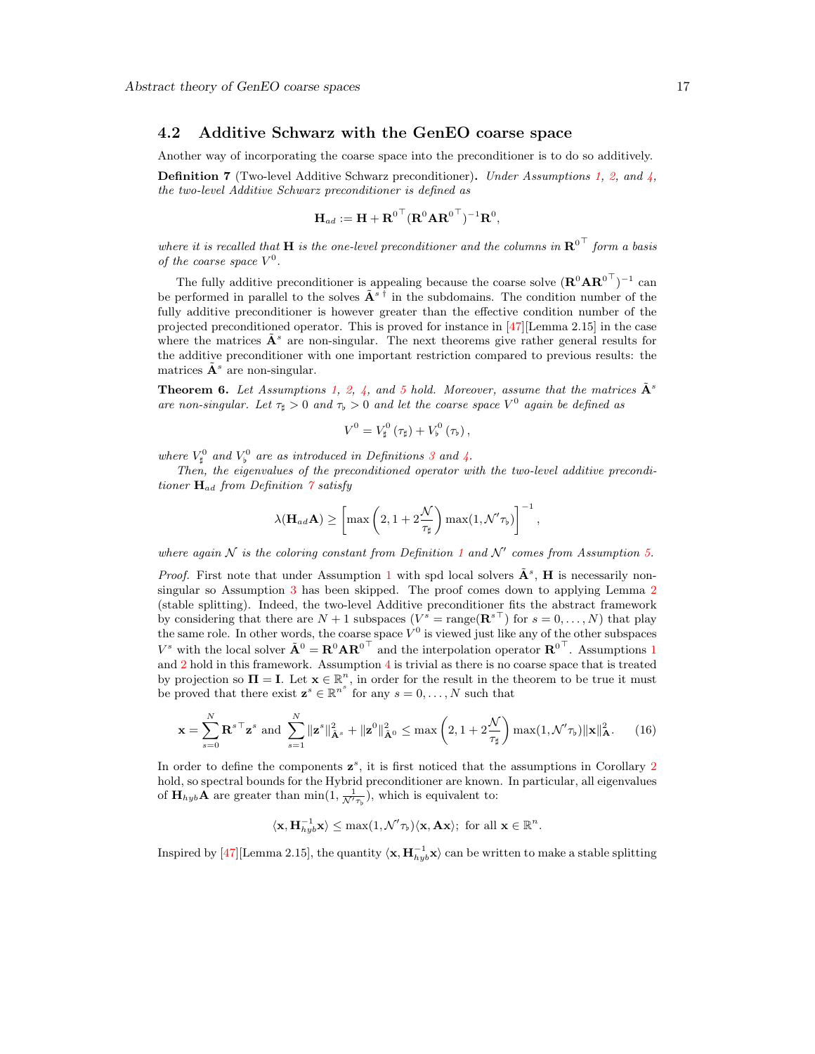#### <span id="page-16-0"></span>4.2 Additive Schwarz with the GenEO coarse space

Another way of incorporating the coarse space into the preconditioner is to do so additively.

<span id="page-16-1"></span>**Definition 7** (Two-level Additive Schwarz preconditioner). Under Assumptions [1,](#page-3-2) [2,](#page-3-3) and  $\lambda$ , the two-level Additive Schwarz preconditioner is defined as

$$
\mathbf{H}_{ad} := \mathbf{H} + \mathbf{R}^{0\,\top} (\mathbf{R}^0 \mathbf{A} \mathbf{R}^{0\,\top})^{-1} \mathbf{R}^0,
$$

where it is recalled that **H** is the one-level preconditioner and the columns in  $\mathbf{R}^{0\top}$  form a basis of the coarse space  $V^0$ .

The fully additive preconditioner is appealing because the coarse solve  $(\mathbf{R}^0 \mathbf{A} \mathbf{R}^{0\top})^{-1}$  can be performed in parallel to the solves  $\tilde{A}^{s\bar{\dagger}}$  in the subdomains. The condition number of the fully additive preconditioner is however greater than the effective condition number of the projected preconditioned operator. This is proved for instance in  $[47]$ [Lemma 2.15] in the case where the matrices  $\tilde{A}^s$  are non-singular. The next theorems give rather general results for the additive preconditioner with one important restriction compared to previous results: the matrices  $\tilde{\mathbf{A}}^s$  are non-singular.

<span id="page-16-3"></span>**Theorem 6.** Let Assumptions [1,](#page-3-2) [2,](#page-3-3) [4,](#page-4-2) and [5](#page-10-1) hold. Moreover, assume that the matrices  $\mathbf{\tilde{A}}^s$ are non-singular. Let  $\tau_{\sharp} > 0$  and  $\tau_{\flat} > 0$  and let the coarse space  $V^0$  again be defined as

$$
V^0 = V^0_{\sharp}(\tau_{\sharp}) + V^0_{\flat}(\tau_{\flat}),
$$

where  $V_{\sharp}^0$  and  $V_{\flat}^0$  are as introduced in Definitions [3](#page-9-1) and [4.](#page-10-2)

Then, the eigenvalues of the preconditioned operator with the two-level additive preconditioner  $H_{ad}$  from Definition  $\gamma$  satisfy

$$
\lambda(\mathbf{H}_{ad}\mathbf{A}) \ge \left[\max\left(2, 1 + 2\frac{\mathcal{N}}{\tau_{\sharp}}\right) \max(1, \mathcal{N}'\tau_{\flat})\right]^{-1},
$$

where again  $N$  is the coloring constant from Definition [1](#page-5-1) and  $N'$  comes from Assumption [5.](#page-10-1)

*Proof.* First note that under Assumption [1](#page-3-2) with spd local solvers  $\tilde{\mathbf{A}}^s$ , **H** is necessarily non-singular so Assumption [3](#page-4-4) has been skipped. The proof comes down to applying Lemma [2](#page-6-1) (stable splitting). Indeed, the two-level Additive preconditioner fits the abstract framework by considering that there are  $N+1$  subspaces  $(V^s = \text{range}(\mathbf{R}^{s\top})$  for  $s = 0, \ldots, N)$  that play the same role. In other words, the coarse space  $V^0$  is viewed just like any of the other subspaces  $V^s$  with the local solver  $\tilde{\mathbf{A}}^0 = \mathbf{R}^0 \mathbf{A} \mathbf{R}^{0\top}$  and the interpolation operator  $\mathbf{R}^{0\top}$ . Assumptions [1](#page-3-2) and  $2$  hold in this framework. Assumption  $4$  is trivial as there is no coarse space that is treated by projection so  $\Pi = I$ . Let  $\mathbf{x} \in \mathbb{R}^n$ , in order for the result in the theorem to be true it must be proved that there exist  $\mathbf{z}^s \in \mathbb{R}^{n^s}$  for any  $s = 0, \ldots, N$  such that

$$
\mathbf{x} = \sum_{s=0}^{N} \mathbf{R}^{s \top} \mathbf{z}^{s} \text{ and } \sum_{s=1}^{N} \|\mathbf{z}^{s}\|_{\tilde{\mathbf{A}}^{s}}^{2} + \|\mathbf{z}^{0}\|_{\tilde{\mathbf{A}}^{0}}^{2} \leq \max\left(2, 1 + 2\frac{\mathcal{N}}{\tau_{\sharp}}\right) \max(1, \mathcal{N}'\tau_{\flat}) \|\mathbf{x}\|_{\mathbf{A}}^{2}.
$$
 (16)

In order to define the components  $z^s$ , it is first noticed that the assumptions in Corollary [2](#page-14-2) hold, so spectral bounds for the Hybrid preconditioner are known. In particular, all eigenvalues of  $\mathbf{H}_{hyb}$ **A** are greater than  $\min(1, \frac{1}{\mathcal{N}'\tau_{\flat}})$ , which is equivalent to:

<span id="page-16-2"></span>
$$
\langle \mathbf{x}, \mathbf{H}_{hyb}^{-1} \mathbf{x} \rangle \leq \max(1, \mathcal{N}'\tau_b) \langle \mathbf{x}, \mathbf{A} \mathbf{x} \rangle; \text{ for all } \mathbf{x} \in \mathbb{R}^n.
$$

Inspired by [\[47\]](#page-31-0)[Lemma 2.15], the quantity  $\langle \mathbf{x}, \mathbf{H}_{hyb}^{-1} \mathbf{x} \rangle$  can be written to make a stable splitting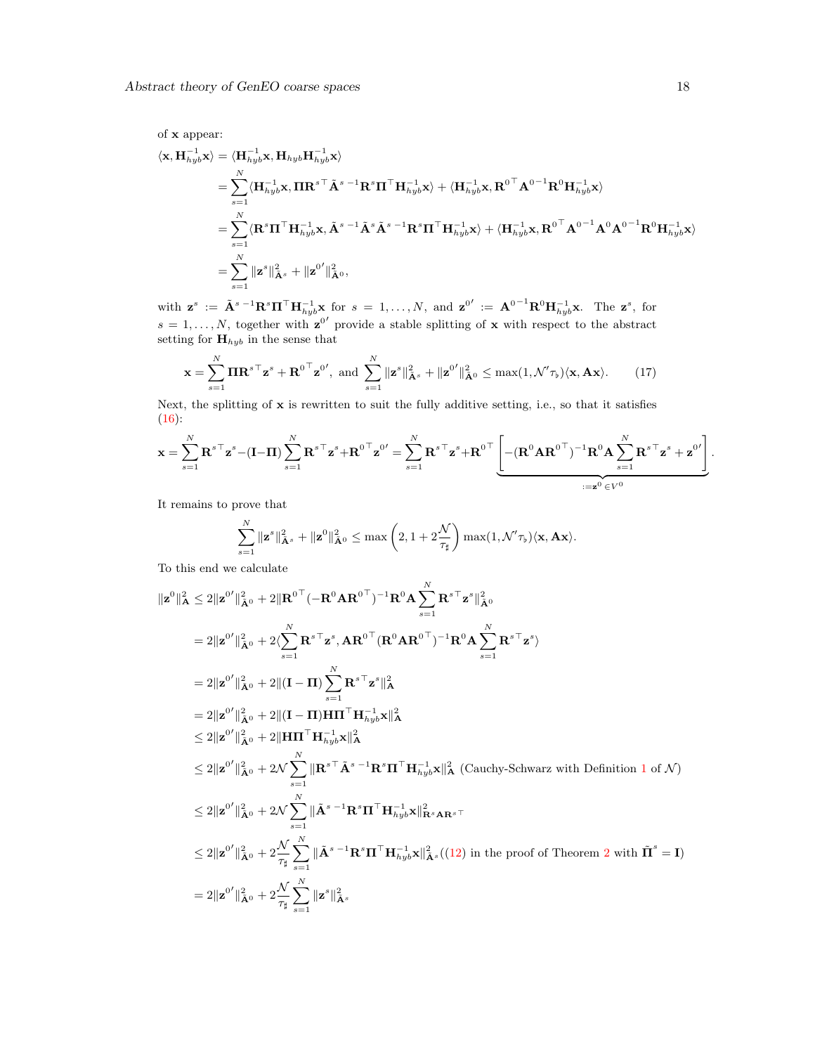of x appear:

$$
\langle \mathbf{x}, \mathbf{H}_{hyb}^{-1} \mathbf{x} \rangle = \langle \mathbf{H}_{hyb}^{-1} \mathbf{x}, \mathbf{H}_{hyb} \mathbf{H}_{hyb}^{-1} \mathbf{x} \rangle
$$
  
\n
$$
= \sum_{s=1}^{N} \langle \mathbf{H}_{hyb}^{-1} \mathbf{x}, \Pi \mathbf{R}^{s \top} \tilde{\mathbf{A}}^{s-1} \mathbf{R}^{s} \Pi^{\top} \mathbf{H}_{hyb}^{-1} \mathbf{x} \rangle + \langle \mathbf{H}_{hyb}^{-1} \mathbf{x}, \mathbf{R}^{0 \top} \mathbf{A}^{0-1} \mathbf{R}^{0} \mathbf{H}_{hyb}^{-1} \mathbf{x} \rangle
$$
  
\n
$$
= \sum_{s=1}^{N} \langle \mathbf{R}^{s} \Pi^{\top} \mathbf{H}_{hyb}^{-1} \mathbf{x}, \tilde{\mathbf{A}}^{s-1} \tilde{\mathbf{A}}^{s} \tilde{\mathbf{A}}^{s-1} \mathbf{R}^{s} \Pi^{\top} \mathbf{H}_{hyb}^{-1} \mathbf{x} \rangle + \langle \mathbf{H}_{hyb}^{-1} \mathbf{x}, \mathbf{R}^{0 \top} \mathbf{A}^{0-1} \mathbf{A}^{0} \mathbf{A}^{0-1} \mathbf{R}^{0} \mathbf{H}_{hyb}^{-1} \mathbf{x} \rangle
$$
  
\n
$$
= \sum_{s=1}^{N} ||\mathbf{z}^{s}||_{\tilde{\mathbf{A}}^{s}}^{2} + ||\mathbf{z}^{0}'||_{\tilde{\mathbf{A}}^{0}},
$$

with  $\mathbf{z}^s := \tilde{\mathbf{A}}^{s-1} \mathbf{R}^s \mathbf{\Pi}^\top \mathbf{H}_{hyb}^{-1} \mathbf{x}$  for  $s = 1, \ldots, N$ , and  $\mathbf{z}^{0'} := \mathbf{A}^{0-1} \mathbf{R}^0 \mathbf{H}_{hyb}^{-1} \mathbf{x}$ . The  $\mathbf{z}^s$ , for  $s = 1, \ldots, N$ , together with  $\mathbf{z}^{0'}$  provide a stable splitting of x with respect to the abstract setting for  $\mathbf{H}_{hyb}$  in the sense that

<span id="page-17-0"></span>
$$
\mathbf{x} = \sum_{s=1}^{N} \mathbf{\Pi} \mathbf{R}^{s \top} \mathbf{z}^{s} + \mathbf{R}^{0 \top} \mathbf{z}^{0}, \text{ and } \sum_{s=1}^{N} \|\mathbf{z}^{s}\|_{\tilde{\mathbf{A}}^{s}}^{2} + \|\mathbf{z}^{0}\|_{\tilde{\mathbf{A}}^{0}}^{2} \leq \max(1, \mathcal{N}'\tau_{\mathfrak{b}}) \langle \mathbf{x}, \mathbf{A}\mathbf{x} \rangle.
$$
 (17)

Next, the splitting of x is rewritten to suit the fully additive setting, i.e., so that it satisfies  $(16)$ :

$$
\mathbf{x} = \sum_{s=1}^N \mathbf{R}^{s\top} \mathbf{z}^s - (\mathbf{I} - \mathbf{\Pi}) \sum_{s=1}^N \mathbf{R}^{s\top} \mathbf{z}^s + \mathbf{R}^{0\top} \mathbf{z}^{0\prime} = \sum_{s=1}^N \mathbf{R}^{s\top} \mathbf{z}^s + \mathbf{R}^{0\top} \underbrace{\left[ -(\mathbf{R}^0 \mathbf{A} \mathbf{R}^{0\top})^{-1} \mathbf{R}^0 \mathbf{A} \sum_{s=1}^N \mathbf{R}^{s\top} \mathbf{z}^s + \mathbf{z}^{0\prime} \right]}_{:=\mathbf{z}^0 \in V^0}.
$$

It remains to prove that

$$
\sum_{s=1}^N \|\mathbf{z}^s\|_{\tilde{\mathbf{A}}^s}^2 + \|\mathbf{z}^0\|_{\tilde{\mathbf{A}}^0}^2 \leq \max\left(2, 1 + 2\frac{\mathcal{N}}{\tau_{\sharp}}\right) \max(1, \mathcal{N}'\tau_{\flat}) \langle \mathbf{x}, \mathbf{A}\mathbf{x} \rangle.
$$

To this end we calculate

$$
\|z^{0}\|_{\mathbf{A}}^{2} \leq 2\|z^{0}\|_{\mathbf{A}^{0}}^{2} + 2\|R^{0\top}(-R^{0}AR^{0\top})^{-1}R^{0}A\sum_{s=1}^{N}R^{s\top}z^{s}\|_{\mathbf{A}^{0}}^{2}
$$
\n
$$
= 2\|z^{0}\|_{\mathbf{A}^{0}}^{2} + 2\langle\sum_{s=1}^{N}R^{s\top}z^{s},AR^{0\top}(R^{0}AR^{0\top})^{-1}R^{0}A\sum_{s=1}^{N}R^{s\top}z^{s}\rangle
$$
\n
$$
= 2\|z^{0}\|_{\mathbf{A}^{0}}^{2} + 2\|(I-\Pi)\sum_{s=1}^{N}R^{s\top}z^{s}\|_{\mathbf{A}}^{2}
$$
\n
$$
= 2\|z^{0}\|_{\mathbf{A}^{0}}^{2} + 2\|(I-\Pi)H\Pi^{T}H_{n_{yyb}}^{-1}x\|_{\mathbf{A}}^{2}
$$
\n
$$
\leq 2\|z^{0}\|_{\mathbf{A}^{0}}^{2} + 2\|H\Pi^{T}H_{n_{yyb}}^{-1}x\|_{\mathbf{A}}^{2}
$$
\n
$$
\leq 2\|z^{0}\|_{\mathbf{A}^{0}}^{2} + 2\mathcal{N}\sum_{s=1}^{N}\|R^{s\top}\tilde{A}^{s-1}R^{s}\Pi^{T}H_{n_{yyb}}^{-1}x\|_{\mathbf{A}}^{2} \text{ (Cauchy-Schwarz with Definition 1 of } \mathcal{N})
$$
\n
$$
\leq 2\|z^{0}\|_{\mathbf{A}^{0}}^{2} + 2\mathcal{N}\sum_{s=1}^{N}\|\tilde{A}^{s-1}R^{s}\Pi^{T}H_{n_{yyb}}^{-1}x\|_{R^{s}AR^{s}}^{2}
$$
\n
$$
\leq 2\|z^{0}\|_{\mathbf{A}^{0}}^{2} + 2\frac{\mathcal{N}}{\tau_{\tilde{B}}} \sum_{s=1}^{N}\|\tilde{A}^{s-1}R^{s}\Pi^{T}H_{n_{yyb}}^{-1}x\|_{\mathbf{A}^{s}}^{2} \text{ (12) in the proof of Theorem 2 with } \
$$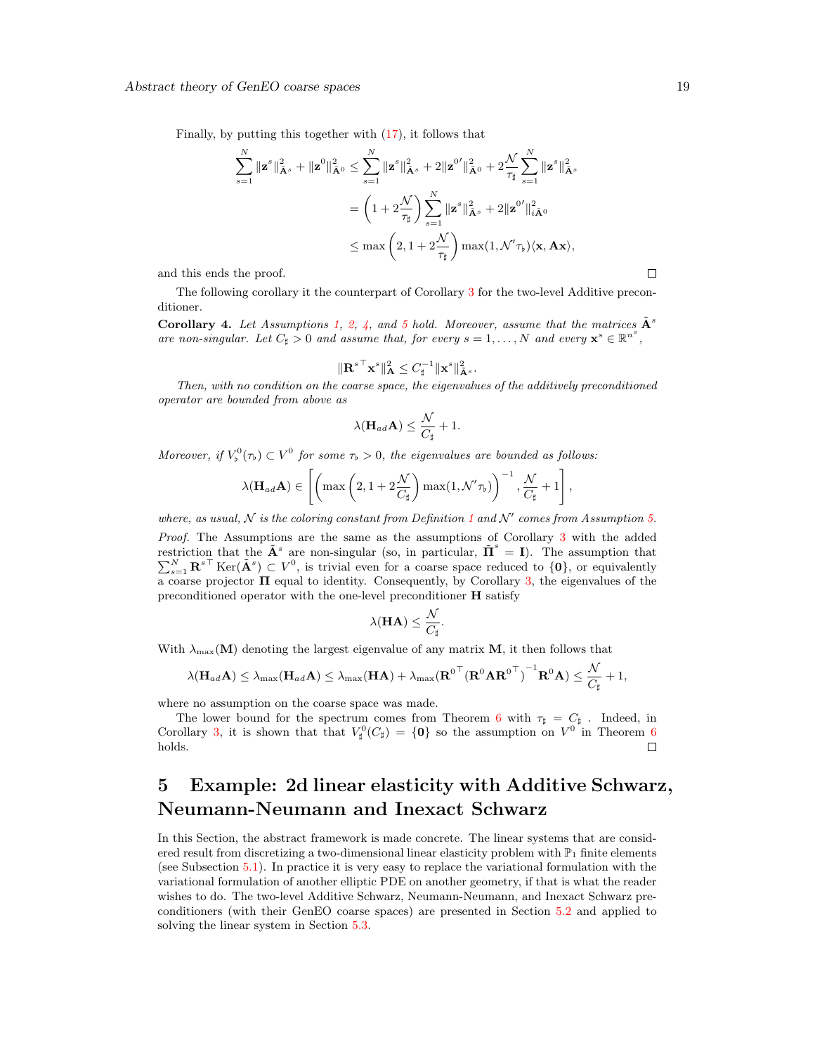Finally, by putting this together with [\(17\)](#page-17-0), it follows that

$$
\sum_{s=1}^N \|\mathbf{z}^s\|_{\tilde{\mathbf{A}}^s}^2 + \|\mathbf{z}^0\|_{\tilde{\mathbf{A}}^0}^2 \le \sum_{s=1}^N \|\mathbf{z}^s\|_{\tilde{\mathbf{A}}^s}^2 + 2\|\mathbf{z}^0'\|_{\tilde{\mathbf{A}}^0}^2 + 2\frac{\mathcal{N}}{\tau_{\sharp}} \sum_{s=1}^N \|\mathbf{z}^s\|_{\tilde{\mathbf{A}}^s}^2
$$

$$
= \left(1 + 2\frac{\mathcal{N}}{\tau_{\sharp}}\right) \sum_{s=1}^N \|\mathbf{z}^s\|_{\tilde{\mathbf{A}}^s}^2 + 2\|\mathbf{z}^0'\|_{i\tilde{\mathbf{A}}^0}^2
$$

$$
\le \max\left(2, 1 + 2\frac{\mathcal{N}}{\tau_{\sharp}}\right) \max(1, \mathcal{N}'\tau_{\flat}) \langle \mathbf{x}, \mathbf{A}\mathbf{x} \rangle,
$$

and this ends the proof.

The following corollary it the counterpart of Corollary [3](#page-15-0) for the two-level Additive preconditioner.

<span id="page-18-1"></span>Corollary 4. Let Assumptions [1,](#page-3-2) [2,](#page-3-3) [4,](#page-4-2) and [5](#page-10-1) hold. Moreover, assume that the matrices  $\tilde{\mathbf{A}}^s$ are non-singular. Let  $C_{\sharp} > 0$  and assume that, for every  $s = 1, ..., N$  and every  $\mathbf{x}^{s} \in \mathbb{R}^{n^{s}}$ ,

$$
\|\mathbf{R}^{s\top}\mathbf{x}^s\|_{\mathbf{A}}^2 \leq C_{\sharp}^{-1}\|\mathbf{x}^s\|_{\tilde{\mathbf{A}}^s}^2.
$$

Then, with no condition on the coarse space, the eigenvalues of the additively preconditioned operator are bounded from above as

$$
\lambda(\mathbf{H}_{ad}\mathbf{A}) \leq \frac{\mathcal{N}}{C_{\sharp}} + 1.
$$

Moreover, if  $V_{\flat}^0(\tau_{\flat}) \subset V^0$  for some  $\tau_{\flat} > 0$ , the eigenvalues are bounded as follows:

$$
\lambda(\mathbf{H}_{ad}\mathbf{A}) \in \left[ \left( \max\left(2, 1 + 2\frac{\mathcal{N}}{C_{\sharp}}\right) \max(1, \mathcal{N}'\tau_{\flat}) \right)^{-1}, \frac{\mathcal{N}}{C_{\sharp}} + 1 \right],
$$

where, as usual, N is the coloring constant from Definition [1](#page-5-1) and N' comes from Assumption [5.](#page-10-1) Proof. The Assumptions are the same as the assumptions of Corollary [3](#page-15-0) with the added restriction that the  $\tilde{\mathbf{A}}^s$  are non-singular (so, in particular,  $\tilde{\mathbf{\Pi}}^s$ restriction that the  $\mathbf{A}^s$  are non-singular (so, in particular,  $\mathbf{\Pi}^s = \mathbf{I}$ ). The assumption that  $\sum_{s=1}^N \mathbf{R}^{s\top}$  Ker( $\tilde{\mathbf{A}}^s$ )  $\subset V^0$ , is trivial even for a coarse space reduced to  $\{0\}$ , or equ  $\frac{25}{9}$  a coarse projector  $\Pi$  equal to identity. Consequently, by Corollary [3,](#page-15-0) the eigenvalues of the preconditioned operator with the one-level preconditioner H satisfy

$$
\lambda(\mathbf{HA}) \leq \frac{\mathcal{N}}{C_{\sharp}}.
$$

With  $\lambda_{\text{max}}(M)$  denoting the largest eigenvalue of any matrix M, it then follows that

$$
\lambda(\mathbf{H}_{ad}\mathbf{A}) \leq \lambda_{\max}(\mathbf{H}_{ad}\mathbf{A}) \leq \lambda_{\max}(\mathbf{H}\mathbf{A}) + \lambda_{\max}(\mathbf{R}^{0\top}{(\mathbf{R}^{0}\mathbf{A}\mathbf{R}^{0\top})}^{-1}\mathbf{R}^{0}\mathbf{A}) \leq \frac{\mathcal{N}}{C_{\sharp}}+1,
$$

where no assumption on the coarse space was made.

The lower bound for the spectrum comes from Theorem [6](#page-16-3) with  $\tau_{\sharp} = C_{\sharp}$ . Indeed, in Corollary [3,](#page-15-0) it is shown that that  $V^0_{\sharp}(C_{\sharp}) = \{0\}$  so the assumption on  $V^0$  in Theorem [6](#page-16-3) holds.  $\Box$ 

# <span id="page-18-0"></span>5 Example: 2d linear elasticity with Additive Schwarz, Neumann-Neumann and Inexact Schwarz

In this Section, the abstract framework is made concrete. The linear systems that are considered result from discretizing a two-dimensional linear elasticity problem with  $\mathbb{P}_1$  finite elements (see Subsection [5.1\)](#page-19-0). In practice it is very easy to replace the variational formulation with the variational formulation of another elliptic PDE on another geometry, if that is what the reader wishes to do. The two-level Additive Schwarz, Neumann-Neumann, and Inexact Schwarz preconditioners (with their GenEO coarse spaces) are presented in Section [5.2](#page-19-1) and applied to solving the linear system in Section [5.3.](#page-24-0)

 $\Box$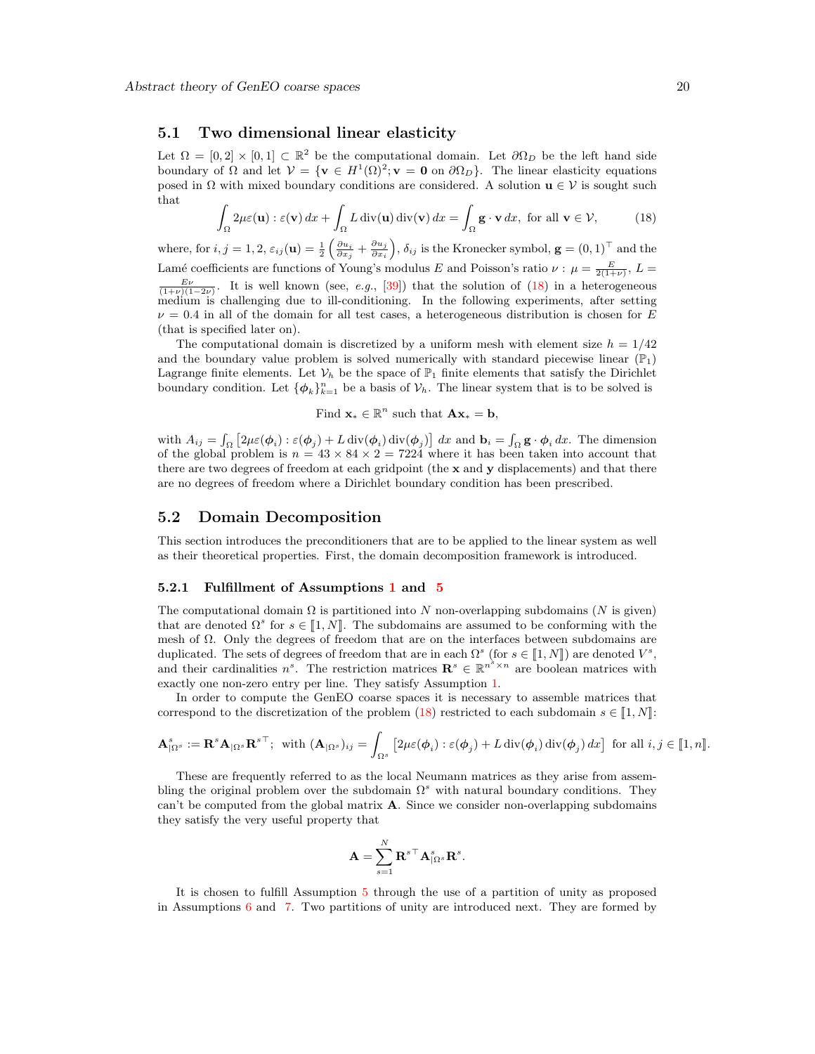#### <span id="page-19-0"></span>5.1 Two dimensional linear elasticity

Let  $\Omega = [0,2] \times [0,1] \subset \mathbb{R}^2$  be the computational domain. Let  $\partial \Omega_D$  be the left hand side boundary of  $\Omega$  and let  $\mathcal{V} = \{ \mathbf{v} \in H^1(\Omega)^2; \mathbf{v} = \mathbf{0} \text{ on } \partial \Omega_D \}.$  The linear elasticity equations posed in  $\Omega$  with mixed boundary conditions are considered. A solution  $\mathbf{u} \in \mathcal{V}$  is sought such that

<span id="page-19-3"></span>
$$
\int_{\Omega} 2\mu \varepsilon(\mathbf{u}) : \varepsilon(\mathbf{v}) \, dx + \int_{\Omega} L \operatorname{div}(\mathbf{u}) \operatorname{div}(\mathbf{v}) \, dx = \int_{\Omega} \mathbf{g} \cdot \mathbf{v} \, dx, \text{ for all } \mathbf{v} \in \mathcal{V}, \tag{18}
$$

where, for  $i, j = 1, 2, \varepsilon_{ij}(\mathbf{u}) = \frac{1}{2} \left( \frac{\partial u_i}{\partial x_j} + \frac{\partial u_j}{\partial x_i} \right)$  $\frac{\partial u_j}{\partial x_i}$ ,  $\delta_{ij}$  is the Kronecker symbol,  $\mathbf{g} = (0, 1)^\top$  and the Lamé coefficients are functions of Young's modulus E and Poisson's ratio  $\nu : \mu = \frac{E}{2(1+\nu)}$ ,  $L =$  $\frac{E\nu}{(1+\nu)(1-2\nu)}$ . It is well known (see, e.g., [\[39\]](#page-31-4)) that the solution of [\(18\)](#page-19-3) in a heterogeneous  $\text{median}$  is challenging due to ill-conditioning. In the following experiments, after setting  $\nu = 0.4$  in all of the domain for all test cases, a heterogeneous distribution is chosen for E (that is specified later on).

The computational domain is discretized by a uniform mesh with element size  $h = 1/42$ and the boundary value problem is solved numerically with standard piecewise linear  $(\mathbb{P}_1)$ Lagrange finite elements. Let  $V_h$  be the space of  $\mathbb{P}_1$  finite elements that satisfy the Dirichlet boundary condition. Let  $\{\phi_k\}_{k=1}^n$  be a basis of  $\mathcal{V}_h$ . The linear system that is to be solved is

Find  $\mathbf{x}_{*} \in \mathbb{R}^{n}$  such that  $\mathbf{A}\mathbf{x}_{*} = \mathbf{b}$ ,

with  $A_{ij} = \int_{\Omega} \left[ 2\mu \varepsilon(\phi_i) : \varepsilon(\phi_j) + L \operatorname{div}(\phi_i) \operatorname{div}(\phi_j) \right] dx$  and  $\mathbf{b}_i = \int_{\Omega} \mathbf{g} \cdot \phi_i dx$ . The dimension of the global problem is  $n = 43 \times 84 \times 2 = 7224$  where it has been taken into account that there are two degrees of freedom at each gridpoint (the  $x$  and  $y$  displacements) and that there are no degrees of freedom where a Dirichlet boundary condition has been prescribed.

## <span id="page-19-1"></span>5.2 Domain Decomposition

This section introduces the preconditioners that are to be applied to the linear system as well as their theoretical properties. First, the domain decomposition framework is introduced.

### <span id="page-19-2"></span>5.2.1 Fulfillment of Assumptions [1](#page-3-2) and [5](#page-10-1)

The computational domain  $\Omega$  is partitioned into N non-overlapping subdomains (N is given) that are denoted  $\Omega^s$  for  $s \in [1, N]$ . The subdomains are assumed to be conforming with the moch of  $\Omega$ . Only the degrees of freedom that are on the interfaces between subdomains are mesh of Ω. Only the degrees of freedom that are on the interfaces between subdomains are duplicated. The sets of degrees of freedom that are in each  $\Omega^s$  (for  $s \in [1, N]$ ) are denoted  $V^s$ ,<br>and their earlier in each position matrices  $\mathbf{P}^s \in \mathbb{R}^{n^3 \times n}$  are boolean matrices with and their cardinalities  $n^s$ . The restriction matrices  $\mathbf{R}^s \in \mathbb{R}^{n^s \times n}$  are boolean matrices with exactly one non-zero entry per line. They satisfy Assumption [1.](#page-3-2)

In order to compute the GenEO coarse spaces it is necessary to assemble matrices that correspond to the discretization of the problem [\(18\)](#page-19-3) restricted to each subdomain  $s \in [1, N]$ :

$$
\mathbf{A}^s_{|\Omega^s} := \mathbf{R}^s \mathbf{A}_{|\Omega^s} \mathbf{R}^{s\top}; \text{ with } (\mathbf{A}_{|\Omega^s})_{ij} = \int_{\Omega^s} \left[ 2\mu \varepsilon(\boldsymbol{\phi}_i) : \varepsilon(\boldsymbol{\phi}_j) + L \operatorname{div}(\boldsymbol{\phi}_i) \operatorname{div}(\boldsymbol{\phi}_j) dx \right] \text{ for all } i, j \in [\![1, n]\!].
$$

These are frequently referred to as the local Neumann matrices as they arise from assembling the original problem over the subdomain  $\Omega^s$  with natural boundary conditions. They can't be computed from the global matrix  $A$ . Since we consider non-overlapping subdomains they satisfy the very useful property that

$$
\mathbf{A} = \sum_{s=1}^N {\mathbf{R}^s}^{\top} \mathbf{A}_{|\Omega^s}^s \mathbf{R}^s.
$$

It is chosen to fulfill Assumption [5](#page-10-1) through the use of a partition of unity as proposed in Assumptions [6](#page-12-0) and [7.](#page-13-1) Two partitions of unity are introduced next. They are formed by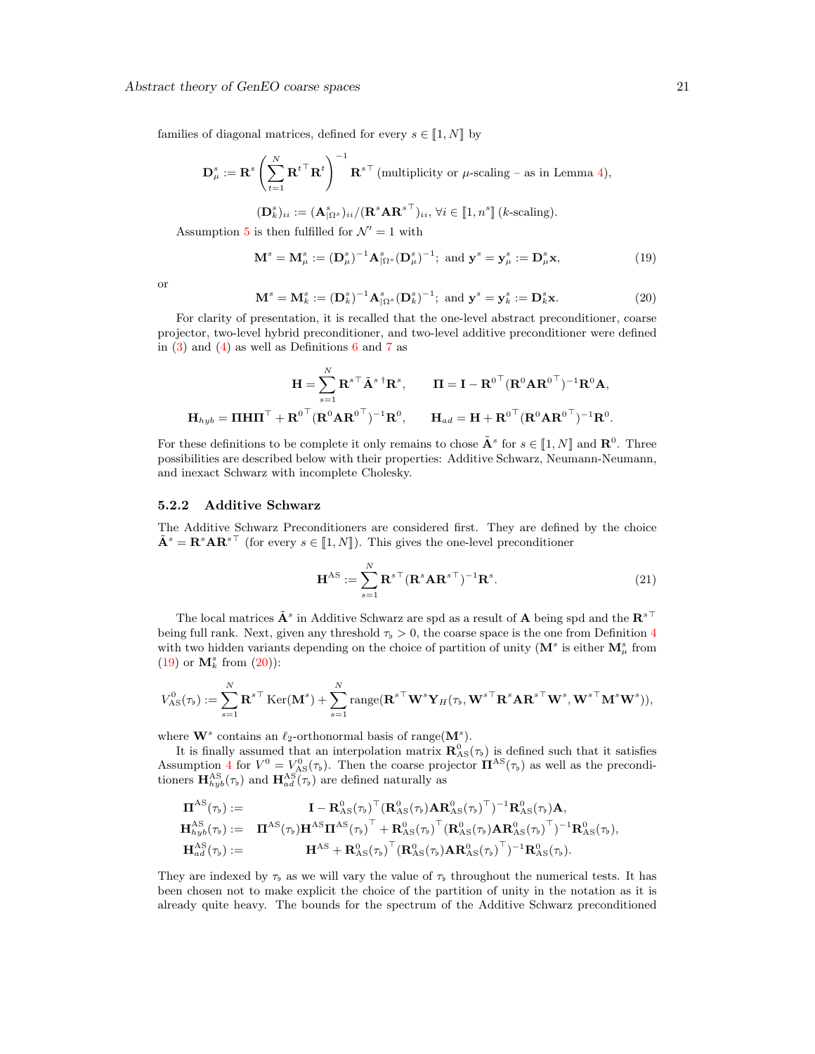families of diagonal matrices, defined for every  $s \in [1, N]$  by

$$
\mathbf{D}_{\mu}^{s} := \mathbf{R}^{s} \left( \sum_{t=1}^{N} {\mathbf{R}^{t}}^{\top} {\mathbf{R}^{t}} \right)^{-1} {\mathbf{R}^{s}}^{\top} \text{ (multiplicity or } \mu\text{-scaling - as in Lemma 4)},
$$

<span id="page-20-1"></span>
$$
(\mathbf{D}_{k}^{s})_{ii} := (\mathbf{A}_{\left\{\Omega^{s}\right\}}^{s})_{ii} / (\mathbf{R}^{s} \mathbf{A} \mathbf{R}^{s\top})_{ii}, \forall i \in [\![1, n^{s}]\!](k\text{-scaling}).
$$

Assumption [5](#page-10-1) is then fulfilled for  $\mathcal{N}' = 1$  with

$$
\mathbf{M}^s = \mathbf{M}^s_{\mu} := (\mathbf{D}^s_{\mu})^{-1} \mathbf{A}^s_{|\Omega^s} (\mathbf{D}^s_{\mu})^{-1}; \text{ and } \mathbf{y}^s = \mathbf{y}^s_{\mu} := \mathbf{D}^s_{\mu} \mathbf{x},
$$
\n(19)

<span id="page-20-2"></span>or

$$
\mathbf{M}^s = \mathbf{M}_k^s := (\mathbf{D}_k^s)^{-1} \mathbf{A}_{\{\Omega^s\}}^s (\mathbf{D}_k^s)^{-1}; \text{ and } \mathbf{y}^s = \mathbf{y}_k^s := \mathbf{D}_k^s \mathbf{x}.
$$
 (20)

For clarity of presentation, it is recalled that the one-level abstract preconditioner, coarse projector, two-level hybrid preconditioner, and two-level additive preconditioner were defined in  $(3)$  and  $(4)$  as well as Definitions [6](#page-14-1) and [7](#page-16-1) as

$$
\mathbf{H} = \sum_{s=1}^{N} \mathbf{R}^{s \top} \tilde{\mathbf{A}}^{s \dagger} \mathbf{R}^{s}, \qquad \mathbf{\Pi} = \mathbf{I} - \mathbf{R}^{0 \top} (\mathbf{R}^{0} \mathbf{A} \mathbf{R}^{0 \top})^{-1} \mathbf{R}^{0} \mathbf{A},
$$

$$
\mathbf{H}_{hyb} = \mathbf{\Pi} \mathbf{H} \mathbf{\Pi}^{\top} + \mathbf{R}^{0 \top} (\mathbf{R}^{0} \mathbf{A} \mathbf{R}^{0 \top})^{-1} \mathbf{R}^{0}, \qquad \mathbf{H}_{ad} = \mathbf{H} + \mathbf{R}^{0 \top} (\mathbf{R}^{0} \mathbf{A} \mathbf{R}^{0 \top})^{-1} \mathbf{R}^{0}.
$$

For these definitions to be complete it only remains to chose  $\tilde{\mathbf{A}}^s$  for  $s \in [1, N]$  and  $\mathbf{R}^0$ . Three possibilities are described below with their properties: Additive Sebwerg, Naumann Naumann possibilities are described below with their properties: Additive Schwarz, Neumann-Neumann, and inexact Schwarz with incomplete Cholesky.

#### <span id="page-20-0"></span>5.2.2 Additive Schwarz

The Additive Schwarz Preconditioners are considered first. They are defined by the choice  $\tilde{\mathbf{A}}^s = \mathbf{R}^s \mathbf{A} \mathbf{R}^{s\top}$  (for every  $s \in [1, N]$ ). This gives the one-level preconditioner

$$
\mathbf{H}^{\mathrm{AS}} := \sum_{s=1}^{N} \mathbf{R}^{s \top} (\mathbf{R}^{s} \mathbf{A} \mathbf{R}^{s \top})^{-1} \mathbf{R}^{s}.
$$
 (21)

The local matrices  $\tilde{\mathbf{A}}^s$  in Additive Schwarz are spd as a result of  $\mathbf{A}$  being spd and the  $\mathbf{R}^{s\top}$ being full rank. Next, given any threshold  $\tau_{\rm p} > 0$ , the coarse space is the one from Definition [4](#page-10-2) with two hidden variants depending on the choice of partition of unity ( $\mathbf{M}^s$  is either  $\mathbf{M}^s_\mu$  from [\(19\)](#page-20-1) or  $\mathbf{M}_{k}^{s}$  from  $(20)$ ):

$$
V^0_{\mathrm{AS}}(\tau_\flat) := \sum_{s=1}^N \mathbf{R}^{s\top} \operatorname{Ker}(\mathbf{M}^s) + \sum_{s=1}^N \operatorname{range}(\mathbf{R}^{s\top}\mathbf{W}^s\mathbf{Y}_H(\tau_\flat,\mathbf{W}^{s\top}\mathbf{R}^s\mathbf{A}\mathbf{R}^{s\top}\mathbf{W}^s,\mathbf{W}^{s\top}\mathbf{M}^s\mathbf{W}^s)),
$$

where  $\mathbf{W}^s$  contains an  $\ell_2$ -orthonormal basis of range $(\mathbf{M}^s)$ .

It is finally assumed that an interpolation matrix  $\mathbf{R}^0_{AS}(\tau)$  is defined such that it satisfies Assumption [4](#page-4-2) for  $V^0 = V_{AS}^0(\tau_b)$ . Then the coarse projector  $\mathbf{\Pi}^{AS}(\tau_b)$  as well as the preconditioners  $\mathbf{H}_{hyb}^{AS}(\tau_b)$  and  $\mathbf{H}_{ad}^{AS}(\tau_b)$  are defined naturally as

$$
\begin{array}{cl} {\boldsymbol \Pi}^{\rm AS}(\tau_{\flat}) := & {\boldsymbol I} - {\boldsymbol R}^0_{\rm AS}(\tau_{\flat})^\top ({\boldsymbol R}^0_{\rm AS}(\tau_{\flat}) {\boldsymbol A} {\boldsymbol R}^0_{\rm AS}(\tau_{\flat})^\top)^{-1} {\boldsymbol R}^0_{\rm AS}(\tau_{\flat}) {\boldsymbol A}, \\ {\boldsymbol H}^{\rm AS}_{\hbar yb}(\tau_{\flat}) := & {\boldsymbol \Pi}^{\rm AS}(\tau_{\flat}) {\boldsymbol H}^{\rm AS} {\boldsymbol \Pi}^{\rm AS}(\tau_{\flat})^\top + {\boldsymbol R}^0_{\rm AS}(\tau_{\flat})^\top ({\boldsymbol R}^0_{\rm AS}(\tau_{\flat}) {\boldsymbol A} {\boldsymbol R}^0_{\rm AS}(\tau_{\flat})^\top)^{-1} {\boldsymbol R}^0_{\rm AS}(\tau_{\flat}), \\ {\boldsymbol H}^{\rm AS}_{ad}(\tau_{\flat}) := & {\boldsymbol \Pi}^{\rm AS} + {\boldsymbol R}^0_{\rm AS}(\tau_{\flat})^\top ({\boldsymbol R}^0_{\rm AS}(\tau_{\flat}) {\boldsymbol A} {\boldsymbol R}^0_{\rm AS}(\tau_{\flat})^\top)^{-1} {\boldsymbol R}^0_{\rm AS}(\tau_{\flat}). \end{array}
$$

They are indexed by  $\tau_b$  as we will vary the value of  $\tau_b$  throughout the numerical tests. It has been chosen not to make explicit the choice of the partition of unity in the notation as it is already quite heavy. The bounds for the spectrum of the Additive Schwarz preconditioned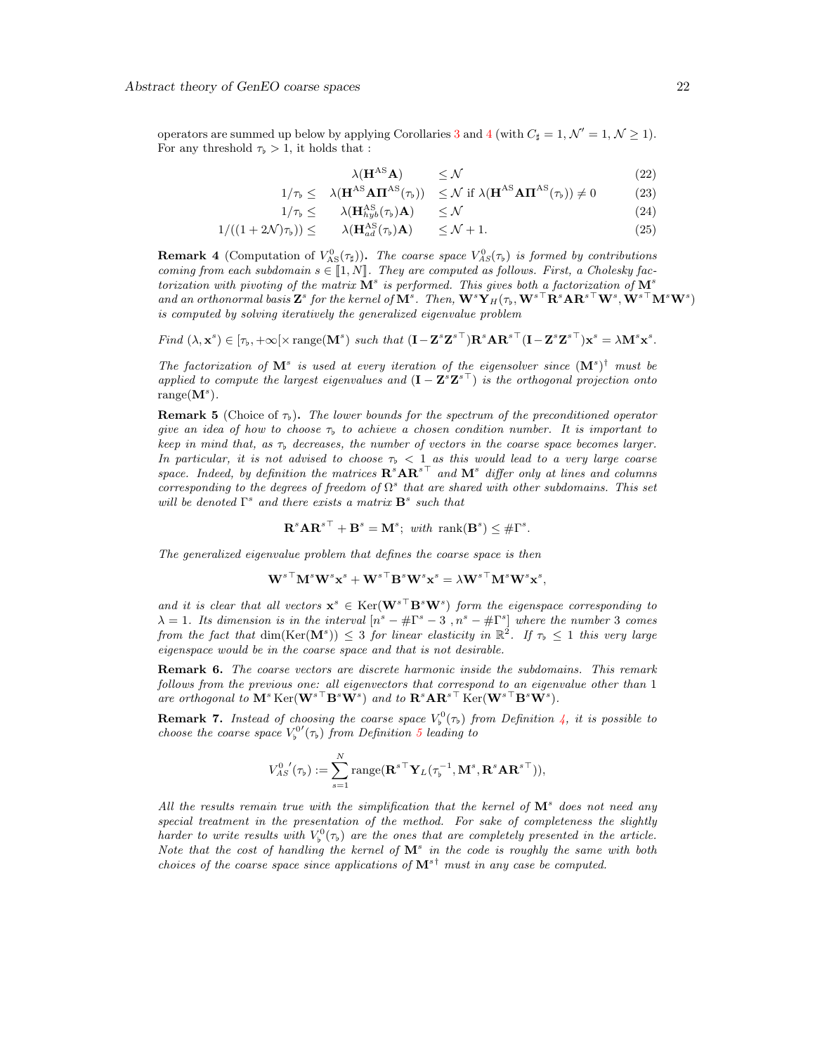operators are summed up below by applying Corollaries [3](#page-15-0) and [4](#page-18-1) (with  $C_{\sharp} = 1, \mathcal{N}' = 1, \mathcal{N} \ge 1$ ). For any threshold  $\tau_{\rm b} > 1$ , it holds that :

$$
\lambda(\mathbf{H}^{\mathrm{AS}}\mathbf{A}) \leq \mathcal{N} \tag{22}
$$

$$
1/\tau_{\flat} \leq \lambda(\mathbf{H}^{\mathrm{AS}} \mathbf{A} \mathbf{\Pi}^{\mathrm{AS}}(\tau_{\flat})) \leq \mathcal{N} \text{ if } \lambda(\mathbf{H}^{\mathrm{AS}} \mathbf{A} \mathbf{\Pi}^{\mathrm{AS}}(\tau_{\flat})) \neq 0 \tag{23}
$$

$$
1/\tau_{\flat} \leq \qquad \lambda(\mathbf{H}_{hyb}^{\mathrm{AS}}(\tau_{\flat})\mathbf{A}) \qquad \leq \mathcal{N} \tag{24}
$$

$$
1/((1+2\mathcal{N})\tau_{\flat})) \leq \lambda(\mathbf{H}_{ad}^{\text{AS}}(\tau_{\flat})\mathbf{A}) \leq \mathcal{N}+1. \tag{25}
$$

**Remark 4** (Computation of  $V_{AS}^{0}(\tau_{\sharp})$ ). The coarse space  $V_{AS}^{0}(\tau_{\flat})$  is formed by contributions coming from each subdomain  $s \in [1, N]$ . They are computed as follows. First, a Cholesky factorization with pivoting of the matrix  $\mathbf{M}^s$  is performed. This gives both a factorization of  $\mathbf{M}^s$ and an orthonormal basis  $\mathbf{Z}^s$  for the kernel of  $\mathbf{M}^s$ . Then,  $\mathbf{W}^s\mathbf{Y}_H(\tau_\flat,\mathbf{W}^{s\top}\mathbf{R}^s\mathbf{A}\mathbf{R}^{s\top}\mathbf{W}^s,\mathbf{W}^{s\top}\mathbf{M}^s\mathbf{W}^s)$ is computed by solving iteratively the generalized eigenvalue problem

Find  $(\lambda, \mathbf{x}^s) \in [\tau_{\flat}, +\infty[\times \text{range}(\mathbf{M}^s) \text{ such that } (\mathbf{I} - \mathbf{Z}^s \mathbf{Z}^{s\top}) \mathbf{R}^s \mathbf{A} \mathbf{R}^{s\top} (\mathbf{I} - \mathbf{Z}^s \mathbf{Z}^{s\top}) \mathbf{x}^s = \lambda \mathbf{M}^s \mathbf{x}^s$ .

The factorization of  $M^s$  is used at every iteration of the eigensolver since  $(M^s)^{\dagger}$  must be applied to compute the largest eigenvalues and  $(I - Z^s Z^{s\top})$  is the orthogonal projection onto  $range(M^s)$ .

<span id="page-21-1"></span>**Remark 5** (Choice of  $\tau_p$ ). The lower bounds for the spectrum of the preconditioned operator give an idea of how to choose  $\tau_b$  to achieve a chosen condition number. It is important to keep in mind that, as  $\tau_b$  decreases, the number of vectors in the coarse space becomes larger. In particular, it is not advised to choose  $\tau_b < 1$  as this would lead to a very large coarse space. Indeed, by definition the matrices  $\mathbf{R}^s \mathbf{A} \mathbf{R}^{s\top}$  and  $\mathbf{M}^s$  differ only at lines and columns corresponding to the degrees of freedom of  $\Omega^s$  that are shared with other subdomains. This set will be denoted  $\Gamma^s$  and there exists a matrix  $\mathbf{B}^s$  such that

$$
\mathbf{R}^s \mathbf{A} \mathbf{R}^{s\top} + \mathbf{B}^s = \mathbf{M}^s; \text{ with } \text{rank}(\mathbf{B}^s) \leq \#\Gamma^s.
$$

The generalized eigenvalue problem that defines the coarse space is then

$$
\mathbf{W}^{s\top}\mathbf{M}^s\mathbf{W}^s\mathbf{x}^s + \mathbf{W}^{s\top}\mathbf{B}^s\mathbf{W}^s\mathbf{x}^s = \lambda\mathbf{W}^{s\top}\mathbf{M}^s\mathbf{W}^s\mathbf{x}^s,
$$

and it is clear that all vectors  $\mathbf{x}^s \in \text{Ker}(\mathbf{W}^{s\top}\mathbf{B}^s\mathbf{W}^s)$  form the eigenspace corresponding to  $\lambda = 1$ . Its dimension is in the interval  $[n^s - #\Gamma^s - 3, n^s - #\Gamma^s]$  where the number 3 comes from the fact that  $\dim(\text{Ker}(\mathbf{M}^s)) \leq 3$  for linear elasticity in  $\mathbb{R}^2$ . If  $\tau_{\text{b}} \leq 1$  this very large eigenspace would be in the coarse space and that is not desirable.

<span id="page-21-2"></span>**Remark 6.** The coarse vectors are discrete harmonic inside the subdomains. This remark follows from the previous one: all eigenvectors that correspond to an eigenvalue other than 1 are orthogonal to  $\mathbf{M}^s$  Ker $(\mathbf{W}^{s\top}\mathbf{B}^s\mathbf{W}^s)$  and to  $\mathbf{R}^s\mathbf{A}\mathbf{R}^{s\top}$  Ker $(\mathbf{W}^{s\top}\mathbf{B}^s\mathbf{W}^s)$ .

<span id="page-21-0"></span>**Remark 7.** Instead of choosing the coarse space  $V_0^0(\tau)$  from Definition [4,](#page-10-2) it is possible to choose the coarse space  $V_b^{0'}(\tau_b)$  from Definition [5](#page-11-1) leading to

$$
V_{AS}^{0\ \'}(\tau_{\flat}) := \sum_{s=1}^{N} \mathrm{range}(\mathbf{R}^{s\top}\mathbf{Y}_L(\tau_{\flat}^{-1}, \mathbf{M}^s, \mathbf{R}^s\mathbf{A}\mathbf{R}^{s\top})),
$$

All the results remain true with the simplification that the kernel of  $M^s$  does not need any special treatment in the presentation of the method. For sake of completeness the slightly harder to write results with  $V_{\flat}^{0}(\tau_{\flat})$  are the ones that are completely presented in the article. Note that the cost of handling the kernel of  $M^s$  in the code is roughly the same with both choices of the coarse space since applications of  $M^{s\dagger}$  must in any case be computed.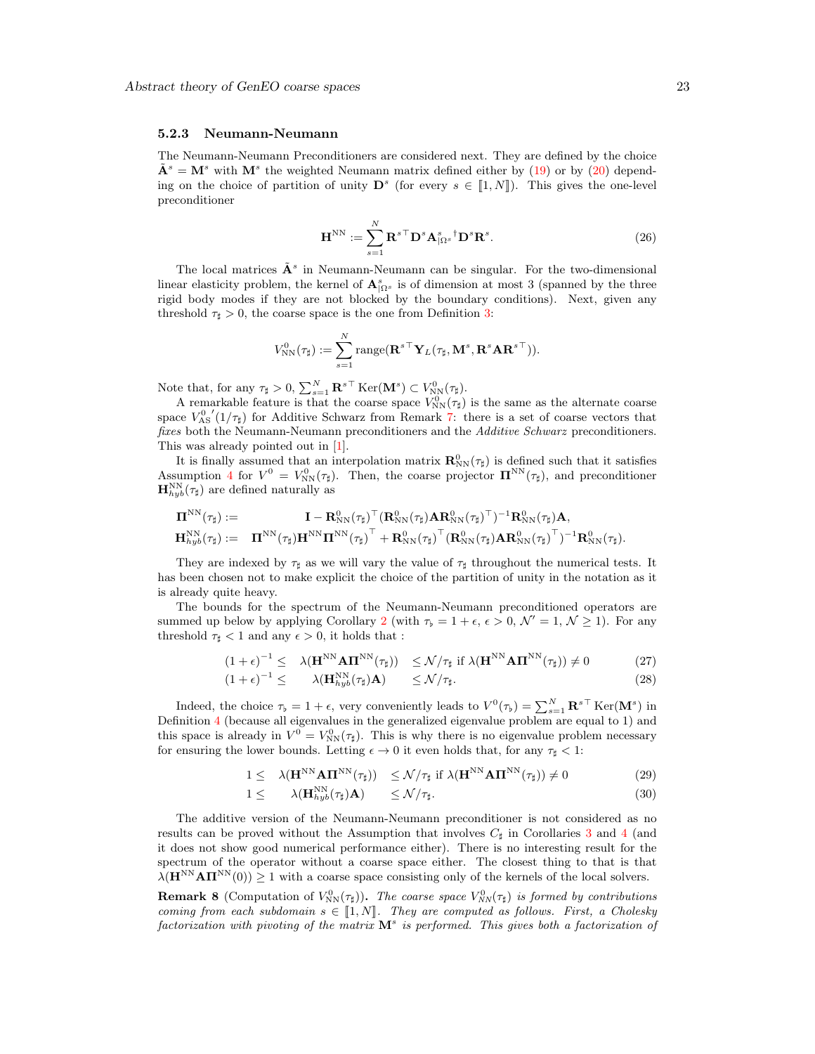#### <span id="page-22-0"></span>5.2.3 Neumann-Neumann

The Neumann-Neumann Preconditioners are considered next. They are defined by the choice  $\tilde{\mathbf{A}}^s = \mathbf{M}^s$  with  $\mathbf{M}^s$  the weighted Neumann matrix defined either by [\(19\)](#page-20-1) or by [\(20\)](#page-20-2) depending on the choice of partition of unity  $\mathbf{D}^s$  (for every  $s \in [1, N]$ ). This gives the one-level preconditioner

$$
\mathbf{H}^{\text{NN}} := \sum_{s=1}^{N} \mathbf{R}^{s \top} \mathbf{D}^{s} \mathbf{A}_{|\Omega^{s}}^{s} {^{\dagger} \mathbf{D}^{s} \mathbf{R}^{s}}.
$$
 (26)

The local matrices  $\tilde{\mathbf{A}}^s$  in Neumann-Neumann can be singular. For the two-dimensional linear elasticity problem, the kernel of  $\mathbf{A}_{\Omega^s}^s$  is of dimension at most 3 (spanned by the three rigid body modes if they are not blocked by the boundary conditions). Next, given any threshold  $\tau_{\sharp} > 0$ , the coarse space is the one from Definition [3:](#page-9-1)

$$
V^0_{\mathrm{NN}}(\tau_{\sharp}):=\sum_{s=1}^N \mathrm{range}({\mathbf{R}^s}^{\top}\mathbf{Y}_L(\tau_{\sharp},\mathbf{M}^s,\mathbf{R}^s\mathbf{A}\mathbf{R}^{s\top})).
$$

Note that, for any  $\tau_{\sharp} > 0$ ,  $\sum_{s=1}^{N} \mathbf{R}^{s \top} \text{Ker}(\mathbf{M}^s) \subset V^0_{\text{NN}}(\tau_{\sharp}).$ 

A remarkable feature is that the coarse space  $V_{\text{NN}}^0(\tau_{\sharp})$  is the same as the alternate coarse space  $V_{AS}^{0'}(1/\tau_{\sharp})$  for Additive Schwarz from Remark [7:](#page-21-0) there is a set of coarse vectors that fixes both the Neumann-Neumann preconditioners and the Additive Schwarz preconditioners. This was already pointed out in [\[1\]](#page-29-6).

It is finally assumed that an interpolation matrix  $\mathbf{R}_{NN}^0(\tau_{\sharp})$  is defined such that it satisfies Assumption [4](#page-4-2) for  $V^0 = V_{\text{NN}}^0(\tau_{\sharp})$ . Then, the coarse projector  $\mathbf{\Pi}^{\text{NN}}(\tau_{\sharp})$ , and preconditioner  $\mathbf{H}_{hyb}^{NN}(\tau_{\sharp})$  are defined naturally as

$$
\begin{array}{cl} \boldsymbol{\Pi}^{\mathrm{NN}}(\tau_{\sharp}):= & \mathbf{I}-\mathbf{R}_{\mathrm{NN}}^0(\tau_{\sharp})^{\top}(\mathbf{R}_{\mathrm{NN}}^0(\tau_{\sharp})\mathbf{A}\mathbf{R}_{\mathrm{NN}}^0(\tau_{\sharp})^{\top})^{-1}\mathbf{R}_{\mathrm{NN}}^0(\tau_{\sharp})\mathbf{A},\\ \mathbf{H}_{\mathit{hyb}}^{\mathrm{NN}}(\tau_{\sharp}):= & \mathbf{I}\mathbf{I}^{\mathrm{NN}}(\tau_{\sharp})\mathbf{H}^{\mathrm{NN}}(\mathbf{T}_{\sharp})^{\top}+\mathbf{R}_{\mathrm{NN}}^0(\tau_{\sharp})^{\top}(\mathbf{R}_{\mathrm{NN}}^0(\tau_{\sharp})\mathbf{A}\mathbf{R}_{\mathrm{NN}}^0(\tau_{\sharp})^{\top})^{-1}\mathbf{R}_{\mathrm{NN}}^0(\tau_{\sharp}). \end{array}
$$

They are indexed by  $\tau_{\sharp}$  as we will vary the value of  $\tau_{\sharp}$  throughout the numerical tests. It has been chosen not to make explicit the choice of the partition of unity in the notation as it is already quite heavy.

The bounds for the spectrum of the Neumann-Neumann preconditioned operators are summed up below by applying Corollary [2](#page-14-2) (with  $\tau_b = 1 + \epsilon, \epsilon > 0, \mathcal{N}' = 1, \mathcal{N} \ge 1$ ). For any threshold  $\tau_{\sharp}$  < 1 and any  $\epsilon > 0$ , it holds that :

$$
(1+\epsilon)^{-1} \leq \lambda (\mathbf{H}^{\text{NN}} \mathbf{A} \mathbf{\Pi}^{\text{NN}} (\tau_{\sharp})) \leq \mathcal{N}/\tau_{\sharp} \text{ if } \lambda (\mathbf{H}^{\text{NN}} \mathbf{A} \mathbf{\Pi}^{\text{NN}} (\tau_{\sharp})) \neq 0 \tag{27}
$$

$$
(1+\epsilon)^{-1} \leq \qquad \lambda(\mathbf{H}_{hyb}^{\mathbf{NN}}(\tau_{\sharp})\mathbf{A}) \qquad \leq \mathcal{N}/\tau_{\sharp}.\tag{28}
$$

Indeed, the choice  $\tau_{\flat} = 1 + \epsilon$ , very conveniently leads to  $V^0(\tau_{\flat}) = \sum_{s=1}^{N} \mathbf{R}^{s\top}$  Ker $(\mathbf{M}^s)$  in Definition [4](#page-10-2) (because all eigenvalues in the generalized eigenvalue problem are equal to 1) and this space is already in  $V^0 = V_{NN}^0(\tau)$ . This is why there is no eigenvalue problem necessary for ensuring the lower bounds. Letting  $\epsilon \to 0$  it even holds that, for any  $\tau_{\sharp} < 1$ :

$$
1 \leq \quad \lambda(\mathbf{H}^{\text{NN}} \mathbf{A} \mathbf{\Pi}^{\text{NN}}(\tau_{\sharp})) \leq \mathcal{N}/\tau_{\sharp} \text{ if } \lambda(\mathbf{H}^{\text{NN}} \mathbf{A} \mathbf{\Pi}^{\text{NN}}(\tau_{\sharp})) \neq 0 \tag{29}
$$

$$
1 \leq \qquad \lambda(\mathbf{H}_{hyb}^{\mathbf{NN}}(\tau_{\sharp})\mathbf{A}) \qquad \leq \mathcal{N}/\tau_{\sharp}. \tag{30}
$$

The additive version of the Neumann-Neumann preconditioner is not considered as no results can be proved without the Assumption that involves  $C_{\sharp}$  in Corollaries [3](#page-15-0) and [4](#page-18-1) (and it does not show good numerical performance either). There is no interesting result for the spectrum of the operator without a coarse space either. The closest thing to that is that  $\lambda(\mathbf{H}^{\text{NN}}\mathbf{A}\mathbf{\Pi}^{\text{NN}}(0)) \geq 1$  with a coarse space consisting only of the kernels of the local solvers.

**Remark 8** (Computation of  $V_{\text{NN}}^0(\tau_{\sharp})$ ). The coarse space  $V_{\text{NN}}^0(\tau_{\sharp})$  is formed by contributions coming from each subdomain  $s \in [1, N]$ . They are computed as follows. First, a Cholesky factorization with pivoting of the matrix  $M^s$  is performed. This gives both a factorization of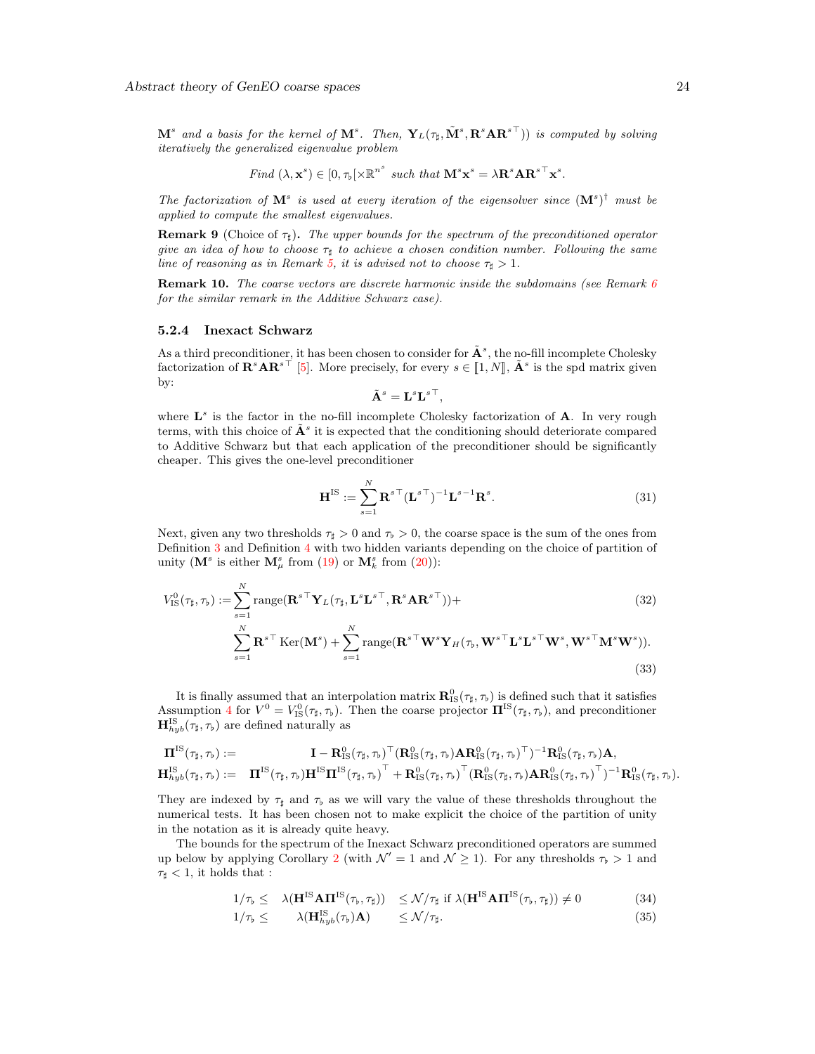$\mathbf{M}^s$  and a basis for the kernel of  $\mathbf{M}^s$ . Then,  $\mathbf{Y}_L(\tau_\sharp,\tilde{\mathbf{M}}^s,\mathbf{R}^s\mathbf{A}\mathbf{R}^{s\top})$  is computed by solving iteratively the generalized eigenvalue problem

Find 
$$
(\lambda, \mathbf{x}^s) \in [0, \tau_b[\times \mathbb{R}^{n^s} \text{ such that } \mathbf{M}^s \mathbf{x}^s = \lambda \mathbf{R}^s \mathbf{A} \mathbf{R}^{s \top} \mathbf{x}^s.
$$

The factorization of  $M^s$  is used at every iteration of the eigensolver since  $(M^s)^{\dagger}$  must be applied to compute the smallest eigenvalues.

**Remark 9** (Choice of  $\tau_{\sharp}$ ). The upper bounds for the spectrum of the preconditioned operator give an idea of how to choose  $\tau_{\sharp}$  to achieve a chosen condition number. Following the same line of reasoning as in Remark [5,](#page-21-1) it is advised not to choose  $\tau_{\sharp} > 1$ .

**Remark 10.** The coarse vectors are discrete harmonic inside the subdomains (see Remark  $6$ for the similar remark in the Additive Schwarz case).

#### <span id="page-23-0"></span>5.2.4 Inexact Schwarz

As a third preconditioner, it has been chosen to consider for  $\tilde{A}^s$ , the no-fill incomplete Cholesky factorization of  $\mathbf{R}^s \mathbf{A} \mathbf{R}^{s\top}$  [\[5\]](#page-29-10). More precisely, for every  $s \in [1, N]$ ,  $\tilde{\mathbf{A}}^s$  is the spd matrix given by:

$$
\tilde{\mathbf{A}}^s = \mathbf{L}^s {\mathbf{L}^s}^\top,
$$

where  $L^s$  is the factor in the no-fill incomplete Cholesky factorization of  $A$ . In very rough terms, with this choice of  $\tilde{A}^s$  it is expected that the conditioning should deteriorate compared to Additive Schwarz but that each application of the preconditioner should be significantly cheaper. This gives the one-level preconditioner

$$
\mathbf{H}^{\text{IS}} := \sum_{s=1}^{N} \mathbf{R}^{s \top} (\mathbf{L}^{s \top})^{-1} \mathbf{L}^{s-1} \mathbf{R}^{s}.
$$
 (31)

Next, given any two thresholds  $\tau_{\sharp} > 0$  and  $\tau_{\flat} > 0$ , the coarse space is the sum of the ones from Definition [3](#page-9-1) and Definition [4](#page-10-2) with two hidden variants depending on the choice of partition of unity ( $\mathbf{M}^s$  is either  $\mathbf{M}^s_\mu$  from [\(19\)](#page-20-1) or  $\mathbf{M}^s_k$  from [\(20\)](#page-20-2)):

$$
V_{\text{IS}}^{0}(\tau_{\sharp}, \tau_{\flat}) := \sum_{s=1}^{N} \text{range}(\mathbf{R}^{s\top} \mathbf{Y}_{L}(\tau_{\sharp}, \mathbf{L}^{s} \mathbf{L}^{s\top}, \mathbf{R}^{s} \mathbf{A} \mathbf{R}^{s\top})) +
$$
\n
$$
\sum_{s=1}^{N} \mathbf{R}^{s\top} \text{Ker}(\mathbf{M}^{s}) + \sum_{s=1}^{N} \text{range}(\mathbf{R}^{s\top} \mathbf{W}^{s} \mathbf{Y}_{H}(\tau_{\flat}, \mathbf{W}^{s\top} \mathbf{L}^{s} \mathbf{L}^{s\top} \mathbf{W}^{s}, \mathbf{W}^{s\top} \mathbf{M}^{s} \mathbf{W}^{s})).
$$
\n(33)

It is finally assumed that an interpolation matrix  $\mathbf{R}_{\text{IS}}^0(\tau_{\sharp}, \tau_{\flat})$  is defined such that it satisfies Assumption [4](#page-4-2) for  $V^0 = V_{\text{IS}}^0(\tau_{\sharp}, \tau_{\flat})$ . Then the coarse projector  $\mathbf{\Pi}^{\text{IS}}(\tau_{\sharp}, \tau_{\flat})$ , and preconditioner  $\mathbf{H}_{hyb}^{IS}(\tau_{\sharp}, \tau_{\flat})$  are defined naturally as

$$
\begin{array}{lll} \boldsymbol{\Pi}^{\mathrm{IS}}(\tau_{\sharp},\tau_{\flat}) := & \boldsymbol{\Pi} - \mathbf{R}^0_{\mathrm{IS}}(\tau_{\sharp},\tau_{\flat})^{\top} (\mathbf{R}^0_{\mathrm{IS}}(\tau_{\sharp},\tau_{\flat}) \mathbf{A} \mathbf{R}^0_{\mathrm{IS}}(\tau_{\sharp},\tau_{\flat})^{\top})^{-1} \mathbf{R}^0_{\mathrm{IS}}(\tau_{\sharp},\tau_{\flat}) \mathbf{A}, \\ \mathbf{H}^{\mathrm{IS}}_{hyb}(\tau_{\sharp},\tau_{\flat}) := & \boldsymbol{\Pi}^{\mathrm{IS}}(\tau_{\sharp},\tau_{\flat}) \mathbf{H}^{\mathrm{IS}} \boldsymbol{\Pi}^{\mathrm{IS}}(\tau_{\sharp},\tau_{\flat})^{\top} + \mathbf{R}^0_{\mathrm{IS}}(\tau_{\sharp},\tau_{\flat})^{\top} (\mathbf{R}^0_{\mathrm{IS}}(\tau_{\sharp},\tau_{\flat}) \mathbf{A} \mathbf{R}^0_{\mathrm{IS}}(\tau_{\sharp},\tau_{\flat})^{\top})^{-1} \mathbf{R}^0_{\mathrm{IS}}(\tau_{\sharp},\tau_{\flat}). \end{array}
$$

They are indexed by  $\tau_{\text{t}}$  and  $\tau_{\text{b}}$  as we will vary the value of these thresholds throughout the numerical tests. It has been chosen not to make explicit the choice of the partition of unity in the notation as it is already quite heavy.

The bounds for the spectrum of the Inexact Schwarz preconditioned operators are summed up below by applying Corollary [2](#page-14-2) (with  $\mathcal{N}' = 1$  and  $\mathcal{N} \geq 1$ ). For any thresholds  $\tau_{\rm b} > 1$  and  $\tau_{\sharp}$  < 1, it holds that :

$$
1/\tau_{\flat} \leq \lambda(\mathbf{H}^{IS} \mathbf{A} \mathbf{\Pi}^{IS}(\tau_{\flat}, \tau_{\sharp})) \leq \mathcal{N}/\tau_{\sharp} \text{ if } \lambda(\mathbf{H}^{IS} \mathbf{A} \mathbf{\Pi}^{IS}(\tau_{\flat}, \tau_{\sharp})) \neq 0 \tag{34}
$$

$$
1/\tau_{\flat} \leq \qquad \lambda(\mathbf{H}_{hyb}^{IS}(\tau_{\flat})\mathbf{A}) \qquad \leq \mathcal{N}/\tau_{\sharp}.\tag{35}
$$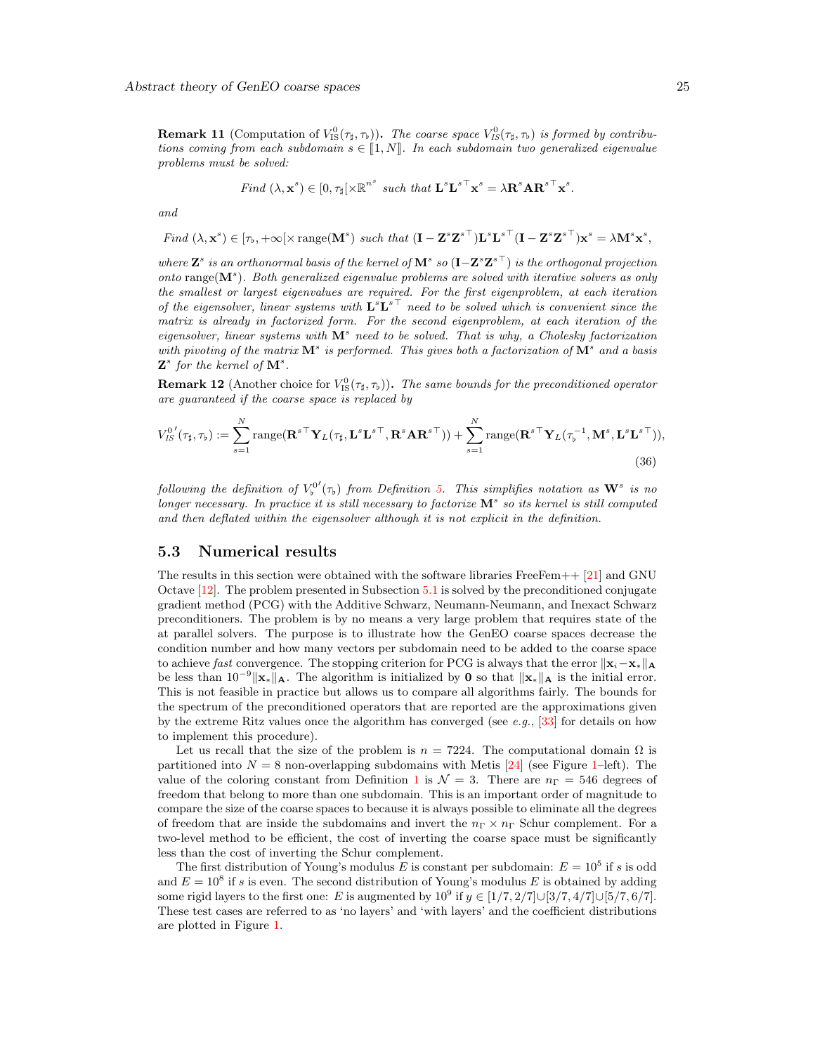**Remark 11** (Computation of  $V^0_{\text{IS}}(\tau_{\sharp}, \tau_{\flat})$ ). The coarse space  $V^0_{\text{IS}}(\tau_{\sharp}, \tau_{\flat})$  is formed by contributions coming from each subdomain  $s \in [1, N]$ . In each subdomain two generalized eigenvalue problems must be solved:

Find 
$$
(\lambda, \mathbf{x}^s) \in [0, \tau_{\sharp}]\times \mathbb{R}^{n^s}
$$
 such that  $\mathbf{L}^s \mathbf{L}^{s\top} \mathbf{x}^s = \lambda \mathbf{R}^s \mathbf{A} \mathbf{R}^{s\top} \mathbf{x}^s$ .

and

Find 
$$
(\lambda, \mathbf{x}^s) \in [\tau_b, +\infty[\times \text{range}(\mathbf{M}^s) \text{ such that } (\mathbf{I} - \mathbf{Z}^s \mathbf{Z}^{s\top}) \mathbf{L}^s \mathbf{L}^{s\top} (\mathbf{I} - \mathbf{Z}^s \mathbf{Z}^{s\top}) \mathbf{x}^s = \lambda \mathbf{M}^s \mathbf{x}^s,
$$

where  $\bm{Z}^s$  is an orthonormal basis of the kernel of  $\mathbf{M}^s$  so  $(\mathbf{I}-\bm{Z}^s\bm{Z}^s{}^\top)$  is the orthogonal projection  $onto$  range $(M^s)$ . Both generalized eigenvalue problems are solved with iterative solvers as only the smallest or largest eigenvalues are required. For the first eigenproblem, at each iteration of the eigensolver, linear systems with  $\mathbf{L}^s \mathbf{L}^{s\top}$  need to be solved which is convenient since the matrix is already in factorized form. For the second eigenproblem, at each iteration of the eigensolver, linear systems with  $\mathbf{M}^s$  need to be solved. That is why, a Cholesky factorization with pivoting of the matrix  $\mathbf{M}^s$  is performed. This gives both a factorization of  $\mathbf{M}^s$  and a basis  $\mathbf{Z}^s$  for the kernel of  $\mathbf{M}^s$ .

**Remark 12** (Another choice for  $V^0_{\text{IS}}(\tau_{\sharp}, \tau_{\flat})$ ). The same bounds for the preconditioned operator are guaranteed if the coarse space is replaced by

$$
V_{IS}^{0'}(\tau_{\sharp},\tau_{\flat}) := \sum_{s=1}^{N} \text{range}(\mathbf{R}^{s\top}\mathbf{Y}_{L}(\tau_{\sharp},\mathbf{L}^{s}\mathbf{L}^{s\top},\mathbf{R}^{s}\mathbf{A}\mathbf{R}^{s\top})) + \sum_{s=1}^{N} \text{range}(\mathbf{R}^{s\top}\mathbf{Y}_{L}(\tau_{\flat}^{-1},\mathbf{M}^{s},\mathbf{L}^{s}\mathbf{L}^{s\top})),
$$
\n(36)

following the definition of  $V_b^{0'}(\tau_b)$  from Definition [5.](#page-11-1) This simplifies notation as  $\mathbf{W}^s$  is no longer necessary. In practice it is still necessary to factorize  $M^s$  so its kernel is still computed and then deflated within the eigensolver although it is not explicit in the definition.

#### <span id="page-24-0"></span>5.3 Numerical results

The results in this section were obtained with the software libraries FreeFem++ [\[21\]](#page-30-17) and GNU Octave [\[12\]](#page-30-18). The problem presented in Subsection [5.1](#page-19-0) is solved by the preconditioned conjugate gradient method (PCG) with the Additive Schwarz, Neumann-Neumann, and Inexact Schwarz preconditioners. The problem is by no means a very large problem that requires state of the at parallel solvers. The purpose is to illustrate how the GenEO coarse spaces decrease the condition number and how many vectors per subdomain need to be added to the coarse space to achieve fast convergence. The stopping criterion for PCG is always that the error  $\|\mathbf{x}_i-\mathbf{x}_*\|_{\mathbf{A}}$ be less than  $10^{-9}$  ||**x**∗ ||**A**. The algorithm is initialized by **0** so that  $\|\mathbf{x}\|$ **A** is the initial error. This is not feasible in practice but allows us to compare all algorithms fairly. The bounds for the spectrum of the preconditioned operators that are reported are the approximations given by the extreme Ritz values once the algorithm has converged (see e.g.,  $[33]$  for details on how to implement this procedure).

Let us recall that the size of the problem is  $n = 7224$ . The computational domain  $\Omega$  is partitioned into  $N = 8$  non-overlapping subdomains with Metis [\[24\]](#page-30-19) (see Figure [1–](#page-25-0)left). The value of the coloring constant from Definition [1](#page-5-1) is  $\mathcal{N} = 3$ . There are  $n_{\Gamma} = 546$  degrees of freedom that belong to more than one subdomain. This is an important order of magnitude to compare the size of the coarse spaces to because it is always possible to eliminate all the degrees of freedom that are inside the subdomains and invert the  $n_{\Gamma} \times n_{\Gamma}$  Schur complement. For a two-level method to be efficient, the cost of inverting the coarse space must be significantly less than the cost of inverting the Schur complement.

The first distribution of Young's modulus E is constant per subdomain:  $E = 10^5$  if s is odd and  $E = 10^8$  if s is even. The second distribution of Young's modulus E is obtained by adding some rigid layers to the first one: E is augmented by  $10^9$  if  $y \in [1/7, 2/7] \cup [3/7, 4/7] \cup [5/7, 6/7]$ . These test cases are referred to as 'no layers' and 'with layers' and the coefficient distributions are plotted in Figure [1.](#page-25-0)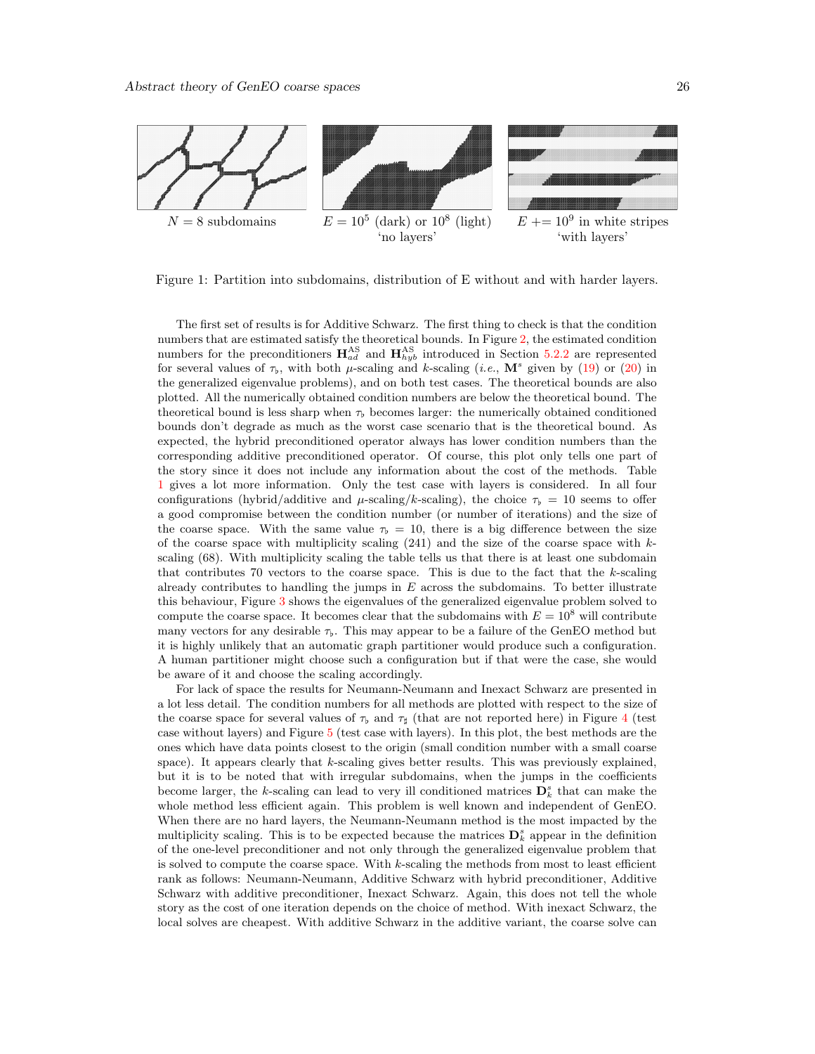<span id="page-25-0"></span>

Figure 1: Partition into subdomains, distribution of E without and with harder layers.

The first set of results is for Additive Schwarz. The first thing to check is that the condition numbers that are estimated satisfy the theoretical bounds. In Figure [2,](#page-26-0) the estimated condition numbers for the preconditioners  $\mathbf{H}_{ad}^{AS}$  and  $\mathbf{H}_{hyb}^{AS}$  introduced in Section [5.2.2](#page-20-0) are represented for several values of  $\tau_b$ , with both  $\mu$ -scaling and k-scaling (*i.e.*, M<sup>s</sup> given by [\(19\)](#page-20-1) or [\(20\)](#page-20-2) in the generalized eigenvalue problems), and on both test cases. The theoretical bounds are also plotted. All the numerically obtained condition numbers are below the theoretical bound. The theoretical bound is less sharp when  $\tau_b$  becomes larger: the numerically obtained conditioned bounds don't degrade as much as the worst case scenario that is the theoretical bound. As expected, the hybrid preconditioned operator always has lower condition numbers than the corresponding additive preconditioned operator. Of course, this plot only tells one part of the story since it does not include any information about the cost of the methods. Table [1](#page-28-0) gives a lot more information. Only the test case with layers is considered. In all four configurations (hybrid/additive and  $\mu$ -scaling/k-scaling), the choice  $\tau_b = 10$  seems to offer a good compromise between the condition number (or number of iterations) and the size of the coarse space. With the same value  $\tau_{\rm b} = 10$ , there is a big difference between the size of the coarse space with multiplicity scaling  $(241)$  and the size of the coarse space with kscaling (68). With multiplicity scaling the table tells us that there is at least one subdomain that contributes 70 vectors to the coarse space. This is due to the fact that the  $k$ -scaling already contributes to handling the jumps in  $E$  across the subdomains. To better illustrate this behaviour, Figure [3](#page-26-1) shows the eigenvalues of the generalized eigenvalue problem solved to compute the coarse space. It becomes clear that the subdomains with  $E = 10^8$  will contribute many vectors for any desirable  $\tau_{\rm b}$ . This may appear to be a failure of the GenEO method but it is highly unlikely that an automatic graph partitioner would produce such a configuration. A human partitioner might choose such a configuration but if that were the case, she would be aware of it and choose the scaling accordingly.

For lack of space the results for Neumann-Neumann and Inexact Schwarz are presented in a lot less detail. The condition numbers for all methods are plotted with respect to the size of the coarse space for several values of  $\tau_b$  and  $\tau_d$  (that are not reported here) in Figure [4](#page-27-1) (test case without layers) and Figure [5](#page-29-11) (test case with layers). In this plot, the best methods are the ones which have data points closest to the origin (small condition number with a small coarse space). It appears clearly that k-scaling gives better results. This was previously explained, but it is to be noted that with irregular subdomains, when the jumps in the coefficients become larger, the k-scaling can lead to very ill conditioned matrices  $\mathbf{D}_k^s$  that can make the whole method less efficient again. This problem is well known and independent of GenEO. When there are no hard layers, the Neumann-Neumann method is the most impacted by the multiplicity scaling. This is to be expected because the matrices  $\mathbf{D}_k^s$  appear in the definition of the one-level preconditioner and not only through the generalized eigenvalue problem that is solved to compute the coarse space. With  $k$ -scaling the methods from most to least efficient rank as follows: Neumann-Neumann, Additive Schwarz with hybrid preconditioner, Additive Schwarz with additive preconditioner, Inexact Schwarz. Again, this does not tell the whole story as the cost of one iteration depends on the choice of method. With inexact Schwarz, the local solves are cheapest. With additive Schwarz in the additive variant, the coarse solve can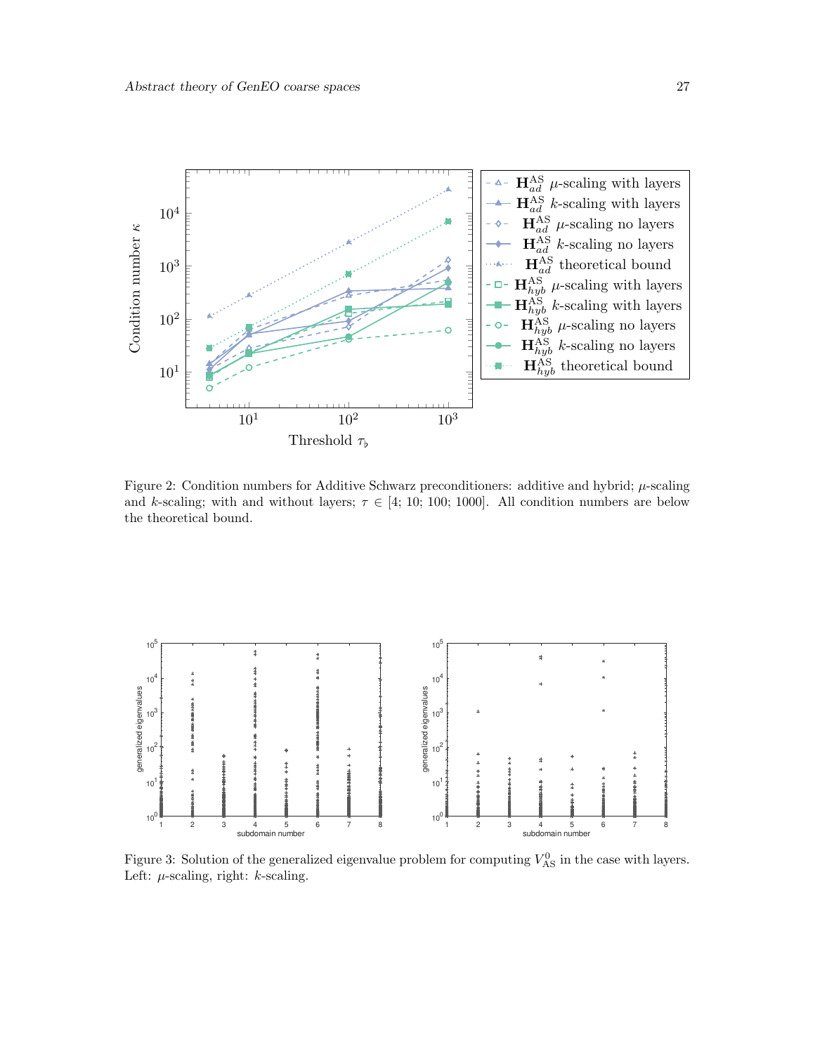<span id="page-26-0"></span>

Figure 2: Condition numbers for Additive Schwarz preconditioners: additive and hybrid;  $\mu$ -scaling and k-scaling; with and without layers;  $\tau \in [4; 10; 100; 1000]$ . All condition numbers are below the theoretical bound.

<span id="page-26-1"></span>

Figure 3: Solution of the generalized eigenvalue problem for computing  $V_{AS}^0$  in the case with layers. Left:  $\mu$ -scaling, right:  $k$ -scaling.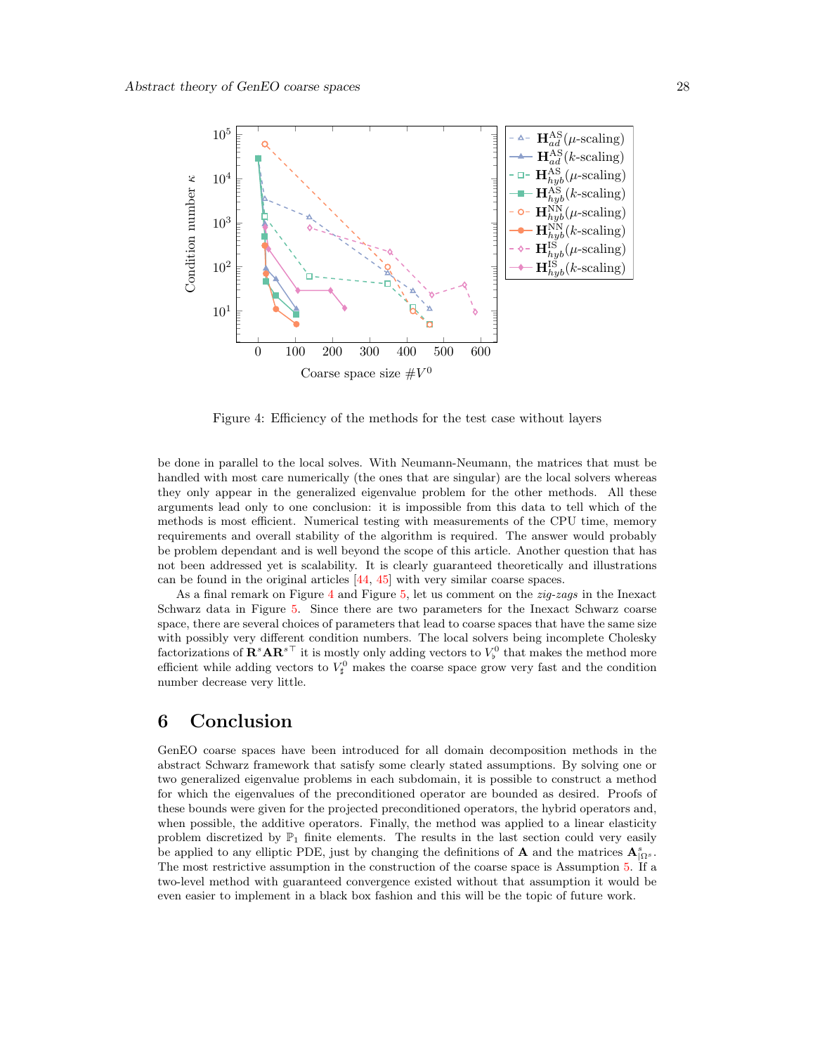<span id="page-27-1"></span>

Figure 4: Efficiency of the methods for the test case without layers

be done in parallel to the local solves. With Neumann-Neumann, the matrices that must be handled with most care numerically (the ones that are singular) are the local solvers whereas they only appear in the generalized eigenvalue problem for the other methods. All these arguments lead only to one conclusion: it is impossible from this data to tell which of the methods is most efficient. Numerical testing with measurements of the CPU time, memory requirements and overall stability of the algorithm is required. The answer would probably be problem dependant and is well beyond the scope of this article. Another question that has not been addressed yet is scalability. It is clearly guaranteed theoretically and illustrations can be found in the original articles [\[44,](#page-31-9) [45\]](#page-31-10) with very similar coarse spaces.

As a final remark on Figure  $4$  and Figure [5,](#page-29-11) let us comment on the  $zig-zags$  in the Inexact Schwarz data in Figure [5.](#page-29-11) Since there are two parameters for the Inexact Schwarz coarse space, there are several choices of parameters that lead to coarse spaces that have the same size with possibly very different condition numbers. The local solvers being incomplete Cholesky factorizations of  $\mathbf{R}^s \mathbf{A} \mathbf{R}^{s\top}$  it is mostly only adding vectors to  $V^0_\flat$  that makes the method more efficient while adding vectors to  $V^0_{\sharp}$  makes the coarse space grow very fast and the condition number decrease very little.

## <span id="page-27-0"></span>6 Conclusion

GenEO coarse spaces have been introduced for all domain decomposition methods in the abstract Schwarz framework that satisfy some clearly stated assumptions. By solving one or two generalized eigenvalue problems in each subdomain, it is possible to construct a method for which the eigenvalues of the preconditioned operator are bounded as desired. Proofs of these bounds were given for the projected preconditioned operators, the hybrid operators and, when possible, the additive operators. Finally, the method was applied to a linear elasticity problem discretized by  $\mathbb{P}_1$  finite elements. The results in the last section could very easily be applied to any elliptic PDE, just by changing the definitions of **A** and the matrices  $\mathbf{A}_{|\Omega^s}^s$ . The most restrictive assumption in the construction of the coarse space is Assumption [5.](#page-10-1) If a two-level method with guaranteed convergence existed without that assumption it would be even easier to implement in a black box fashion and this will be the topic of future work.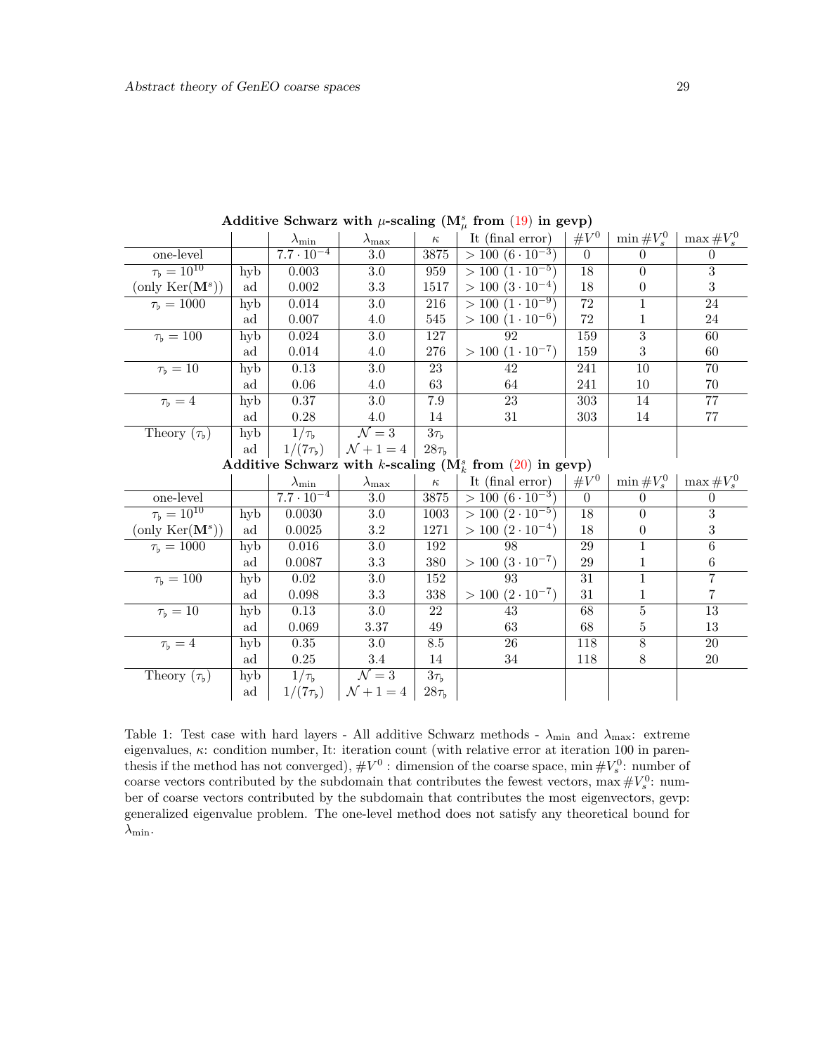<span id="page-28-0"></span>

|                                                              |     | $\lambda_{\rm min}$ | $\lambda_{\rm max}$        | $\kappa$                   | It (final error)          | $\#V^0$         | $\min\#V_s^0$    | $\max\#V_s^0$    |
|--------------------------------------------------------------|-----|---------------------|----------------------------|----------------------------|---------------------------|-----------------|------------------|------------------|
| one-level                                                    |     | $7.7 \cdot 10^{-4}$ | $3.0\,$                    | 3875                       | $> 100 (6 \cdot 10^{-3})$ | $\overline{0}$  | $\theta$         | $\theta$         |
| $\tau_{\rm b} = 10^{10}$                                     | hyb | $\,0.003\,$         | $3.0\,$                    | 959                        | $> 100 (1 \cdot 10^{-5})$ | $\overline{18}$ | $\Omega$         | $\overline{3}$   |
| $(\text{only Ker}(\mathbf{M}^s))$                            | ad  | 0.002               | $\!3.3\!$                  | 1517                       | $> 100 (3 \cdot 10^{-4})$ | 18              | $\boldsymbol{0}$ | 3                |
| $\tau_{\rm b} = 1000$                                        | hyb | 0.014               | 3.0                        | 216                        | $> 100 (1 \cdot 10^{-9})$ | 72              | 1                | 24               |
|                                                              | ad  | 0.007               | $4.0\,$                    | 545                        | $> 100 (1 \cdot 10^{-6})$ | 72              | 1                | $24\,$           |
| $\tau_{\rm b} = 100$                                         | hyb | 0.024               | $\overline{3.0}$           | 127                        | $\overline{92}$           | 159             | $\overline{3}$   | 60               |
|                                                              | ad  | 0.014               | 4.0                        | 276                        | $> 100 (1 \cdot 10^{-7})$ | 159             | 3                | 60               |
| $\tau_{\flat} = 10$                                          | hyb | 0.13                | $3.0\,$                    | 23                         | 42                        | 241             | 10               | 70               |
|                                                              | ad  | 0.06                | 4.0                        | 63                         | 64                        | 241             | 10               | $70\,$           |
| $\tau_{\rm b}=4$                                             | hyb | 0.37                | $\overline{3.0}$           | 7.9                        | $\overline{23}$           | 303             | 14               | $\overline{77}$  |
|                                                              | ad  | 0.28                | $4.0\,$                    | 14                         | 31                        | $303\,$         | 14               | 77               |
| Theory $(\tau_b)$                                            | hyb | $1/\tau_{\rm b}$    | $\overline{\mathcal{N}}=3$ | $3\tau_{\rm b}$            |                           |                 |                  |                  |
|                                                              | ad  | $1/(7\tau_{\rm b})$ | $\mathcal{N} + 1 = 4$      | $28\tau_{\rm b}$           |                           |                 |                  |                  |
| Additive Schwarz with k-scaling ( $M_k^s$ from (20) in gevp) |     |                     |                            |                            |                           |                 |                  |                  |
|                                                              |     | $\lambda_{\rm min}$ | $\lambda_{\text{max}}$     | $\kappa$                   | It (final error)          | $\#V^0$         | $\min\#V_s^0$    | $\max\#V_s^0$    |
| one-level                                                    |     | $7.7 \cdot 10^{-4}$ | $3.0\,$                    | 3875                       | $> 100 (6 \cdot 10^{-3})$ | $\theta$        | $\theta$         | $\boldsymbol{0}$ |
| $\tau_{\rm b} = 10^{10}$                                     | hyb | 0.0030              | $3.0\,$                    | 1003                       | $> 100 (2 \cdot 10^{-5})$ | 18              | $\theta$         | 3                |
| $(\text{only Ker}(\mathbf{M}^s))$                            | ad  | 0.0025              | $3.2\,$                    | 1271                       | $> 100 (2 \cdot 10^{-4})$ | 18              | $\theta$         | 3                |
| $\tau_{\rm b} = 1000$                                        | hyb | 0.016               | $\overline{3.0}$           | 192                        | 98                        | 29              | $\mathbf 1$      | $\overline{6}$   |
|                                                              | ad  | 0.0087              | $3.3\,$                    | 380                        | $> 100 (3 \cdot 10^{-7})$ | 29              | 1                | $\,6$            |
| $\tau_{\rm b} = 100$                                         | hyb | 0.02                | $\overline{3.0}$           | 152                        | 93                        | $\overline{31}$ | 1                | $\overline{7}$   |
|                                                              | ad  | 0.098               | $3.3\,$                    | 338                        | $> 100 (2 \cdot 10^{-7})$ | 31              | 1                | 7                |
| $\tau_{\rm b} = 10$                                          | hyb | 0.13                | $\overline{3.0}$           | 22                         | 43                        | 68              | $\overline{5}$   | 13               |
|                                                              | ad  | 0.069               | 3.37                       | 49                         | 63                        | 68              | 5                | 13               |
| $\tau_{\rm b}=4$                                             | hyb | 0.35                | $\overline{3.0}$           | 8.5                        | $\overline{26}$           | 118             | $\overline{8}$   | $\overline{20}$  |
|                                                              | ad  | $0.25\,$            | $3.4\,$                    | 14                         | $34\,$                    | 118             | $8\,$            | $20\,$           |
| Theory $(\tau_{\flat})$                                      | hyb | $1/\tau_{\rm b}$    | $\overline{\mathcal{N}=3}$ | $\overline{3\tau_{\rm b}}$ |                           |                 |                  |                  |
|                                                              | ad  | $1/(7\tau_{\rm b})$ | $N + 1 = 4$                | $28\tau_{\rm b}$           |                           |                 |                  |                  |

Additive Schwarz with  $\mu$ -scaling ( $M^s_\mu$  from [\(19\)](#page-20-1) in gevp)

Table 1: Test case with hard layers - All additive Schwarz methods -  $\lambda_{\min}$  and  $\lambda_{\max}$ : extreme eigenvalues,  $\kappa$ : condition number, It: iteration count (with relative error at iteration 100 in parenthesis if the method has not converged),  $\#V^0$ : dimension of the coarse space, min  $\#V_s^0$ : number of coarse vectors contributed by the subdomain that contributes the fewest vectors,  $\max \#V_s^0$ : number of coarse vectors contributed by the subdomain that contributes the most eigenvectors, gevp: generalized eigenvalue problem. The one-level method does not satisfy any theoretical bound for  $\lambda_{\min}$ .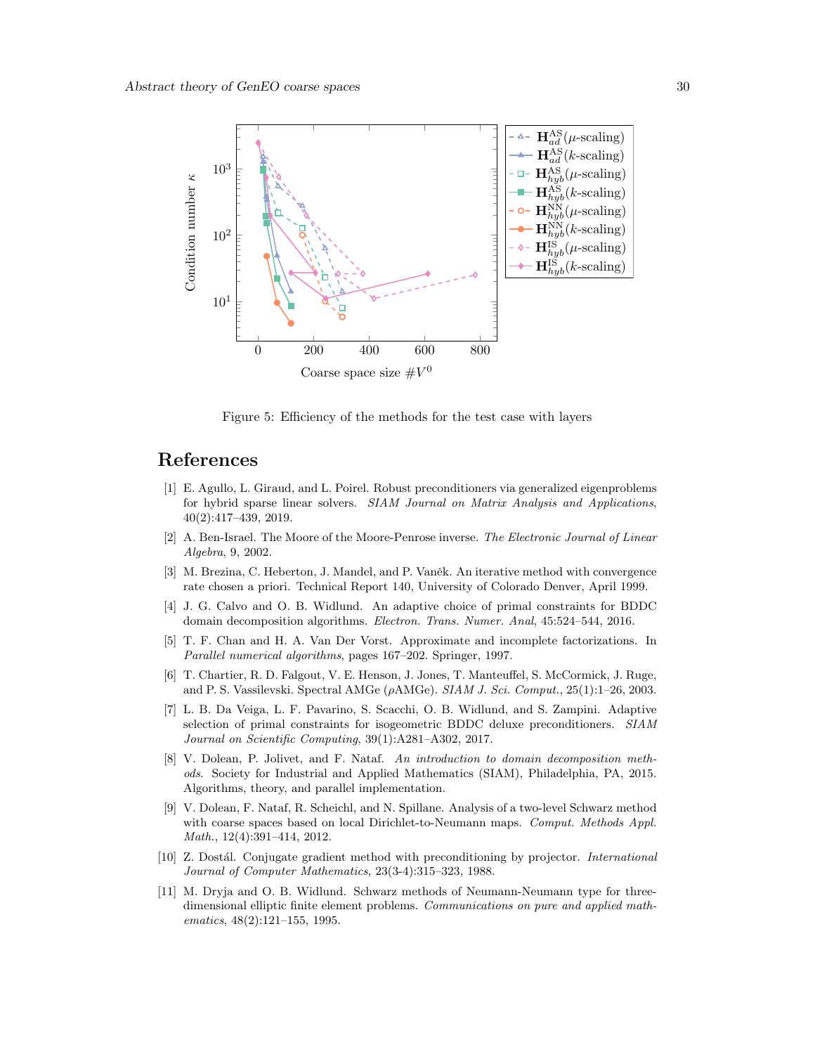<span id="page-29-11"></span>

Figure 5: Efficiency of the methods for the test case with layers

# References

- <span id="page-29-6"></span>[1] E. Agullo, L. Giraud, and L. Poirel. Robust preconditioners via generalized eigenproblems for hybrid sparse linear solvers. SIAM Journal on Matrix Analysis and Applications, 40(2):417–439, 2019.
- <span id="page-29-7"></span>[2] A. Ben-Israel. The Moore of the Moore-Penrose inverse. The Electronic Journal of Linear Algebra, 9, 2002.
- <span id="page-29-2"></span>[3] M. Brezina, C. Heberton, J. Mandel, and P. Vaněk. An iterative method with convergence rate chosen a priori. Technical Report 140, University of Colorado Denver, April 1999.
- <span id="page-29-4"></span>[4] J. G. Calvo and O. B. Widlund. An adaptive choice of primal constraints for BDDC domain decomposition algorithms. Electron. Trans. Numer. Anal, 45:524–544, 2016.
- <span id="page-29-10"></span>[5] T. F. Chan and H. A. Van Der Vorst. Approximate and incomplete factorizations. In Parallel numerical algorithms, pages 167–202. Springer, 1997.
- <span id="page-29-3"></span>[6] T. Chartier, R. D. Falgout, V. E. Henson, J. Jones, T. Manteuffel, S. McCormick, J. Ruge, and P. S. Vassilevski. Spectral AMGe (ρAMGe). SIAM J. Sci. Comput., 25(1):1–26, 2003.
- <span id="page-29-5"></span>[7] L. B. Da Veiga, L. F. Pavarino, S. Scacchi, O. B. Widlund, and S. Zampini. Adaptive selection of primal constraints for isogeometric BDDC deluxe preconditioners. SIAM Journal on Scientific Computing, 39(1):A281–A302, 2017.
- <span id="page-29-9"></span>[8] V. Dolean, P. Jolivet, and F. Nataf. An introduction to domain decomposition methods. Society for Industrial and Applied Mathematics (SIAM), Philadelphia, PA, 2015. Algorithms, theory, and parallel implementation.
- <span id="page-29-1"></span>[9] V. Dolean, F. Nataf, R. Scheichl, and N. Spillane. Analysis of a two-level Schwarz method with coarse spaces based on local Dirichlet-to-Neumann maps. Comput. Methods Appl. Math., 12(4):391–414, 2012.
- <span id="page-29-8"></span>[10] Z. Dostál. Conjugate gradient method with preconditioning by projector. *International* Journal of Computer Mathematics, 23(3-4):315–323, 1988.
- <span id="page-29-0"></span>[11] M. Dryja and O. B. Widlund. Schwarz methods of Neumann-Neumann type for threedimensional elliptic finite element problems. Communications on pure and applied mathematics, 48(2):121–155, 1995.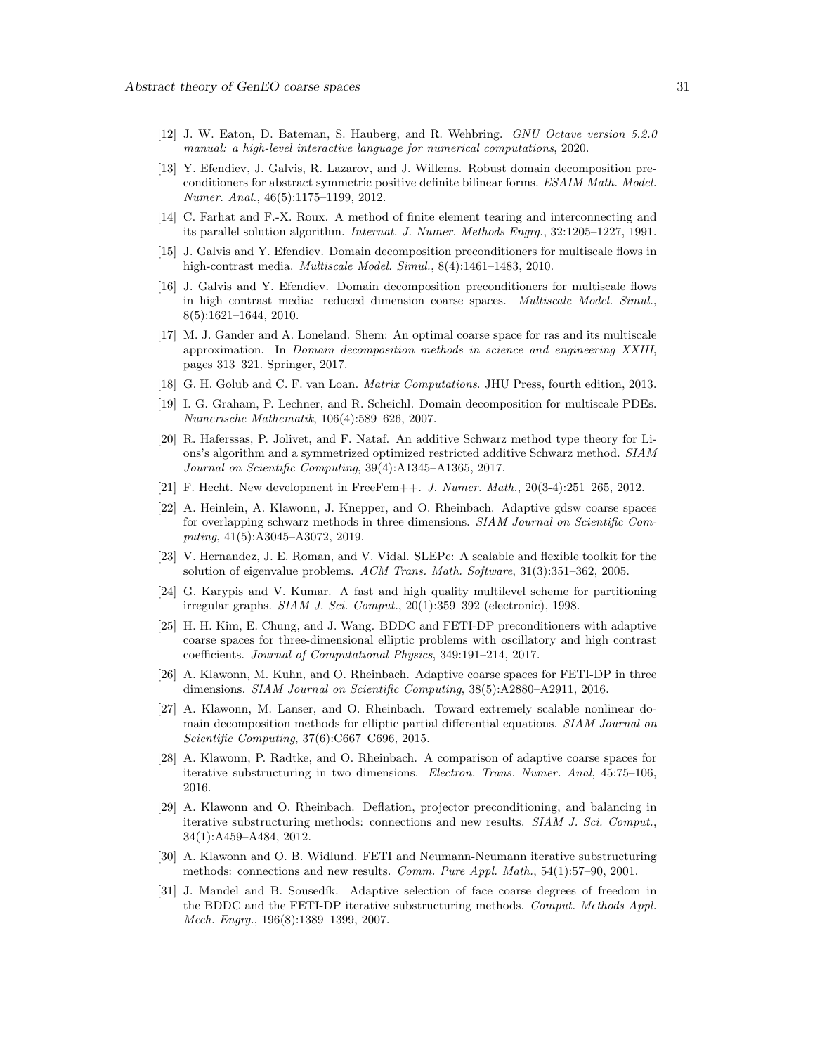- <span id="page-30-18"></span>[12] J. W. Eaton, D. Bateman, S. Hauberg, and R. Wehbring. GNU Octave version 5.2.0 manual: a high-level interactive language for numerical computations, 2020.
- <span id="page-30-5"></span>[13] Y. Efendiev, J. Galvis, R. Lazarov, and J. Willems. Robust domain decomposition preconditioners for abstract symmetric positive definite bilinear forms. ESAIM Math. Model. Numer. Anal., 46(5):1175–1199, 2012.
- <span id="page-30-0"></span>[14] C. Farhat and F.-X. Roux. A method of finite element tearing and interconnecting and its parallel solution algorithm. Internat. J. Numer. Methods Engrg., 32:1205–1227, 1991.
- <span id="page-30-3"></span>[15] J. Galvis and Y. Efendiev. Domain decomposition preconditioners for multiscale flows in high-contrast media. *Multiscale Model. Simul.*, 8(4):1461-1483, 2010.
- <span id="page-30-4"></span>[16] J. Galvis and Y. Efendiev. Domain decomposition preconditioners for multiscale flows in high contrast media: reduced dimension coarse spaces. Multiscale Model. Simul., 8(5):1621–1644, 2010.
- <span id="page-30-9"></span>[17] M. J. Gander and A. Loneland. Shem: An optimal coarse space for ras and its multiscale approximation. In Domain decomposition methods in science and engineering XXIII, pages 313–321. Springer, 2017.
- <span id="page-30-14"></span>[18] G. H. Golub and C. F. van Loan. Matrix Computations. JHU Press, fourth edition, 2013.
- <span id="page-30-2"></span>[19] I. G. Graham, P. Lechner, and R. Scheichl. Domain decomposition for multiscale PDEs. Numerische Mathematik, 106(4):589–626, 2007.
- <span id="page-30-6"></span>[20] R. Haferssas, P. Jolivet, and F. Nataf. An additive Schwarz method type theory for Lions's algorithm and a symmetrized optimized restricted additive Schwarz method. SIAM Journal on Scientific Computing, 39(4):A1345–A1365, 2017.
- <span id="page-30-17"></span>[21] F. Hecht. New development in FreeFem++. J. Numer. Math., 20(3-4):251–265, 2012.
- <span id="page-30-10"></span>[22] A. Heinlein, A. Klawonn, J. Knepper, and O. Rheinbach. Adaptive gdsw coarse spaces for overlapping schwarz methods in three dimensions. SIAM Journal on Scientific Computing, 41(5):A3045–A3072, 2019.
- <span id="page-30-15"></span>[23] V. Hernandez, J. E. Roman, and V. Vidal. SLEPc: A scalable and flexible toolkit for the solution of eigenvalue problems. ACM Trans. Math. Software, 31(3):351–362, 2005.
- <span id="page-30-19"></span>[24] G. Karypis and V. Kumar. A fast and high quality multilevel scheme for partitioning irregular graphs. SIAM J. Sci. Comput., 20(1):359–392 (electronic), 1998.
- <span id="page-30-12"></span>[25] H. H. Kim, E. Chung, and J. Wang. BDDC and FETI-DP preconditioners with adaptive coarse spaces for three-dimensional elliptic problems with oscillatory and high contrast coefficients. Journal of Computational Physics, 349:191–214, 2017.
- <span id="page-30-11"></span>[26] A. Klawonn, M. Kuhn, and O. Rheinbach. Adaptive coarse spaces for FETI-DP in three dimensions. SIAM Journal on Scientific Computing, 38(5):A2880–A2911, 2016.
- <span id="page-30-13"></span>[27] A. Klawonn, M. Lanser, and O. Rheinbach. Toward extremely scalable nonlinear domain decomposition methods for elliptic partial differential equations. SIAM Journal on Scientific Computing, 37(6):C667–C696, 2015.
- <span id="page-30-8"></span>[28] A. Klawonn, P. Radtke, and O. Rheinbach. A comparison of adaptive coarse spaces for iterative substructuring in two dimensions. Electron. Trans. Numer. Anal, 45:75–106, 2016.
- <span id="page-30-16"></span>[29] A. Klawonn and O. Rheinbach. Deflation, projector preconditioning, and balancing in iterative substructuring methods: connections and new results. SIAM J. Sci. Comput., 34(1):A459–A484, 2012.
- <span id="page-30-1"></span>[30] A. Klawonn and O. B. Widlund. FETI and Neumann-Neumann iterative substructuring methods: connections and new results. Comm. Pure Appl. Math., 54(1):57–90, 2001.
- <span id="page-30-7"></span>[31] J. Mandel and B. Sousedík. Adaptive selection of face coarse degrees of freedom in the BDDC and the FETI-DP iterative substructuring methods. Comput. Methods Appl. Mech. Engrg., 196(8):1389–1399, 2007.